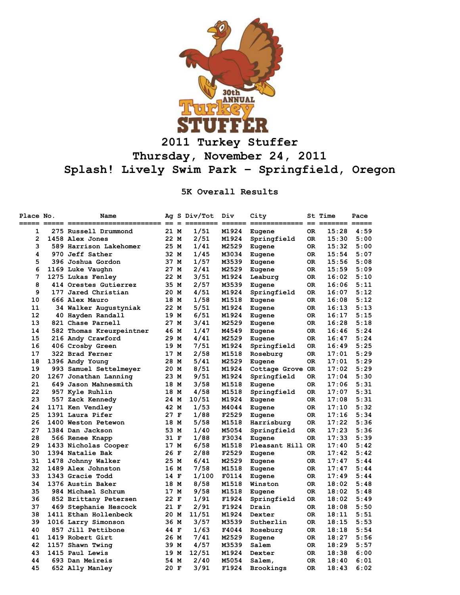

## **2011 Turkey Stuffer Thursday, November 24, 2011 Splash! Lively Swim Park – Springfield, Oregon**

**5K Overall Results**

| Place No. | Name                     |      | Ag S Div/Tot | Div   | City<br>========= | $=$ | St Time<br>$==$ | Pace |
|-----------|--------------------------|------|--------------|-------|-------------------|-----|-----------------|------|
| 1         | 275 Russell Drummond     | 21 M | 1/51         | M1924 | Eugene            | 0R  | 15:28           | 4:59 |
| 2         | 1458 Alex Jones          | 22 M | 2/51         | M1924 | Springfield       | 0R  | 15:30           | 5:00 |
| 3         | 589 Harrison Lakehomer   | 25 M | 1/41         | M2529 | Eugene            | 0R  | 15:32           | 5:00 |
| 4         | 970 Jeff Sather          | 32 M | 1/45         | M3034 | Eugene            | 0R  | 15:54           | 5:07 |
| 5         | 396 Joshua Gordon        | 37 M | 1/57         | M3539 | Eugene            | 0R  | 15:56           | 5:08 |
| 6         | 1169 Luke Vaughn         | 27 M | 2/41         | M2529 | Eugene            | 0R  | 15:59           | 5:09 |
| 7         | 1275 Lukas Fenley        | 22 M | 3/51         | M1924 | Leaburg           | 0R  | 16:02           | 5:10 |
| 8         | 414 Orestes Gutierrez    | 35 M | 2/57         | M3539 | Eugene            | 0R  | 16:06           | 5:11 |
| 9         | 177 Jared Christian      | 20 M | 4/51         | M1924 | Springfield       | 0R  | 16:07           | 5:12 |
| 10        | 666 Alex Mauro           | 18 M | 1/58         | M1518 | Eugene            | 0R  | 16:08           | 5:12 |
| 11        | 34 Walker Augustyniak    | 22 M | 5/51         | M1924 | Eugene            | 0R  | 16:13           | 5:13 |
| 12        | 40 Hayden Randall        | 19 M | 6/51         | M1924 | Eugene            | 0R  | 16:17           | 5:15 |
| 13        | 821 Chase Parnell        | 27 M | 3/41         | M2529 | Eugene            | 0R  | 16:28           | 5:18 |
| 14        | 582 Thomas Kreuzpeintner | 46 M | 1/47         | M4549 | Eugene            | 0R  | 16:46           | 5:24 |
| 15        | 216 Andy Crawford        | 29 M | 4/41         | M2529 | Eugene            | 0R  | 16:47           | 5:24 |
| 16        | 406 Crosby Green         | 19 M | 7/51         | M1924 | Springfield       | ОR  | 16:49           | 5:25 |
| 17        | 322 Brad Ferner          | 17 M | 2/58         | M1518 | Roseburg          | 0R  | 17:01           | 5:29 |
| 18        | 1396 Andy Young          | 28 M | 5/41         | M2529 | Eugene            | 0R  | 17:01           | 5:29 |
| 19        | 993 Samuel Settelmeyer   | 20 M | 8/51         | M1924 | Cottage Grove OR  |     | 17:02           | 5:29 |
| 20        | 1267 Jonathan Lanning    | 23 M | 9/51         | M1924 | Springfield       | 0R  | 17:04           | 5:30 |
| 21        | 649 Jason Mahnesmith     | 18 M | 3/58         | M1518 | Eugene            | 0R  | 17:06           | 5:31 |
| 22        | 957 Kyle Ruhlin          | 18 M | 4/58         | M1518 | Springfield       | OR. | 17:07           | 5:31 |
| 23        | 557 Zack Kennedy         | 24 M | 10/51        | M1924 | Eugene            | 0R  | 17:08           | 5:31 |
| 24        | 1171 Ken Vendley         | 42 M | 1/53         | M4044 | Eugene            | 0R  | 17:10           | 5:32 |
| 25        | 1391 Laura Pifer         | 27 F | 1/88         | F2529 | Eugene            | 0R  | 17:16           | 5:34 |
| 26        | 1400 Weston Petewon      | 18 M | 5/58         | M1518 | Harrisburg        | 0R  | 17:22           | 5:36 |
| 27        | 1384 Dan Jackson         | 53 M | 1/40         | M5054 | Springfield       | 0R  | 17:23           | 5:36 |
| 28        | 566 Renee Knapp          | 31 F | 1/88         | F3034 | Eugene            | ОR  | 17:33           | 5:39 |
| 29        | 1433 Nicholas Cooper     | 17 M | 6/58         | M1518 | Pleasant Hill OR  |     | 17:40           | 5:42 |
| 30        | 1394 Natalie Bak         | 26 F | 2/88         | F2529 | Eugene            | 0R  | 17:42           | 5:42 |
| 31        | 1478 Johnny Walker       | 25 M | 6/41         | M2529 | Eugene            | 0R  | 17:47           | 5:44 |
| 32        | 1489 Alex Johnston       | 16 M | 7/58         | M1518 | Eugene            | 0R  | 17:47           | 5:44 |
| 33        | 1343 Gracie Todd         | 14 F | 1/100        | F0114 | Eugene            | 0R  | 17:49           | 5:44 |
| 34        | 1376 Austin Baker        | 18 M | 8/58         | M1518 | Winston           | 0R  | 18:02           | 5:48 |
| 35        | 984 Michael Schrum       | 17 M | 9/58         | M1518 | Eugene            | 0R  | 18:02           | 5:48 |
| 36        | 852 Brittany Petersen    | 22 F | 1/91         | F1924 | Springfield       | 0R  | 18:02           | 5:49 |
| 37        | 469 Stephanie Hescock    | 21 F | 2/91         | F1924 | Drain             | 0R  | 18:08           | 5:50 |
| 38        | 1411 Ethan Hollenbeck    | 20 M | 11/51        | M1924 | Dexter            | 0R  | 18:11           | 5:51 |
| 39        | 1016 Larry Simonson      | 36 M | 3/57         | M3539 | Sutherlin         | ОR  | 18:15           | 5:53 |
| 40        | 857 Jill Pettibone       | 44 F | 1/63         | F4044 | Roseburg          | 0R  | 18:18           | 5:54 |
| 41        | 1419 Robert Girt         | 26 M | 7/41         | M2529 | Eugene            | 0R  | 18:27           | 5:56 |
| 42        | 1157 Shawn Twing         | 39 M | 4/57         | M3539 | Salem             | 0R  | 18:29           | 5:57 |
| 43        | 1415 Paul Lewis          | 19 M | 12/51        | M1924 | Dexter            | 0R  | 18:38           | 6:00 |
| 44        | 693 Dan Meireis          | 54 M | 2/40         | M5054 | Salem,            | ОR  | 18:40           | 6:01 |
| 45        | 652 Ally Manley          | 20 F | 3/91         | F1924 | Brookings         | ОR  | 18:43           | 6:02 |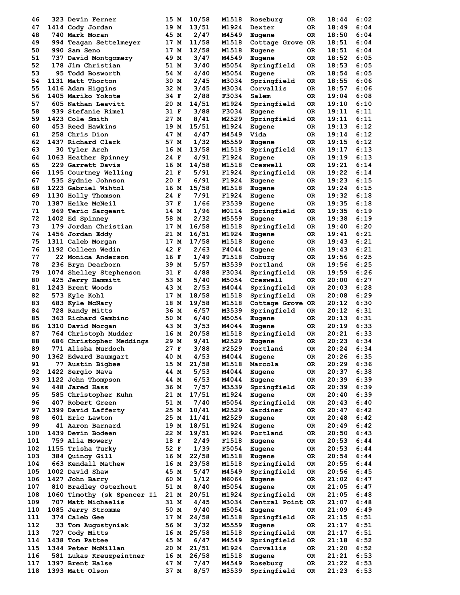| 46  | <b>323 Devin Ferner</b>     | 15 M | 10/58 | M1518 | Roseburg         | 0R  | 18:44 | 6:02 |
|-----|-----------------------------|------|-------|-------|------------------|-----|-------|------|
| 47  | 1414 Cody Jordan            | 19 M | 13/51 | M1924 | Dexter           | 0R  | 18:49 | 6:04 |
| 48  | 740 Mark Moran              | 45 M | 2/47  | M4549 | Eugene           | OR. | 18:50 | 6:04 |
| 49  | 994 Teagan Settelmeyer      | 17 M | 11/58 | M1518 | Cottage Grove    | OR  | 18:51 | 6:04 |
| 50  | 990 Sam Seno                | 17 M | 12/58 | M1518 | Eugene           | 0R  | 18:51 | 6:04 |
| 51  | 737 David Montgomery        | 49 M | 3/47  | M4549 | Eugene           | 0R  | 18:52 | 6:05 |
| 52  | 178 Jim Christian           | 51 M | 3/40  | M5054 | Springfield      | OR. | 18:53 | 6:05 |
| 53  | 95 Todd Bosworth            | 54 M | 4/40  | M5054 | Eugene           | OR. | 18:54 | 6:05 |
| 54  | 1131 Matt Thorton           | 30 M | 2/45  | M3034 | Springfield      | 0R  | 18:55 | 6:06 |
| 55  | 1416 Adam Higgins           | 32 M | 3/45  | M3034 | Corvallis        | 0R  | 18:57 | 6:06 |
| 56  | 1405 Mariko Yokote          | 34 F | 2/88  | F3034 | Salem            | OR  | 19:04 | 6:08 |
| 57  | 605 Nathan Leavitt          | 20 M | 14/51 | M1924 | Springfield      | OR. | 19:10 | 6:10 |
|     |                             |      |       |       |                  |     |       |      |
| 58  | 939 Stefanie Rimel          | 31 F | 3/88  | F3034 | Eugene           | 0R  | 19:11 | 6:11 |
| 59  | 1423 Cole Smith             | 27 M | 8/41  | M2529 | Springfield      | 0R  | 19:11 | 6:11 |
| 60  | 453 Reed Hawkins            | 19 M | 15/51 | M1924 | Eugene           | 0R  | 19:13 | 6:12 |
| 61  | 258 Chris Dion              | 47 M | 4/47  | M4549 | Vida             | 0R  | 19:14 | 6:12 |
| 62  | 1437 Richard Clark          | 57 M | 1/32  | M5559 | Eugene           | 0R  | 19:15 | 6:12 |
| 63  | <b>30 Tyler Arch</b>        | 16 M | 13/58 | M1518 | Springfield      | OR  | 19:17 | 6:13 |
| 64  | 1063 Heather Spinney        | 24 F | 4/91  | F1924 | Eugene           | 0R  | 19:19 | 6:13 |
| 65  | 229 Garrett Davis           | 16 M | 14/58 | M1518 | Creswell         | 0R  | 19:21 | 6:14 |
| 66  | 1195 Courtney Welling       | 21 F | 5/91  | F1924 | Springfield      | 0R  | 19:22 | 6:14 |
| 67  | 535 Sydnie Johnson          | 20 F | 6/91  | F1924 | Eugene           | 0R  | 19:23 | 6:15 |
| 68  | 1223 Gabriel Wihtol         | 16 M | 15/58 | M1518 | Eugene           | 0R  | 19:24 | 6:15 |
| 69  | 1130 Holly Thomson          | 24 F | 7/91  | F1924 | Eugene           | 0R  | 19:32 | 6:18 |
| 70  | 1387 Heike McNeil           | 37 F | 1/66  | F3539 |                  |     | 19:35 | 6:18 |
|     |                             |      |       |       | Eugene           | 0R  |       |      |
| 71  | 969 Teric Sargeant          | 14 M | 1/96  | M0114 | Springfield      | 0R  | 19:35 | 6:19 |
| 72  | 1402 Ed Spinney             | 58 M | 2/32  | M5559 | Eugene           | 0R  | 19:38 | 6:19 |
| 73  | 179 Jordan Christian        | 17 M | 16/58 | M1518 | Springfield      | OR  | 19:40 | 6:20 |
| 74  | 1456 Jordan Eddy            | 21 M | 16/51 | M1924 | Eugene           | 0R  | 19:41 | 6:21 |
| 75  | 1311 Caleb Morgan           | 17 M | 17/58 | M1518 | Eugene           | 0R  | 19:43 | 6:21 |
| 76  | 1192 Colleen Wedin          | 42 F | 2/63  | F4044 | Eugene           | OR  | 19:43 | 6:21 |
| 77  | 22 Monica Anderson          | 16 F | 1/49  | F1518 | Coburg           | 0R  | 19:56 | 6:25 |
| 78  | 236 Bryn Dearborn           | 39 M | 5/57  | M3539 | Portland         | 0R  | 19:56 | 6:25 |
| 79  | 1074 Shelley Stephenson     | 31 F | 4/88  | F3034 | Springfield      | 0R  | 19:59 | 6:26 |
| 80  | 425 Jerry Hammitt           | 53 M | 5/40  | M5054 | Creswell         | 0R  | 20:00 | 6:27 |
| 81  | 1243 Brent Woods            | 43 M | 2/53  | M4044 | Springfield      | 0R  | 20:03 | 6:28 |
| 82  | 573 Kyle Kohl               | 17 M | 18/58 | M1518 | Springfield      | 0R  | 20:08 | 6:29 |
| 83  | 683 Kyle McNary             | 18 M | 19/58 | M1518 |                  | OR  | 20:12 | 6:30 |
|     |                             |      |       |       | Cottage Grove    |     |       |      |
| 84  | 728 Randy Mitts             | 36 M | 6/57  | M3539 | Springfield      | 0R  | 20:12 | 6:31 |
| 85  | 363 Richard Gambino         | 50 M | 6/40  | M5054 | Eugene           | 0R  | 20:13 | 6:31 |
| 86  | 1310 David Morgan           | 43 M | 3/53  | M4044 | Eugene           | OR  | 20:19 | 6:33 |
| 87  | 764 Christoph Mudder        | 16 M | 20/58 | M1518 | Springfield      | OR. | 20:21 | 6:33 |
| 88  | 686 Christopher Meddings    | 29 M | 9/41  | M2529 | Eugene           | 0R  | 20:23 | 6:34 |
| 89  | 771 Alisha Murdoch          | 27 F | 3/88  | F2529 | Portland         | 0R  | 20:24 | 6:34 |
| 90  | 1362 Edward Baumgart        | 40 M | 4/53  | M4044 | Eugene           | 0R  | 20:26 | 6:35 |
| 91  | 77 Austin Bigbee            | 15 M | 21/58 | M1518 | Marcola          | 0R  | 20:29 | 6:36 |
| 92  | 1422 Sergio Nava            | 44 M | 5/53  | M4044 | Eugene           | 0R  | 20:37 | 6:38 |
| 93  | 1122 John Thompson          | 44 M | 6/53  | M4044 | Eugene           | OR  | 20:39 | 6:39 |
| 94  | 448 Jared Hass              | 36 M | 7/57  | M3539 | Springfield      | 0R  | 20:39 | 6:39 |
| 95  | 585 Christopher Kuhn        | 21 M | 17/51 | M1924 | Eugene           | 0R  | 20:40 | 6:39 |
| 96  | 407 Robert Green            | 51 M | 7/40  | M5054 | Springfield      | OR  | 20:43 | 6:40 |
| 97  |                             |      | 10/41 | M2529 |                  |     |       | 6:42 |
|     | 1399 David Lafferty         | 25 M |       |       | Gardiner         | OR  | 20:47 |      |
| 98  | 601 Eric Lawton             | 25 M | 11/41 | M2529 | Eugene           | OR  | 20:48 | 6:42 |
| 99  | 41 Aaron Barnard            | 19 M | 18/51 | M1924 | Eugene           | OR  | 20:49 | 6:42 |
| 100 | 1439 Devin Bodeen           | 22 M | 19/51 | M1924 | Portland         | 0R  | 20:50 | 6:43 |
| 101 | 759 Alia Mowery             | 18 F | 2/49  | F1518 | Eugene           | 0R  | 20:53 | 6:44 |
| 102 | 1155 Trisha Turky           | 52 F | 1/39  | F5054 | Eugene           | 0R  | 20:53 | 6:44 |
| 103 | 384 Quincy Gill             | 16 M | 22/58 | M1518 | Eugene           | OR  | 20:54 | 6:44 |
| 104 | 663 Kendall Mathew          | 16 M | 23/58 | M1518 | Springfield      | OR  | 20:55 | 6:44 |
| 105 | 1002 David Shaw             | 45 M | 5/47  | M4549 | Springfield      | 0R  | 20:56 | 6:45 |
| 106 | 1427 John Barry             | 60 M | 1/12  | M6064 | Eugene           | OR  | 21:02 | 6:47 |
| 107 | 810 Bradley Osterhout       | 51 M | 8/40  | M5054 | Eugene           | 0R  | 21:05 | 6:47 |
| 108 | 1060 Timothy (sk Spencer Ii | 21 M | 20/51 | M1924 | Springfield      | ОR  | 21:05 | 6:48 |
| 109 | 707 Matt Michaelis          | 31 M | 4/45  | M3034 | Central Point OR |     | 21:07 | 6:48 |
| 110 |                             | 50 M | 9/40  | M5054 |                  | OR  | 21:09 | 6:49 |
|     | 1085 Jerry Stromme          |      |       |       | Eugene           |     |       |      |
| 111 | <b>374 Caleb Gee</b>        | 17 M | 24/58 | M1518 | Springfield      | 0R  | 21:15 | 6:51 |
| 112 | 33 Tom Augustyniak          | 56 M | 3/32  | M5559 | Eugene           | 0R  | 21:17 | 6:51 |
| 113 | 727 Cody Mitts              | 16 M | 25/58 | M1518 | Springfield      | OR  | 21:17 | 6:51 |
| 114 | 1438 Tom Pattee             | 45 M | 6/47  | M4549 | Springfield      | 0R  | 21:18 | 6:52 |
| 115 | 1344 Peter McMillan         | 20 M | 21/51 | M1924 | Corvallis        | 0R  | 21:20 | 6:52 |
| 116 | 581 Lukas Kreuzpeintner     | 16 M | 26/58 | M1518 | Eugene           | OR  | 21:21 | 6:53 |
| 117 | 1397 Brent Halse            | 47 M | 7/47  | M4549 | Roseburg         | 0R  | 21:22 | 6:53 |
| 118 | 1393 Matt Olson             | 37 M | 8/57  | M3539 | Springfield      | 0R  | 21:23 | 6:53 |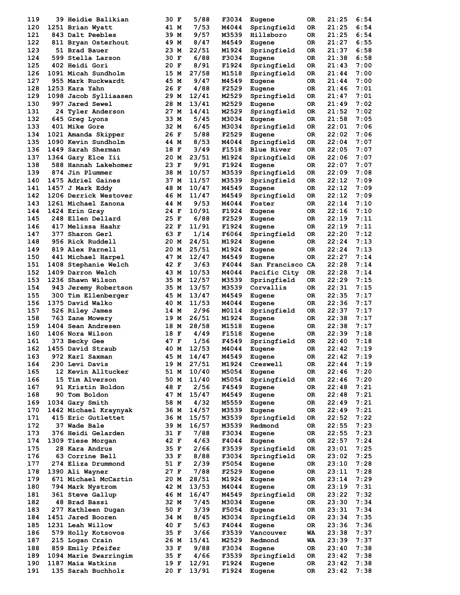| 119 | 39 Heidie Balikian    | 30 F | 5/88  | F3034 | Eugene           | OR. | 21:25 | 6:54 |
|-----|-----------------------|------|-------|-------|------------------|-----|-------|------|
| 120 | 1251 Brian Wyatt      | 41 M | 7/53  | M4044 | Springfield      | 0R. | 21:25 | 6:54 |
| 121 | 843 Dalt Peebles      | 39 M | 9/57  | M3539 | Hillsboro        | 0R. | 21:25 | 6:54 |
| 122 | 811 Bryan Osterhout   | 49 M | 8/47  | M4549 | Eugene           | OR. | 21:27 | 6:55 |
| 123 | 51 Brad Bauer         | 23 M | 22/51 | M1924 | Springfield      | 0R  | 21:37 | 6:58 |
| 124 | 599 Stella Larson     | 30 F | 6/88  | F3034 | Eugene           | OR. | 21:38 | 6:58 |
| 125 | <b>402 Heidi Gori</b> | 20 F | 8/91  | F1924 | Springfield      | 0R  | 21:43 | 7:00 |
| 126 | 1091 Micah Sundholm   | 15 M | 27/58 | M1518 | Springfield      | OR. | 21:44 | 7:00 |
| 127 | 955 Mark Ruckwardt    | 45 M | 9/47  | M4549 | Eugene           | 0R. | 21:44 | 7:00 |
| 128 | 1253 Kara Yahn        | 26 F | 4/88  | F2529 | Eugene           | 0R  | 21:46 | 7:01 |
| 129 | 1098 Jacob Sylliaasen | 29 M | 12/41 | M2529 | Springfield      | OR  | 21:47 | 7:01 |
| 130 | 997 Jared Sewel       | 28 M | 13/41 | M2529 | Eugene           | OR. | 21:49 | 7:02 |
| 131 | 24 Tyler Anderson     | 27 M | 14/41 | M2529 | Springfield      | 0R  | 21:52 | 7:02 |
| 132 | 645 Greg Lyons        | 33 M | 5/45  | M3034 | Eugene           | 0R  | 21:58 | 7:05 |
| 133 | 401 Mike Gore         | 32 M | 6/45  | M3034 | Springfield      | 0R  | 22:01 | 7:06 |
| 134 | 1021 Amanda Skipper   | 26 F | 5/88  | F2529 | Eugene           | 0R  | 22:02 | 7:06 |
| 135 | 1090 Kevin Sundholm   | 44 M | 8/53  | M4044 | Springfield      | 0R  | 22:04 | 7:07 |
| 136 | 1449 Sarah Sherman    | 18 F | 3/49  | F1518 | Blue River       | OR. | 22:05 | 7:07 |
| 137 | 1364 Gary Elce Iii    | 20 M | 23/51 | M1924 | Springfield      | 0R  | 22:06 | 7:07 |
| 138 | 588 Hannah Lakehomer  | 23 F | 9/91  | F1924 | Eugene           | 0R  | 22:07 | 7:07 |
| 139 | 874 Jin Plummer       | 38 M | 10/57 | M3539 | Springfield      | OR. | 22:09 | 7:08 |
| 140 | 1475 Adriel Gaines    | 37 M | 11/57 | M3539 | Springfield      | 0R  | 22:12 | 7:09 |
| 141 | 1457 J Mark Eddy      | 48 M | 10/47 | M4549 | Eugene           | 0R  | 22:12 | 7:09 |
| 142 | 1206 Derrick Westover | 46 M | 11/47 | M4549 | Springfield      | 0R  | 22:12 | 7:09 |
| 143 | 1261 Michael Zanona   | 44 M | 9/53  | M4044 | Foster           | 0R  | 22:14 | 7:10 |
| 144 | 1424 Erin Gray        | 24 F | 10/91 | F1924 | Eugene           | OR. | 22:16 | 7:10 |
| 145 | 248 Ellen Dellard     | 25 F | 6/88  | F2529 | Eugene           | OR  | 22:19 | 7:11 |
| 146 | 417 Melissa Haahr     | 22 F | 11/91 | F1924 | Eugene           | OR. | 22:19 | 7:11 |
| 147 | 377 Sharon Gerl       | 63 F | 1/14  | F6064 | Springfield      | OR. | 22:20 | 7:12 |
| 148 | 956 Rick Ruddell      | 20 M | 24/51 | M1924 | Eugene           | 0R  | 22:24 | 7:13 |
| 149 | 819 Alex Parnell      | 20 M | 25/51 | M1924 | Eugene           | OR  | 22:24 | 7:13 |
| 150 | 441 Michael Harpel    | 47 M | 12/47 | M4549 | Eugene           | OR. | 22:27 | 7:14 |
| 151 | 1408 Stephanie Welch  | 42 F | 3/63  | F4044 | San Francisco CA |     | 22:28 | 7:14 |
| 152 | 1409 Darron Welch     | 43 M | 10/53 | M4044 | Pacific City     | 0R  | 22:28 | 7:14 |
| 153 | 1236 Shawn Wilson     | 35 M | 12/57 | M3539 | Springfield      | 0R  | 22:29 | 7:15 |
| 154 | 943 Jeremy Robertson  | 35 M | 13/57 | M3539 | Corvallis        | OR. | 22:31 | 7:15 |
| 155 | 300 Tim Ellenberger   | 45 M | 13/47 | M4549 | Eugene           | 0R  | 22:35 | 7:17 |
| 156 | 1375 David Walko      | 40 M | 11/53 | M4044 | Eugene           | 0R  | 22:36 | 7:17 |
| 157 | 526 Riley James       | 14 M | 2/96  | M0114 | Springfield      | OR. | 22:37 | 7:17 |
| 158 | 763 Zane Mowery       | 19 M | 26/51 | M1924 | Eugene           | OR. | 22:38 | 7:17 |
| 159 | 1404 Sean Andresen    | 18 M | 28/58 | M1518 | Eugene           | OR. | 22:38 | 7:17 |
| 160 | 1406 Nora Wilson      | 18 F | 4/49  | F1518 | Eugene           | OR. | 22:39 | 7:18 |
| 161 | 373 Becky Gee         | 47 F | 1/56  | F4549 | Springfield      | 0R. | 22:40 | 7:18 |
| 162 | 1455 David Straub     | 40 M | 12/53 | M4044 | Eugene           | 0R  | 22:42 | 7:19 |
| 163 | 972 Karl Saxman       | 45 M | 14/47 | M4549 | Eugene           | 0R  | 22:42 | 7:19 |
| 164 | 230 Levi Davis        | 19 M | 27/51 | M1924 | Creswell         | OR  | 22:44 | 7:19 |
| 165 | 12 Kevin Alltucker    | 51 M | 10/40 | M5054 | Eugene           | OR  | 22:46 | 7:20 |
| 166 | 15 Tim Alverson       | 50 M | 11/40 | M5054 | Springfield      | OR  | 22:46 | 7:20 |
| 167 | 91 Kristin Boldon     | 48 F | 2/56  | F4549 | Eugene           | OR  | 22:48 | 7:21 |
| 168 | 90 Tom Boldon         | 47 M | 15/47 | M4549 | Eugene           | OR  | 22:48 | 7:21 |
| 169 | 1034 Gary Smith       | 58 M | 4/32  | M5559 | Eugene           | OR  | 22:49 | 7:21 |
| 170 | 1442 Michael Kraynyak | 36 M | 14/57 | M3539 | Eugene           | OR  | 22:49 | 7:21 |
| 171 | 415 Eric Gutlettet    | 36 M | 15/57 | M3539 | Springfield      | OR  | 22:52 | 7:22 |
| 172 | 37 Wade Bale          | 39 M | 16/57 | M3539 | Redmond          | OR  | 22:55 | 7:23 |
| 173 | 376 Heidi Gelarden    | 31 F | 7/88  | F3034 | Eugene           | OR  | 22:55 | 7:23 |
| 174 | 1309 Tiese Morgan     | 42 F | 4/63  | F4044 | Eugene           | OR  | 22:57 | 7:24 |
| 175 | 28 Kara Andrus        | 35 F | 2/66  | F3539 | Springfield      | OR  | 23:01 | 7:25 |
| 176 | 63 Corrine Bell       | 33 F | 8/88  | F3034 | Springfield      | OR  | 23:02 | 7:25 |
| 177 | 274 Eliza Drummond    | 51 F | 2/39  | F5054 | Eugene           | OR  | 23:10 | 7:28 |
| 178 | 1390 Ali Wayner       | 27 F | 7/88  | F2529 | Eugene           | OR  | 23:11 | 7:28 |
| 179 | 671 Michael McCartin  | 20 M | 28/51 | M1924 | Eugene           | OR  | 23:14 | 7:29 |
| 180 | 794 Mark Nystrom      | 42 M | 13/53 | M4044 | Eugene           | OR  | 23:19 | 7:31 |
| 181 | 361 Steve Gallup      | 46 M | 16/47 | M4549 | Springfield      | OR  | 23:22 | 7:32 |
| 182 | 48 Brad Bassi         | 32 M | 7/45  | M3034 | Eugene           | OR. | 23:30 | 7:34 |
| 183 | 277 Kathleen Dugan    | 50 F | 3/39  | F5054 | Eugene           | OR  | 23:31 | 7:34 |
| 184 | 1451 Jared Booren     | 34 M | 8/45  | M3034 | Springfield      | OR  | 23:34 | 7:35 |
| 185 | 1231 Leah Willow      | 40 F | 5/63  | F4044 | Eugene           | OR  | 23:36 | 7:36 |
| 186 | 579 Holly Kotsovos    | 35 F | 3/66  | F3539 | Vancouver        | WA  | 23:38 | 7:37 |
| 187 | 215 Logan Crain       | 26 M | 15/41 | M2529 | Redmond          | WA  | 23:39 | 7:37 |
| 188 | 859 Emily Pfeifer     | 33 F | 9/88  | F3034 | Eugene           | OR  | 23:40 | 7:38 |
| 189 | 1094 Marie Swarringim | 35 F | 4/66  | F3539 | Springfield      | OR  | 23:42 | 7:38 |
| 190 | 1187 Maia Watkins     | 19 F | 12/91 | F1924 | Eugene           | OR  | 23:42 | 7:38 |
| 191 | 135 Sarah Buchholz    | 20 F | 13/91 | F1924 | Eugene           | OR  | 23:42 | 7:38 |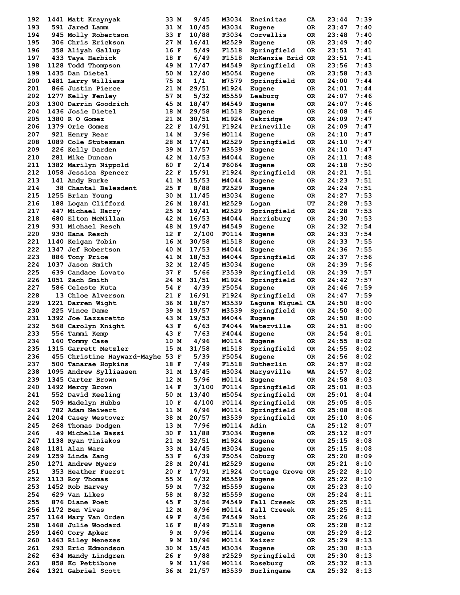| 192 | 1441 Matt Kraynyak               | 33 M |     | 9/45  | M3034 | Encinitas        | CA  | 23:44 | 7:39 |
|-----|----------------------------------|------|-----|-------|-------|------------------|-----|-------|------|
| 193 | 591 Jared Lamm                   | 31 M |     | 10/45 | M3034 | Eugene           | 0R. | 23:47 | 7:40 |
| 194 | 945 Molly Robertson              | 33 F |     | 10/88 | F3034 | Corvallis        | 0R. | 23:48 | 7:40 |
| 195 | 306 Chris Erickson               | 27 M |     | 16/41 | M2529 | Eugene           | OR. | 23:49 | 7:40 |
| 196 | 358 Aliyah Gallup                | 16 F |     | 5/49  | F1518 | Springfield      | 0R  | 23:51 | 7:41 |
| 197 | 433 Taya Harbick                 | 18 F |     | 6/49  | F1518 | McKenzie Brid OR |     | 23:51 | 7:41 |
| 198 | 1128 Todd Thompson               | 49 M |     | 17/47 | M4549 | Springfield      | 0R  | 23:56 | 7:43 |
| 199 | 1435 Dan Dietel                  | 50 M |     | 12/40 | M5054 | Eugene           | 0R. | 23:58 | 7:43 |
| 200 | 1481 Larry Williams              | 75 M |     | 1/1   | M7579 | Springfield      | 0R. | 24:00 | 7:44 |
| 201 | 866 Justin Pierce                | 21 M |     | 29/51 | M1924 | Eugene           | 0R. | 24:01 | 7:44 |
| 202 | 1277 Kelly Fenley                | 57 M |     | 5/32  | M5559 | Leaburg          | 0R  | 24:07 | 7:46 |
| 203 | 1300 Darrin Goodrich             | 45 M |     | 18/47 | M4549 | Eugene           | OR. | 24:07 | 7:46 |
| 204 | 1436 Josie Dietel                | 18 M |     | 29/58 | M1518 | Eugene           | OR. | 24:08 | 7:46 |
| 205 | 1380 R O Gomez                   | 21 M |     | 30/51 | M1924 | Oakridge         | 0R  | 24:09 | 7:47 |
| 206 | 1379 Orie Gomez                  | 22 F |     | 14/91 | F1924 | Prineville       | 0R. | 24:09 | 7:47 |
| 207 | 921 Henry Rear                   | 14 M |     | 3/96  | M0114 | Eugene           | OR. | 24:10 | 7:47 |
| 208 | 1089 Cole Stutesman              | 28 M |     | 17/41 | M2529 | Springfield      | 0R  | 24:10 | 7:47 |
| 209 | 226 Kelly Darden                 | 39 M |     | 17/57 | M3539 | Eugene           | OR. | 24:10 | 7:47 |
| 210 | 281 Mike Duncan                  | 42 M |     | 14/53 | M4044 | Eugene           | 0R. | 24:11 | 7:48 |
| 211 | 1382 Marilyn Nippold             | 60 F |     | 2/14  | F6064 | Eugene           | 0R. | 24:18 | 7:50 |
| 212 | 1058 Jessica Spencer             | 22 F |     | 15/91 | F1924 | Springfield      | OR  | 24:21 | 7:51 |
| 213 | 141 Andy Burke                   | 41 M |     | 15/53 | M4044 | Eugene           | OR. | 24:23 | 7:51 |
| 214 | 38 Chantal Balesdent             | 25 F |     | 8/88  | F2529 | Eugene           | OR. | 24:24 | 7:51 |
| 215 | 1255 Brian Young                 | 30 M |     | 11/45 | M3034 | Eugene           | OR  | 24:27 | 7:53 |
| 216 | 188 Logan Clifford               | 26 M |     | 18/41 | M2529 | Logan            | UT  | 24:28 | 7:53 |
| 217 | 447 Michael Harry                | 25 M |     | 19/41 | M2529 | Springfield      | OR. | 24:28 | 7:53 |
| 218 | 680 Elton McMillan               | 42 M |     | 16/53 | M4044 | Harrisburg       | OR  | 24:30 | 7:53 |
| 219 | 931 Michael Resch                | 48 M |     | 19/47 | M4549 | Eugene           | OR. | 24:32 | 7:54 |
| 220 | 930 Hana Resch                   | 12 F |     | 2/100 | F0114 | Eugene           | 0R. | 24:33 | 7:54 |
| 221 | 1140 Keigan Tobin                | 16 M |     | 30/58 | M1518 | Eugene           | 0R  | 24:33 | 7:55 |
| 222 | 1347 Jef Robertson               | 40 M |     | 17/53 | M4044 | Eugene           | 0R  | 24:36 | 7:55 |
| 223 | 886 Tony Price                   | 41 M |     | 18/53 | M4044 | Springfield      | 0R  | 24:37 | 7:56 |
| 224 | 1037 Jason Smith                 | 32 M |     | 12/45 | M3034 | Eugene           | 0R. | 24:39 | 7:56 |
| 225 | 639 Candace Lovato               | 37 F |     | 5/66  | F3539 | Springfield      | 0R  | 24:39 | 7:57 |
| 226 | 1051 Zach Smith                  | 24 M |     | 31/51 | M1924 | Springfield      | 0R. | 24:42 | 7:57 |
| 227 | 586 Celeste Kuta                 | 54 F |     | 4/39  | F5054 | Eugene           | 0R  | 24:46 | 7:59 |
| 228 | 13 Chloe Alverson                | 21 F |     | 16/91 | F1924 | Springfield      | 0R  | 24:47 | 7:59 |
| 229 | 1221 Darren Wight                | 36 M |     | 18/57 | M3539 | Laguna Niguel CA |     | 24:50 | 8:00 |
| 230 | 225 Vince Dame                   | 39 M |     | 19/57 | M3539 | Springfield      | 0R. | 24:50 | 8:00 |
| 231 | 1392 Joe Lazzaretto              | 43 M |     | 19/53 | M4044 | Eugene           | 0R  | 24:50 | 8:00 |
| 232 | 568 Carolyn Knight               | 43 F |     | 6/63  | F4044 | Waterville       | 0R  | 24:51 | 8:00 |
| 233 | 556 Tammi Kemp                   | 43 F |     | 7/63  | F4044 | Eugene           | OR. | 24:54 | 8:01 |
| 234 | 160 Tommy Case                   | 10 M |     | 4/96  | M0114 | Eugene           | OR  | 24:55 | 8:02 |
| 235 | 1315 Garrett Metzler             | 15 M |     | 31/58 | M1518 | Springfield      | ОR  | 24:55 | 8:02 |
| 236 | 455 Christine Hayward-Mayhe 53 F |      |     | 5/39  | F5054 | Eugene           | OR  | 24:56 | 8:02 |
| 237 | 500 Tanarae Hopkins              | 18 F |     | 7/49  | F1518 | Sutherlin        | OR  | 24:57 | 8:02 |
| 238 | 1095 Andrew Sylliaasen           | 31 M |     | 13/45 | M3034 | Marysville       | WA  | 24:57 | 8:02 |
| 239 | 1345 Carter Brown                | 12 M |     | 5/96  | M0114 | Eugene           | OR  | 24:58 | 8:03 |
| 240 | 1492 Mercy Brown                 | 14 F |     | 3/100 | F0114 | Springfield      | OR  | 25:01 | 8:03 |
| 241 | 552 David Keeling                | 50 M |     | 13/40 | M5054 | Springfield      | OR  | 25:01 | 8:04 |
| 242 | 509 Madelyn Hubbs                | 10 F |     | 4/100 | F0114 | Springfield      | OR  | 25:05 | 8:05 |
| 243 | 782 Adam Neiwert                 | 11 M |     | 6/96  | M0114 | Springfield      | OR  | 25:08 | 8:06 |
| 244 | 1204 Casey Westover              | 38 M |     | 20/57 | M3539 | Springfield      | OR  | 25:10 | 8:06 |
| 245 | 268 Thomas Dodgen                | 13 M |     | 7/96  | M0114 | Adin             | CA  | 25:12 | 8:07 |
| 246 | 49 Michelle Bassi                | 30 F |     | 11/88 | F3034 | Eugene           | 0R  | 25:12 | 8:07 |
| 247 | 1138 Ryan Tiniakos               | 21 M |     | 32/51 | M1924 | Eugene           | 0R  | 25:15 | 8:08 |
| 248 | 1181 Alan Ware                   | 33 M |     | 14/45 | M3034 | Eugene           | OR  | 25:15 | 8:08 |
| 249 | 1259 Linda Zang                  | 53 F |     | 6/39  | F5054 | Coburg           | OR  | 25:20 | 8:09 |
| 250 | 1271 Andrew Myers                | 28 M |     | 20/41 | M2529 | Eugene           | OR  | 25:21 | 8:10 |
| 251 | 353 Heather Fuerst               | 20 F |     | 17/91 | F1924 | Cottage Grove OR |     | 25:22 | 8:10 |
| 252 | 1113 Roy Thomas                  | 55 M |     | 6/32  | M5559 | Eugene           | OR  | 25:22 | 8:10 |
| 253 | 1452 Rob Harvey                  | 59 M |     | 7/32  | M5559 | Eugene           | OR  | 25:23 | 8:10 |
| 254 | 629 Van Likes                    | 58 M |     | 8/32  | M5559 | Eugene           | OR  | 25:24 | 8:11 |
| 255 | 876 Diane Poet                   | 45 F |     | 3/56  | F4549 | Fall Creeek      | OR  | 25:25 | 8:11 |
| 256 | 1172 Ben Vivas                   | 12 M |     | 8/96  | M0114 | Fall Creeek      | OR  | 25:25 | 8:11 |
| 257 | 1164 Mary Van Orden              | 49 F |     | 4/56  | F4549 | Noti             | OR  | 25:26 | 8:12 |
| 258 | 1468 Julie Woodard               | 16 F |     | 8/49  | F1518 | Eugene           | OR  | 25:28 | 8:12 |
| 259 | 1460 Cory Apker                  |      | 9 M | 9/96  | M0114 | Eugene           | OR  | 25:29 | 8:12 |
| 260 | 1463 Riley Menezes               |      | 9 M | 10/96 | M0114 | Keizer           | OR  | 25:29 | 8:13 |
| 261 | 293 Eric Edmondson               | 30 M |     | 15/45 | M3034 | Eugene           | OR  | 25:30 | 8:13 |
| 262 | 634 Mandy Lindgren               | 26 F |     | 9/88  | F2529 | Springfield      | 0R  | 25:30 | 8:13 |
| 263 | 858 Kc Pettibone                 | 9 M  |     | 11/96 | M0114 | Roseburg         | OR  | 25:32 | 8:13 |
|     | 1321 Gabriel Scott               | 36 M |     | 21/57 | M3539 | Burlingame       | CA  | 25:32 | 8:13 |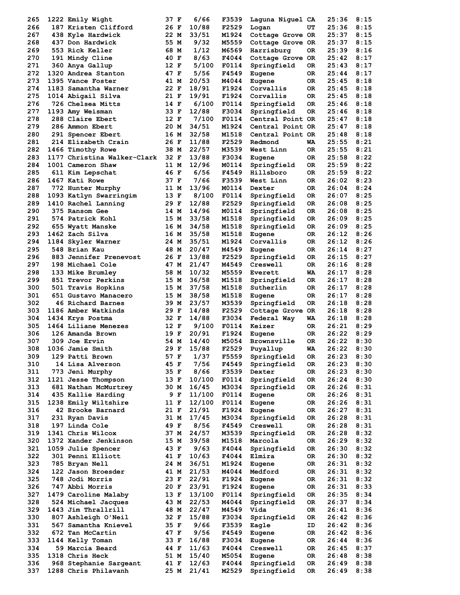| 265        | 1222 Emily Wight                               | 37 F         | 6/66           | F3539          | Laguna Niguel CA           |           | 25:36          | 8:15         |
|------------|------------------------------------------------|--------------|----------------|----------------|----------------------------|-----------|----------------|--------------|
| 266        | 187 Kristen Clifford                           | 26 F         | 10/88          | F2529          | Logan                      | UT        | 25:36          | 8:15         |
| 267        | 438 Kyle Hardwick                              | 22 M         | 33/51          | M1924          | Cottage Grove OR           |           | 25:37          | 8:15         |
| 268        | 437 Don Hardwick                               | 55 M         | 9/32           | M5559          | Cottage Grove OR           |           | 25:37          | 8:15         |
| 269        | 553 Rick Keller                                | 68 M         | 1/12           | M6569          | Harrisburg                 | OR.       | 25:39          | 8:16         |
| 270        | 191 Mindy Cline                                | 40 F         | 8/63           | F4044          | Cottage Grove OR           |           | 25:42          | 8:17         |
| 271        | 360 Anya Gallup                                | 12 F         | 5/100          | F0114          | Springfield                | 0R        | 25:43          | 8:17         |
| 272        | 1320 Andrea Stanton                            | 47 F         | 5/56           | F4549          | Eugene                     | OR.       | 25:44          | 8:17         |
| 273        | 1395 Vance Foster                              | 41 M         | 20/53          | M4044          | Eugene                     | OR.       | 25:45          | 8:18         |
| 274        | 1183 Samantha Warner                           | 22 F         | 18/91          | F1924          | Corvallis                  | 0R        | 25:45          | 8:18         |
| 275        | 1014 Abigail Silva                             | 21 F         | 19/91          | F1924          | Corvallis                  | OR.       | 25:45          | 8:18         |
| 276        | 726 Chelsea Mitts                              | 14 F         | 6/100          | F0114          | Springfield                | OR.       | 25:46          | 8:18         |
| 277        | 1193 Amy Weisman                               | 33 F         | 12/88          | F3034          | Springfield                | 0R        | 25:46          | 8:18         |
| 278        | 288 Claire Ebert                               | 12 F         | 7/100          | F0114          | Central Point OR           |           | 25:47          | 8:18         |
| 279        | 286 Ammon Ebert                                | 20 M         | 34/51          | M1924          | Central Point OR           |           | 25:47          | 8:18         |
| 280        | 291 Spencer Ebert                              | 16 M         | 32/58          | M1518          | Central Point OR           |           | 25:48          | 8:18         |
| 281        | 214 Elizabeth Crain                            | 26 F         | 11/88          | F2529          | Redmond                    | WA        | 25:55          | 8:21         |
| 282        | 1466 Timothy Rowe                              | 38 M         | 22/57          | M3539          | West Linn                  | OR.       | 25:55          | 8:21         |
| 283        | 1177 Christina Walker-Clark                    | 32 F         | 13/88          | F3034          | Eugene                     | 0R        | 25:58          | 8:22         |
| 284        | 1001 Cameron Shaw                              | 11 M         | 12/96          | M0114          | Springfield                | OR        | 25:59          | 8:22         |
| 285        | 611 Kim Lepschat                               | 46 F         | 6/56           | F4549          | Hillsboro                  | OR.       | 25:59          | 8:22         |
| 286        | 1467 Kati Rowe                                 | 37 F         | 7/66           | F3539          | West Linn                  | OR.       | 26:02          | 8:23         |
| 287        | 772 Hunter Murphy                              | 11 M         | 13/96          | M0114          | Dexter                     | OR        | 26:04          | 8:24         |
| 288        | 1093 Katlyn Swarringim                         | 13 F         | 8/100          | F0114          | Springfield                | OR        | 26:07          | 8:25         |
| 289        | 1410 Rachel Lanning                            | 29 F         | 12/88          | F2529          | Springfield                | 0R        | 26:08          | 8:25         |
| 290        | 375 Ransom Gee                                 | 14 M         | 14/96          | M0114          | Springfield                | 0R        | 26:08          | 8:25         |
| 291        | 574 Patrick Kohl                               | 15 M         | 33/58          | M1518          | Springfield                | 0R        | 26:09          | 8:25         |
| 292        | 655 Wyatt Manske                               | 16 M         | 34/58          | M1518          | Springfield                |           | 26:09          | 8:25         |
| 293        | 1462 Zach Silva                                | 16 M         | 35/58          | M1518          |                            | OR.<br>0R | 26:12          | 8:26         |
| 294        | 1184 Skyler Warner                             | 24 M         | 35/51          | M1924          | Eugene<br>Corvallis        |           | 26:12          | 8:26         |
| 295        |                                                |              |                | M4549          |                            | 0R        | 26:14          | 8:27         |
| 296        | 548 Brian Kau<br>883 Jennifer Prenevost        | 48 M         | 20/47          | F2529          | Eugene                     | OR.       | 26:15          | 8:27         |
| 297        |                                                | 26 F         | 13/88          |                | Springfield                | 0R        |                |              |
| 298        | 198 Michael Cole                               | 47 M         | 21/47          | M4549          | Creswell                   | OR.       | 26:16          | 8:28         |
|            | 133 Mike Brumley                               | 58 M         | 10/32          | M5559          | Everett                    | WA        | 26:17          | 8:28         |
| 299        | 851 Trevor Perkins                             | 15 M         | 36/58          | M1518          | Springfield                | 0R        | 26:17          | 8:28         |
| 300        | 501 Travis Hopkins                             | 15 M         | 37/58          | M1518          | Sutherlin                  | OR.       | 26:17          | 8:28         |
| 301        | 651 Gustavo Manacero                           | 15 M         | 38/58          | M1518          | Eugene                     | OR        | 26:17          | 8:28         |
| 302        | 46 Richard Barnes                              | 39 M         | 23/57          | M3539          | Springfield                | 0R        | 26:18          | 8:28         |
| 303        | 1186 Amber Watkinds                            | 29 F         | 14/88          | F2529          | Cottage Grove OR           |           | 26:18          | 8:28         |
| 304        | 1434 Krys Postma                               | 32 F         | 14/88          | F3034          | Federal Way                | WA        | 26:18          | 8:28         |
| 305        | 1464 Liliane Menezes                           | 12 F         | 9/100          | F0114          | Keizer                     | 0R        | 26:21          | 8:29         |
| 306        | 126 Amanda Brown                               | 19 F         | 20/91          | F1924          | Eugene                     | OR.       | 26:22          | 8:29         |
| 307        | 309 Joe Ervin                                  | 54 M         | 14/40          | M5054          | Brownsville                | OR.       | 26:22          | 8:30         |
| 308        | 1036 Jamie Smith                               | 29 F         | 15/88          | F2529          | Puyallup                   | WA        | 26:22          | 8:30         |
| 309        | 129 Patti Brown                                | 57 F         | 1/37           | F5559          | Springfield                | 0R        | 26:23          | 8:30         |
| 310        | 14 Lisa Alverson                               | 45 F         | 7/56           | F4549          | Springfield                | OR        | 26:23          | 8:30         |
| 311        | 773 Jeni Murphy                                | 35 F         | 8/66           | F3539          | Dexter                     | OR        | 26:23          | 8:30         |
| 312        | 1121 Jesse Thompson                            | 13 F         | 10/100         | F0114          | Springfield                | OR        | 26:24          | 8:30         |
| 313        | 681 Nathan McMurtrey                           | 30 M         | 16/45          | M3034          | Springfield                | OR        | 26:26          | 8:31         |
| 314        | 435 Kallie Harding                             | 9 F          | 11/100         | F0114          | Eugene                     | OR        | 26:26          | 8:31         |
| 315        | 1238 Emily Wiltshire                           | 11 F         | 12/100         | F0114          | Eugene                     | OR        | 26:26          | 8:31         |
| 316        | 42 Brooke Barnard                              | 21 F         | 21/91          | F1924          | Eugene                     | OR        | 26:27          | 8:31         |
| 317        | 231 Ryan Davis                                 | 31 M         | 17/45          | M3034          | Springfield                | OR        | 26:28          | 8:31         |
| 318        | 197 Linda Cole                                 | 49 F         | 8/56           | F4549          | Creswell                   | OR        | 26:28          | 8:31         |
| 319        | 1341 Chris Wilcox                              | 37 M         | 24/57          | M3539          | Springfield                | OR        | 26:28          | 8:32         |
| 320        | 1372 Xander Jenkinson                          | 15 M         | 39/58          | M1518          | Marcola                    | OR        | 26:29          | 8:32         |
| 321        | 1059 Julie Spencer                             | 43 F         | 9/63           | F4044          | Springfield                | OR        | 26:30          | 8:32         |
| 322        | 301 Penni Elliott                              | 41 F         | 10/63          | F4044          | Elmira                     | OR        | 26:30          | 8:32         |
| 323        | 785 Bryan Nell                                 | 24 M         | 36/51          | M1924          | Eugene                     | OR        | 26:31          | 8:32         |
| 324        | 122 Jason Broesder                             | 41 M         | 21/53          | M4044          | Medford                    | OR        | 26:31          | 8:32         |
| 325        | 748 Jodi Morris                                | 23 F         | 22/91          | F1924          | Eugene                     | OR        | 26:31          | 8:32         |
| 326        | 747 Abbi Morris                                | 20 F         | 23/91          | F1924          | Eugene                     | OR        | 26:31          | 8:33         |
| 327        | 1479 Caroline Malaby                           | 13 F         | 13/100         | F0114          | Springfield                | OR        | 26:35          | 8:34         |
| 328        | 524 Michael Jacques                            | 43 M         | 22/53          | M4044          | Springfield                | OR        | 26:37          | 8:34         |
| 329        | 1443 Jim Thrallrill                            | 48 M         | 22/47          | M4549          | Vida                       | OR        | 26:41          | 8:36         |
| 330        | 807 Ashleigh O'Neil                            | 32 F         | 15/88          | F3034          | Springfield                | OR        | 26:42          | 8:36         |
| 331        | 567 Samantha Knievel                           | 35 F         | 9/66           | F3539          | Eagle                      | ID        | 26:42          | 8:36         |
| 332        |                                                | 47 F         | 9/56           | F4549          | Eugene                     | OR        | 26:42          | 8:36         |
|            | 672 Tan McCartin                               |              |                |                |                            |           |                |              |
| 333        | 1144 Kelly Toman                               | 33 F         | 16/88          | F3034          | Eugene                     | OR        | 26:44          | 8:36         |
| 334        | 59 Marcia Beard                                | 44 F         | 11/63          | F4044          | Creswell                   | OR        | 26:45          | 8:37         |
| 335        | 1318 Chris Heck                                | 51 M         | 15/40          | M5054          | Eugene                     | OR        | 26:48          | 8:38         |
| 336<br>337 | 968 Stephanie Sargeant<br>1288 Chris Philavanh | 41 F<br>25 M | 12/63<br>21/41 | F4044<br>M2529 | Springfield<br>Springfield | OR<br>0R  | 26:49<br>26:49 | 8:38<br>8:38 |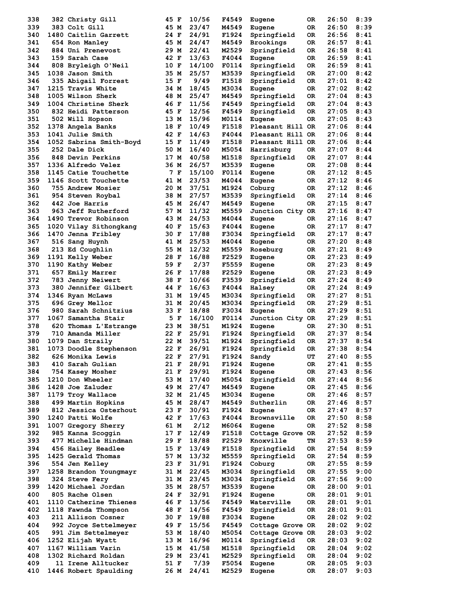| 338        | 382 Christy Gill                            | 45 F         |     | 10/56          | F4549          | Eugene                     | 0R         | 26:50          | 8:39         |
|------------|---------------------------------------------|--------------|-----|----------------|----------------|----------------------------|------------|----------------|--------------|
| 339        | 383 Colt Gill                               | 45 M         |     | 23/47          | M4549          | Eugene                     | 0R         | 26:50          | 8:39         |
| 340        | 1480 Caitlin Garrett                        | 24 F         |     | 24/91          | F1924          | Springfield                | 0R.        | 26:56          | 8:41         |
| 341        | 654 Ron Manley                              | 45 M         |     | 24/47          | M4549          | Brookings                  | OR.        | 26:57          | 8:41         |
| 342        | 884 Uni Prenevost                           | 29 M         |     | 22/41          | M2529          | Springfield                | 0R         | 26:58          | 8:41         |
| 343        | 159 Sarah Case                              | 42 F         |     | 13/63          | F4044          | Eugene                     | 0R.        | 26:59          | 8:41         |
| 344        | 808 Bryleigh O'Neil                         | 10 F         |     | 14/100         | F0114          | Springfield                | OR.        | 26:59          | 8:41         |
| 345<br>346 | 1038 Jason Smith<br>335 Abigail Forrest     | 35 M<br>15 F |     | 25/57<br>9/49  | M3539<br>F1518 | Springfield<br>Springfield | 0R<br>OR.  | 27:00<br>27:01 | 8:42<br>8:42 |
| 347        | 1215 Travis White                           | 34 M         |     | 18/45          | M3034          | Eugene                     | 0R.        | 27:02          | 8:42         |
| 348        | 1005 Wilson Sherk                           | 48 M         |     | 25/47          | M4549          | Springfield                | 0R         | 27:04          | 8:43         |
| 349        | 1004 Christine Sherk                        | 46 F         |     | 11/56          | F4549          | Springfield                | 0R         | 27:04          | 8:43         |
| 350        | 832 Heidi Patterson                         | 45 F         |     | 12/56          | F4549          | Springfield                | 0R.        | 27:05          | 8:43         |
| 351        | 502 Will Hopson                             | 13 M         |     | 15/96          | M0114          | Eugene                     | 0R.        | 27:05          | 8:43         |
| 352        | 1378 Angela Banks                           | 18 F         |     | 10/49          | F1518          | Pleasant Hill OR           |            | 27:06          | 8:44         |
| 353        | 1041 Julie Smith                            | 42 F         |     | 14/63          | F4044          | Pleasant Hill OR           |            | 27:06          | 8:44         |
| 354        | 1052 Sabrina Smith-Boyd                     | 15 F         |     | 11/49          | F1518          | Pleasant Hill OR           |            | 27:06          | 8:44         |
| 355        | 252 Dale Dick                               | 50 M         |     | 16/40          | M5054          | Harrisburg                 | OR.        | 27:07          | 8:44         |
| 356        | 848 Devin Perkins                           | 17 M         |     | 40/58          | M1518          | Springfield                | 0R         | 27:07          | 8:44         |
| 357        | 1336 Alfredo Velez                          | 36 M         |     | 26/57          | M3539          | Eugene                     | 0R         | 27:08          | 8:44         |
| 358        | 1145 Catie Touchette                        |              | 7 F | 15/100         | F0114          | Eugene                     | 0R         | 27:12          | 8:45         |
| 359        | 1146 Scott Touchette                        | 41 M         |     | 23/53          | M4044          | Eugene                     | 0R         | 27:12          | 8:46         |
| 360        | 755 Andrew Mosier                           | 20 M         |     | 37/51          | M1924          | Coburg                     | OR.        | 27:12          | 8:46         |
| 361        | 954 Steven Roybal                           | 38 M         |     | 27/57          | M3539          | Springfield                | 0R         | 27:14          | 8:46         |
| 362        | 442 Joe Harris                              | 45 M         |     | 26/47          | M4549          | Eugene                     | 0R.        | 27:15          | 8:47         |
| 363<br>364 | 963 Jeff Rutherford<br>1490 Trevor Robinson | 57 M         |     | 11/32<br>24/53 | M5559<br>M4044 | Junction City OR           |            | 27:16<br>27:16 | 8:47         |
| 365        | 1020 Vilay Sithongkang                      | 43 M<br>40 F |     | 15/63          | F4044          | Eugene<br>Eugene           | OR.<br>OR. | 27:17          | 8:47<br>8:47 |
| 366        | 1470 Jenna Fribley                          | 30 F         |     | 17/88          | F3034          | Springfield                | 0R         | 27:17          | 8:47         |
| 367        | 516 Sang Huynh                              | 41 M         |     | 25/53          | M4044          | Eugene                     | 0R         | 27:20          | 8:48         |
| 368        | 213 Ed Coughlin                             | 55 M         |     | 12/32          | M5559          | Roseburg                   | 0R         | 27:21          | 8:49         |
| 369        | 1191 Kelly Weber                            | 28 F         |     | 16/88          | F2529          | Eugene                     | 0R         | 27:23          | 8:49         |
| 370        | 1190 Kathy Weber                            | 59 F         |     | 2/37           | F5559          | Eugene                     | OR.        | 27:23          | 8:49         |
| 371        | 657 Emily Marrer                            | 26 F         |     | 17/88          | F2529          | Eugene                     | 0R         | 27:23          | 8:49         |
| 372        | 783 Jenny Neiwert                           | 38 F         |     | 10/66          | F3539          | Springfield                | OR.        | 27:24          | 8:49         |
| 373        | 380 Jennifer Gilbert                        | 44 F         |     | 16/63          | F4044          | Halsey                     | 0R.        | 27:24          | 8:49         |
| 374        | 1346 Ryan McLaws                            | 31 M         |     | 19/45          | M3034          | Springfield                | 0R         | 27:27          | 8:51         |
| 375        | 696 Grey Mellor                             | 31 M         |     | 20/45          | M3034          | Springfield                | 0R         | 27:29          | 8:51         |
| 376        | 980 Sarah Schnitzius                        | 33 F         |     | 18/88          | F3034          | Eugene                     | 0R.        | 27:29          | 8:51         |
| 377        | 1067 Samantha Stair                         | 5 F          |     | 16/100         | F0114          | Junction City OR           |            | 27:29          | 8:51         |
| 378        | 620 Thomas L'Estrange                       | 23 M         |     | 38/51          | M1924          | Eugene                     | OR.        | 27:30          | 8:51         |
| 379        | 710 Amanda Miller                           | 22 F         |     | 25/91          | F1924          | Springfield                | 0R         | 27:37          | 8:54         |
| 380        | 1079 Dan Straily                            | 22 M         |     | 39/51          | M1924          | Springfield                | 0R         | 27:37          | 8:54         |
| 381        | 1073 Doodle Stephenson                      | 22 F         |     | 26/91          | F1924          | Springfield                | 0R         | 27:38          | 8:54         |
| 382<br>383 | 626 Monika Lewis<br>410 Sarah Gulian        | 22 F<br>21 F |     | 27/91<br>28/91 | F1924<br>F1924 | Sandy                      | UT         | 27:40<br>27:41 | 8:55<br>8:55 |
| 384        | 754 Kasey Mosher                            | 21 F         |     | 29/91          | F1924          | Eugene<br>Eugene           | 0R<br>0R   | 27:43          | 8:56         |
| 385        | 1210 Don Wheeler                            | 53 M         |     | 17/40          | M5054          | Springfield                | 0R         | 27:44          | 8:56         |
| 386        | 1428 Joe Zaluder                            | 49 M         |     | 27/47          | M4549          | Eugene                     | OR         | 27:45          | 8:56         |
| 387        | 1179 Troy Wallace                           | 32 M         |     | 21/45          | M3034          | Eugene                     | 0R         | 27:46          | 8:57         |
| 388        | 499 Martin Hopkins                          | 45 M         |     | 28/47          | M4549          | Sutherlin                  | OR         | 27:46          | 8:57         |
| 389        | 812 Jessica Osterhout                       | 23 F         |     | 30/91          | F1924          | Eugene                     | 0R         | 27:47          | 8:57         |
| 390        | 1240 Patti Wolfe                            | 42 F         |     | 17/63          | F4044          | Brownsville                | 0R         | 27:50          | 8:58         |
| 391        | 1007 Gregory Sherry                         | 61 M         |     | 2/12           | M6064          | Eugene                     | OR         | 27:52          | 8:58         |
| 392        | 985 Kanna Scoggin                           | 17 F         |     | 12/49          | F1518          | Cottage Grove OR           |            | 27:52          | 8:59         |
| 393        | 477 Michelle Hindman                        | 29 F         |     | 18/88          | F2529          | Knoxville                  | TN         | 27:53          | 8:59         |
| 394        | 456 Hailey Headlee                          | 15 F         |     | 13/49          | F1518          | Springfield                | 0R         | 27:54          | 8:59         |
| 395        | 1425 Gerald Thomas                          | 57 M         |     | 13/32          | M5559          | Springfield                | 0R         | 27:54          | 8:59         |
| 396        | 554 Jen Kelley                              | 23 F         |     | 31/91          | F1924          | Coburg                     | OR         | 27:55          | 8:59         |
| 397        | 1258 Brandon Youngmayr                      | 31 M         |     | 22/45          | M3034          | Springfield                | 0R         | 27:55          | 9:00         |
| 398        | 324 Steve Fery                              | 31 M         |     | 23/45          | M3034          | Springfield                | OR         | 27:56          | 9:00         |
| 399        | 1420 Michael Jordan                         | 35 M<br>24 F |     | 28/57<br>32/91 | M3539          | Eugene                     | 0R         | 28:00          | 9:01         |
| 400<br>401 | 805 Rache Olsen<br>1110 Catherine Thienes   | 46 F         |     | 13/56          | F1924<br>F4549 | Eugene<br>Waterville       | 0R<br>OR   | 28:01<br>28:01 | 9:01<br>9:01 |
| 402        | 1118 Fawnda Thompson                        | 48 F         |     | 14/56          | F4549          | Springfield                | OR         | 28:01          | 9:01         |
| 403        | 211 Allison Cosner                          | 30 F         |     | 19/88          | F3034          | Eugene                     | OR         | 28:02          | 9:02         |
| 404        | 992 Joyce Settelmeyer                       | 49 F         |     | 15/56          | F4549          | Cottage Grove OR           |            | 28:02          | 9:02         |
| 405        | 991 Jim Settelmeyer                         | 53 M         |     | 18/40          | M5054          | Cottage Grove OR           |            | 28:03          | 9:02         |
| 406        | 1252 Elijah Wyatt                           | 13 M         |     | 16/96          | M0114          | Springfield                | OR         | 28:03          | 9:02         |
| 407        | 1167 William Varin                          | 15 M         |     | 41/58          | M1518          | Springfield                | OR         | 28:04          | 9:02         |
| 408        | 1302 Richard Roldan                         | 29 M         |     | 23/41          | M2529          | Springfield                | OR         | 28:04          | 9:02         |
| 409        | 11 Irene Alltucker                          | 51 F         |     | 7/39           | F5054          | Eugene                     | OR         | 28:05          | 9:03         |
| 410        | 1446 Robert Spaulding                       | 26 M         |     | 24/41          | M2529          | Eugene                     | OR.        | 28:07          | 9:03         |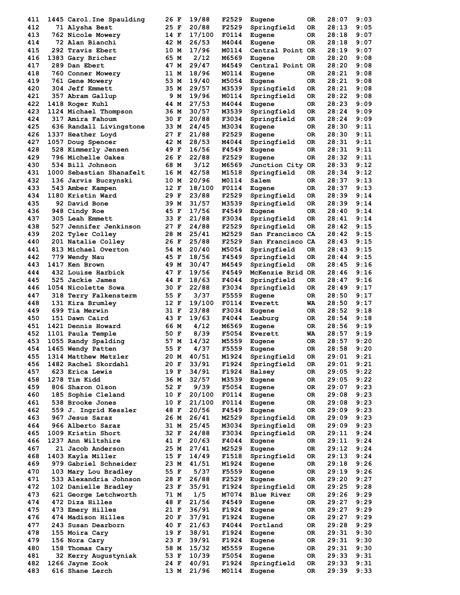| 411 | 1445 Carol.Ine Spaulding | 26 F | 19/88  | F2529 | Eugene           | 0R  | 28:07 | 9:03 |
|-----|--------------------------|------|--------|-------|------------------|-----|-------|------|
| 412 | 71 Alysha Best           | 25 F | 20/88  | F2529 | Springfield      | OR. | 28:13 | 9:05 |
| 413 | 762 Nicole Mowery        | 14 F | 17/100 | F0114 | Eugene           | 0R  | 28:18 | 9:07 |
| 414 | 72 Alan Bianchi          | 42 M | 26/53  | M4044 | Eugene           | 0R. | 28:18 | 9:07 |
| 415 | 292 Travis Ebert         | 10 M | 17/96  | M0114 | Central Point OR |     | 28:19 | 9:07 |
| 416 | 1383 Gary Bricher        | 65 M | 2/12   | M6569 | Eugene           | 0R. | 28:20 | 9:08 |
| 417 | 289 Dan Ebert            | 47 M | 29/47  | M4549 | Central Point OR |     | 28:20 | 9:08 |
| 418 | 760 Conner Mowery        | 11 M | 18/96  | M0114 | Eugene           | 0R  | 28:21 | 9:08 |
| 419 | <b>761 Gene Mowery</b>   | 53 M | 19/40  | M5054 | Eugene           | OR. | 28:21 | 9:08 |
| 420 | 304 Jeff Emmett          | 35 M | 29/57  | M3539 | Springfield      | OR  | 28:21 | 9:08 |
| 421 | 357 Abram Gallup         | 9 M  | 19/96  | M0114 | Springfield      | 0R  | 28:22 | 9:08 |
| 422 | 1418 Roger Kuhl          | 44 M | 27/53  | M4044 |                  | 0R  | 28:23 | 9:09 |
| 423 |                          |      |        |       | Eugene           |     |       |      |
|     | 1124 Michael Thompson    | 36 M | 30/57  | M3539 | Springfield      | OR  | 28:24 | 9:09 |
| 424 | 317 Amira Fahoum         | 30 F | 20/88  | F3034 | Springfield      | 0R  | 28:24 | 9:09 |
| 425 | 636 Randall Livingstone  | 33 M | 24/45  | M3034 | Eugene           | 0R. | 28:30 | 9:11 |
| 426 | 1337 Heather Loyd        | 27 F | 21/88  | F2529 | Eugene           | 0R  | 28:30 | 9:11 |
| 427 | 1057 Doug Spencer        | 42 M | 28/53  | M4044 | Springfield      | OR  | 28:31 | 9:11 |
| 428 | 528 Kimmerly Jensen      | 49 F | 16/56  | F4549 | Eugene           | OR. | 28:31 | 9:11 |
| 429 | 796 Michelle Oakes       | 26 F | 22/88  | F2529 | Eugene           | 0R. | 28:32 | 9:11 |
| 430 | 534 Bill Johnson         | 68 M | 3/12   | M6569 | Junction City OR |     | 28:33 | 9:12 |
| 431 | 1000 Sebastian Shanafelt | 16 M | 42/58  | M1518 | Springfield      | 0R. | 28:34 | 9:12 |
| 432 | 136 Jarvis Buczynski     | 10 M | 20/96  | M0114 | Salem            | 0R. | 28:37 | 9:13 |
| 433 | 543 Amber Kampen         | 12 F | 18/100 | F0114 | Eugene           | OR  | 28:37 | 9:13 |
| 434 | 1180 Kristin Ward        | 29 F | 23/88  | F2529 | Springfield      | OR  | 28:39 | 9:14 |
| 435 | 92 David Bone            | 39 M | 31/57  | M3539 | Springfield      | 0R  | 28:39 | 9:14 |
| 436 | 948 Cindy Roe            | 45 F | 17/56  | F4549 | Eugene           | 0R  | 28:40 | 9:14 |
| 437 | 305 Leah Emmett          | 33 F | 21/88  | F3034 | Springfield      | 0R  | 28:41 | 9:14 |
| 438 | 527 Jennifer Jenkinson   | 27 F | 24/88  | F2529 | Springfield      | 0R. | 28:42 | 9:15 |
| 439 |                          | 28 M | 25/41  | M2529 | San Francisco CA |     | 28:42 | 9:15 |
|     | 202 Tyler Colley         |      |        |       |                  |     |       |      |
| 440 | 201 Natalie Colley       | 26 F | 25/88  | F2529 | San Francisco CA |     | 28:43 | 9:15 |
| 441 | 813 Michael Overton      | 54 M | 20/40  | M5054 | Springfield      | OR. | 28:43 | 9:15 |
| 442 | 779 Wendy Nau            | 45 F | 18/56  | F4549 | Springfield      | 0R  | 28:44 | 9:15 |
| 443 | <b>1417 Ken Brown</b>    | 49 M | 30/47  | M4549 | Springfield      | OR. | 28:45 | 9:16 |
| 444 | 432 Louise Harbick       | 47 F | 19/56  | F4549 | McKenzie Brid OR |     | 28:46 | 9:16 |
| 445 | 525 Jackie James         | 44 F | 18/63  | F4044 | Springfield      | 0R  | 28:47 | 9:16 |
| 446 | 1054 Nicolette Sowa      | 30 F | 22/88  | F3034 | Springfield      | 0R  | 28:49 | 9:17 |
| 447 | 318 Terry Falkensterm    | 55 F | 3/37   | F5559 | Eugene           | 0R  | 28:50 | 9:17 |
| 448 | 131 Kira Brumley         | 12 F | 19/100 | F0114 | Everett          | WA  | 28:50 | 9:17 |
| 449 | 699 Tia Merwin           | 31 F | 23/88  | F3034 | Eugene           | OR. | 28:52 | 9:18 |
| 450 | 151 Dawn Caird           | 43 F | 19/63  | F4044 | Leaburg          | OR  | 28:54 | 9:18 |
| 451 | 1421 Dennis Howard       | 66 M | 4/12   | M6569 | Eugene           | OR  | 28:56 | 9:19 |
| 452 | 1101 Paula Temple        | 50 F | 8/39   | F5054 | Everett          | WA  | 28:57 | 9:19 |
| 453 | 1055 Randy Spalding      | 57 M | 14/32  | M5559 | Eugene           | OR. | 28:57 | 9:20 |
| 454 | 1465 Wendy Patten        | 55 F | 4/37   | F5559 | Eugene           | ОR  | 28:58 | 9:20 |
| 455 | 1314 Matthew Metzler     | 20 M | 40/51  | M1924 | Springfield      | OR  | 29:01 | 9:21 |
| 456 | 1482 Rachel Skordahl     | 20 F | 33/91  | F1924 | Springfield      | OR  | 29:01 | 9:21 |
|     |                          |      |        |       |                  |     |       |      |
| 457 | 623 Erica Lewis          | 19 F | 34/91  | F1924 | Halsey           | OR  | 29:05 | 9:22 |
| 458 | 1278 Tim Kidd            | 36 M | 32/57  | M3539 | Eugene           | OR  | 29:05 | 9:22 |
| 459 | 806 Sharon Olson         | 52 F | 9/39   | F5054 | Eugene           | OR  | 29:07 | 9:23 |
| 460 | 185 Sophie Cleland       | 10 F | 20/100 | F0114 | Eugene           | OR  | 29:08 | 9:23 |
| 461 | 538 Brooke Jones         | 10 F | 21/100 | F0114 | Eugene           | OR  | 29:08 | 9:23 |
| 462 | 559 J. Ingrid Kessler    | 48 F | 20/56  | F4549 | Eugene           | OR  | 29:09 | 9:23 |
| 463 | 967 Jesus Saraz          | 26 M | 26/41  | M2529 | Springfield      | OR  | 29:09 | 9:23 |
| 464 | 966 Alberto Saraz        | 31 M | 25/45  | M3034 | Springfield      | OR  | 29:09 | 9:23 |
| 465 | 1009 Kristin Short       | 32 F | 24/88  | F3034 | Springfield      | OR  | 29:11 | 9:24 |
| 466 | 1237 Ann Wiltshire       | 41 F | 20/63  | F4044 | Eugene           | OR  | 29:11 | 9:24 |
| 467 | 21 Jacob Anderson        | 25 M | 27/41  | M2529 | Eugene           | OR  | 29:12 | 9:24 |
| 468 | 1403 Kayla Miller        | 15 F | 14/49  | F1518 | Springfield      | OR  | 29:13 | 9:24 |
| 469 | 979 Gabriel Schneider    | 23 M | 41/51  | M1924 | Eugene           | OR  | 29:18 | 9:26 |
| 470 | 103 Mary Lou Bradley     | 55 F | 5/37   | F5559 | Eugene           | OR  | 29:19 | 9:26 |
| 471 | 533 Alexandria Johnson   | 28 F | 26/88  | F2529 | Eugene           | OR  | 29:20 | 9:27 |
| 472 |                          |      |        |       |                  |     | 29:25 | 9:28 |
|     | 102 Danielle Bradley     | 23 F | 35/91  | F1924 | Springfield      | OR  |       |      |
| 473 | 621 George Letchworth    | 71 M | 1/5    | M7074 | Blue River       | OR  | 29:26 | 9:29 |
| 474 | 472 Diza Hilles          | 48 F | 21/56  | F4549 | Eugene           | OR  | 29:27 | 9:29 |
| 475 | 473 Emery Hilles         | 21 F | 36/91  | F1924 | Eugene           | OR  | 29:27 | 9:29 |
| 476 | 474 Madison Hilles       | 20 F | 37/91  | F1924 | Eugene           | OR  | 29:27 | 9:29 |
| 477 | 243 Susan Dearborn       | 40 F | 21/63  | F4044 | Portland         | OR  | 29:28 | 9:29 |
| 478 | 155 Moira Cary           | 19 F | 38/91  | F1924 | Eugene           | OR  | 29:31 | 9:30 |
| 479 | 156 Nora Cary            | 23 F | 39/91  | F1924 | Eugene           | OR  | 29:31 | 9:30 |
| 480 | 158 Thomas Cary          | 58 M | 15/32  | M5559 | Eugene           | OR  | 29:31 | 9:30 |
| 481 | 32 Kerry Augustyniak     | 53 F | 10/39  | F5054 | Eugene           | OR  | 29:33 | 9:31 |
| 482 | 1266 Jayne Zook          | 24 F | 40/91  | F1924 | Springfield      | OR  | 29:33 | 9:31 |
|     |                          |      |        |       |                  |     |       |      |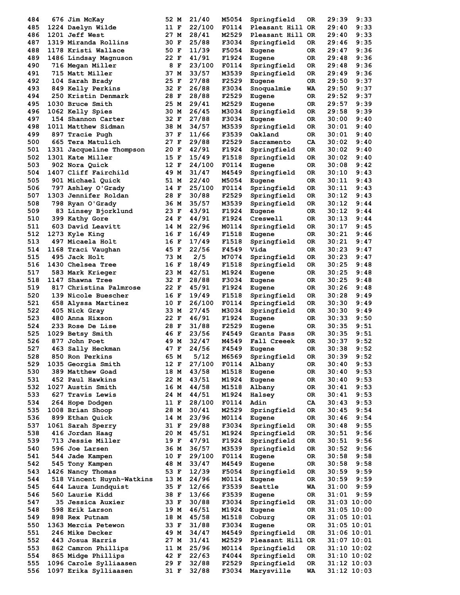| 484 | 676 Jim McKay             | 52 M | 21/40  | M5054        | Springfield      | 0R  | 29:39           | 9:33 |
|-----|---------------------------|------|--------|--------------|------------------|-----|-----------------|------|
| 485 | 1224 Daelyn Wilde         | 11 F | 22/100 | F0114        | Pleasant Hill OR |     | 29:40           | 9:33 |
| 486 | 1201 Jeff West            | 27 M | 28/41  | M2529        | Pleasant Hill OR |     | 29:40           | 9:33 |
| 487 | 1319 Miranda Rollins      | 30 F | 25/88  | F3034        | Springfield      | 0R  | 29:46           | 9:35 |
| 488 | 1178 Kristi Wallace       | 50 F | 11/39  | F5054        | Eugene           | OR. | 29:47           | 9:36 |
| 489 | 1486 Lindsay Magnuson     | 22 F | 41/91  | F1924        | Eugene           | 0R  | 29:48           | 9:36 |
| 490 | 716 Megan Miller          | 8 F  | 23/100 | F0114        | Springfield      | 0R  | 29:48           | 9:36 |
| 491 | 715 Matt Miller           | 37 M | 33/57  | M3539        | Springfield      | 0R  | 29:49           | 9:36 |
| 492 | 104 Sarah Brady           | 25 F | 27/88  | F2529        | Eugene           | 0R  | 29:50           | 9:37 |
| 493 | 849 Kelly Perkins         | 32 F | 26/88  | F3034        | Snoqualmie       | WA  | 29:50           | 9:37 |
| 494 | 250 Kristin Denmark       | 28 F | 28/88  | F2529        | Eugene           | 0R  | 29:52           | 9:37 |
| 495 | 1030 Bruce Smith          | 25 M | 29/41  | M2529        | Eugene           | 0R  | 29:57           | 9:39 |
| 496 | 1062 Kelly Spies          | 30 M | 26/45  | M3034        | Springfield      | 0R  | 29:58           | 9:39 |
| 497 | 154 Shannon Carter        | 32 F | 27/88  | F3034        | Eugene           | OR. | 30:00           | 9:40 |
| 498 | 1011 Matthew Sidman       | 38 M | 34/57  | M3539        | Springfield      | 0R  | 30:01           | 9:40 |
| 499 | 897 Tracie Pugh           | 37 F | 11/66  | F3539        | Oakland          | OR. | 30:01           | 9:40 |
| 500 | 665 Tera Matulich         | 27 F | 29/88  | F2529        | Sacramento       | CA  | 30:02           | 9:40 |
| 501 | 1331 Jacqueline Thompson  | 20 F | 42/91  | F1924        | Springfield      | 0R  | 30:02           | 9:40 |
| 502 | 1301 Kate Miller          | 15 F | 15/49  | F1518        | Springfield      | 0R  | 30:02           | 9:40 |
| 503 | 902 Nora Quick            | 12 F | 24/100 | F0114        | Eugene           | 0R  | 30:08           | 9:42 |
| 504 | 1407 Cliff Fairchild      | 49 M | 31/47  | M4549        | Springfield      | 0R  | 30:10           | 9:43 |
| 505 | 901 Michael Quick         | 51 M | 22/40  | M5054        | Eugene           | OR. | 30:11           | 9:43 |
| 506 | 797 Ashley O'Grady        | 14 F | 25/100 | F0114        | Springfield      | 0R  | 30:11           | 9:43 |
| 507 | 1303 Jennifer Roldan      | 28 F | 30/88  | F2529        | Springfield      | 0R  | 30:12           | 9:43 |
| 508 |                           | 36 M | 35/57  | M3539        | Springfield      |     | 30:12           | 9:44 |
| 509 | 798 Ryan O'Grady          | 23 F |        | F1924        |                  | OR. | 30:12           | 9:44 |
|     | 83 Linsey Bjorklund       |      | 43/91  |              | Eugene           | OR. |                 |      |
| 510 | 399 Kathy Gore            | 24 F | 44/91  | F1924        | Creswell         | 0R  | 30:13           | 9:44 |
| 511 | 603 David Leavitt         | 14 M | 22/96  | M0114        | Springfield      | 0R  | 30:17           | 9:45 |
| 512 | 1273 Kyle King            | 16 F | 16/49  | F1518        | Eugene           | 0R  | 30:21           | 9:46 |
| 513 | 497 Micaela Holt          | 16 F | 17/49  | F1518        | Springfield      | 0R  | 30:21           | 9:47 |
| 514 | 1168 Traci Vaughan        | 45 F | 22/56  | F4549        | Vida             | OR. | 30:23           | 9:47 |
| 515 | 495 Jack Holt             | 73 M | 2/5    | M7074        | Springfield      | OR. | 30:23           | 9:47 |
| 516 | 1430 Chelsea Tree         | 16 F | 18/49  | F1518        | Springfield      | 0R  | 30:25           | 9:48 |
| 517 | 583 Mark Krieger          | 23 M | 42/51  | M1924        | Eugene           | 0R  | 30:25           | 9:48 |
| 518 | 1147 Shawna Tree          | 32 F | 28/88  | F3034        | Eugene           | OR. | 30:25           | 9:48 |
| 519 | 817 Christina Palmrose    | 22 F | 45/91  | F1924        | Eugene           | 0R  | 30:26           | 9:48 |
| 520 | 139 Nicole Buescher       | 16 F | 19/49  | F1518        | Springfield      | 0R  | 30:28           | 9:49 |
| 521 | 658 Alyssa Martinez       | 10 F | 26/100 | <b>F0114</b> | Springfield      | 0R  | 30:30           | 9:49 |
| 522 | 405 Nick Gray             | 33 M | 27/45  | M3034        | Springfield      | 0R  | 30:30           | 9:49 |
| 523 | 480 Anna Hixson           | 22 F | 46/91  | F1924        | Eugene           | 0R  | 30:33           | 9:50 |
| 524 | 233 Rose De Lise          | 28 F | 31/88  | F2529        | Eugene           | 0R  | 30:35           | 9:51 |
| 525 | 1029 Betsy Smith          | 46 F | 23/56  | F4549        | Grants Pass      | OR. | 30:35           | 9:51 |
| 526 | 877 John Poet             | 49 M | 32/47  | M4549        | Fall Creeek      | 0R  | 30:37           | 9:52 |
| 527 | 463 Sally Heckman         | 47 F | 24/56  | F4549        | Eugene           | 0R  | 30:38           | 9:52 |
| 528 | 850 Ron Perkins           | 65 M | 5/12   | M6569        | Springfield      | 0R  | 30:39           | 9:52 |
| 529 | 1035 Georgia Smith        | 12 F | 27/100 | F0114        | Albany           | OR  | 30:40           | 9:53 |
| 530 | 389 Matthew Goad          | 18 M | 43/58  | M1518        | Eugene           | OR  | 30:40           | 9:53 |
| 531 | 452 Paul Hawkins          | 22 M | 43/51  | M1924        | Eugene           | OR  | 30:40           | 9:53 |
| 532 | 1027 Austin Smith         | 16 M | 44/58  | M1518        | Albany           | OR  | 30:41           | 9:53 |
| 533 | 627 Travis Lewis          | 24 M | 44/51  | M1924        | Halsey           | OR  | 30:41           | 9:53 |
| 534 | 264 Hope Dodgen           | 11 F | 28/100 | F0114        | Adin             | CA  | 30:43           | 9:53 |
| 535 | 1008 Brian Shoop          | 28 M | 30/41  | M2529        | Springfield      | OR  | 30:45           | 9:54 |
| 536 | 899 Ethan Quick           | 14 M | 23/96  | M0114        | Eugene           | OR  | 30:46           | 9:54 |
| 537 | 1061 Sarah Sperry         | 31 F | 29/88  | F3034        | Springfield      | OR  | 30:48           | 9:55 |
| 538 | 416 Jordan Haag           | 20 M | 45/51  | M1924        | Springfield      | OR  | 30:51           | 9:56 |
| 539 | 713 Jessie Miller         | 19 F | 47/91  | F1924        | Springfield      | 0R  | 30:51           | 9:56 |
| 540 | 596 Joe Larsen            | 36 M | 36/57  | M3539        | Springfield      | OR  | 30:52           | 9:56 |
| 541 | 544 Jade Kampen           | 10 F | 29/100 | F0114        | Eugene           | OR  | 30:58           | 9:58 |
| 542 | 545 Tony Kampen           | 48 M | 33/47  | M4549        | Eugene           | OR  | 30:58           | 9:58 |
| 543 | 1426 Nancy Thomas         | 53 F | 12/39  | F5054        | Springfield      | OR  | 30:59           | 9:59 |
| 544 | 518 Vincent Huynh-Watkins | 13 M | 24/96  | M0114        | Eugene           | OR  | 30:59           | 9:59 |
| 545 | 644 Laura Lundquist       | 35 F | 12/66  | F3539        | Seattle          | WA  | 31:00           | 9:59 |
| 546 | 560 Laurie Kidd           | 38 F | 13/66  | F3539        | Eugene           | OR  | 31:01           | 9:59 |
| 547 | 35 Jessica Auxier         | 33 F | 30/88  | F3034        | Springfield      | OR  | $31:03$ $10:00$ |      |
| 548 | 598 Erik Larson           | 19 M | 46/51  | M1924        | Eugene           | OR  | 31:05 10:00     |      |
| 549 | 898 Rex Putnam            | 18 M | 45/58  | M1518        | Coburg           | OR  | 31:05 10:01     |      |
| 550 | 1363 Mercia Petewon       | 33 F | 31/88  | F3034        | Eugene           | OR  | $31:05$ $10:01$ |      |
| 551 | 246 Mike Decker           | 49 M | 34/47  | M4549        | Springfield      | OR  | 31:06 10:01     |      |
| 552 | 443 Josua Harris          | 27 M | 31/41  | M2529        | Pleasant Hill OR |     | 31:07 10:01     |      |
| 553 | 862 Camron Phillips       | 11 M | 25/96  | M0114        | Springfield      | OR  | 31:10 10:02     |      |
| 554 | 865 Midge Phillips        | 42 F | 22/63  | F4044        | Springfield      | OR  | $31:10$ $10:02$ |      |
| 555 | 1096 Carole Sylliaasen    | 29 F | 32/88  | F2529        | Springfield      | OR  | $31:12$ $10:03$ |      |
| 556 | 1097 Erika Sylliaasen     | 31 F | 32/88  | F3034        | Marysville       | WA  | $31:12$ $10:03$ |      |
|     |                           |      |        |              |                  |     |                 |      |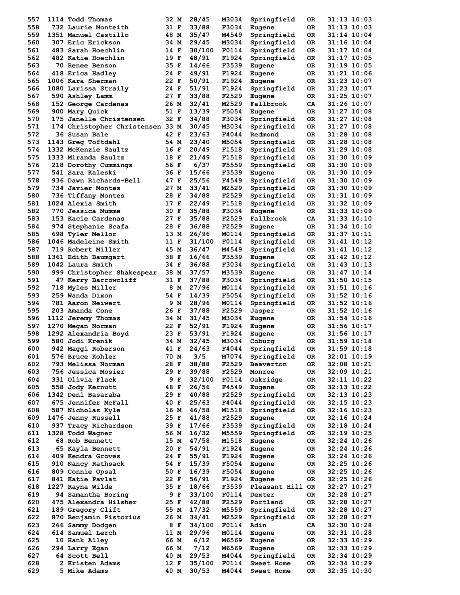| 557 | 1114 Todd Thomas                 | 32 M |     | 28/45  | M3034 | Springfield      | 0R  | 31:13 10:03     |
|-----|----------------------------------|------|-----|--------|-------|------------------|-----|-----------------|
| 558 | 732 Laurie Monteith              | 31 F |     | 33/88  | F3034 | Eugene           | OR. | 31:13 10:03     |
| 559 | 1351 Manuel Castillo             | 48 M |     | 35/47  | M4549 | Springfield      | 0R  | 31:14 10:04     |
| 560 | 307 Eric Erickson                | 34 M |     | 29/45  | M3034 | Springfield      | 0R  | $31:16$ $10:04$ |
| 561 | 483 Sarah Hoechlin               | 14 F |     | 30/100 | F0114 | Springfield      | 0R  | 31:17 10:04     |
| 562 | 482 Katie Hoechlin               | 19 F |     | 48/91  | F1924 | Springfield      | 0R  | 31:17 10:05     |
| 563 | <b>70 Renee Benson</b>           | 35 F |     | 14/66  | F3539 | Eugene           | 0R  | 31:19 10:05     |
| 564 | 418 Erica Hadley                 | 24 F |     | 49/91  | F1924 |                  | OR. | 31:21 10:06     |
|     |                                  |      |     |        |       | Eugene           |     |                 |
| 565 | 1006 Kara Sherman                | 22 F |     | 50/91  | F1924 | Eugene           | 0R  | 31:23 10:07     |
| 566 | 1080 Larissa Straily             | 24 F |     | 51/91  | F1924 | Springfield      | 0R  | 31:23 10:07     |
| 567 | 590 Ashley Lamm                  | 27 F |     | 33/88  | F2529 | Eugene           | OR. | 31:25 10:07     |
| 568 | 152 George Cardenas              | 26 M |     | 32/41  | M2529 | Fallbrook        | CA  | 31:26 10:07     |
| 569 | 900 Mary Quick                   | 51 F |     | 13/39  | F5054 | Eugene           | OR. | 31:27 10:08     |
| 570 | 175 Janelle Christensen          | 32 F |     | 34/88  | F3034 | Springfield      | 0R  | 31:27 10:08     |
| 571 | 174 Christopher Christensen 33 M |      |     | 30/45  | M3034 | Springfield      | 0R  | 31:27 10:08     |
| 572 | 36 Susan Bale                    | 42 F |     | 23/63  | F4044 | Redmond          | 0R  | 31:28 10:08     |
| 573 | 1143 Greg Toftdahl               | 54 M |     | 23/40  | M5054 | Springfield      | 0R  | 31:28 10:08     |
| 574 | 1332 McKenzie Saultz             | 16 F |     | 20/49  | F1518 | Springfield      | 0R  | 31:29 10:08     |
| 575 | 1333 Miranda Saultz              | 18 F |     | 21/49  | F1518 | Springfield      | 0R  | 31:30 10:09     |
| 576 | 218 Dorothy Cummings             | 56 F |     | 6/37   | F5559 | Springfield      | 0R  | 31:30 10:09     |
| 577 | 541 Sara Kaleski                 | 36 F |     | 15/66  | F3539 |                  | OR. | 31:30 10:09     |
|     |                                  |      |     |        |       | Eugene           |     |                 |
| 578 | 936 Dawn Richards-Bell           | 47 F |     | 25/56  | F4549 | Springfield      | 0R  | 31:30 10:09     |
| 579 | 734 Javier Montes                | 27 M |     | 33/41  | M2529 | Springfield      | 0R  | 31:30 10:09     |
| 580 | 736 Tiffany Montes               | 28 F |     | 34/88  | F2529 | Springfield      | 0R  | 31:31 10:09     |
| 581 | 1024 Alexia Smith                | 17 F |     | 22/49  | F1518 | Springfield      | 0R. | 31:32 10:09     |
| 582 | 770 Jessica Mumme                | 30 F |     | 35/88  | F3034 | Eugene           | 0R  | 31:33 10:09     |
| 583 | 153 Kacie Cardenas               | 27 F |     | 35/88  | F2529 | Fallbrook        | CA  | 31:33 10:10     |
| 584 | 974 Stephanie Scafa              | 28 F |     | 36/88  | F2529 | Eugene           | OR. | 31:34 10:10     |
| 585 | 698 Tyler Mellor                 | 13 M |     | 26/96  | M0114 | Springfield      | 0R  | 31:37 10:11     |
| 586 |                                  |      |     |        |       |                  |     |                 |
|     | 1046 Madeleine Smith             | 11 F |     | 31/100 | F0114 | Springfield      | 0R  | 31:41 10:12     |
| 587 | 719 Robert Miller                | 45 M |     | 36/47  | M4549 | Springfield      | 0R  | 31:41 10:12     |
| 588 | 1361 Edith Baumgart              | 38 F |     | 16/66  | F3539 | Eugene           | 0R  | 31:42 10:12     |
| 589 | 1042 Laura Smith                 | 34 F |     | 36/88  | F3034 | Springfield      | 0R  | 31:43 10:13     |
| 590 | 999 Christopher Shakespear       | 38 M |     | 37/57  | M3539 | Eugene           | 0R  | 31:47 10:14     |
| 591 | 47 Kerry Barrowcliff             | 31 F |     | 37/88  | F3034 | Springfield      | 0R  | 31:50 10:15     |
| 592 | 718 Myles Miller                 |      | 8 M | 27/96  | M0114 | Springfield      | 0R  | 31:51 10:16     |
| 593 | 259 Wanda Dixon                  | 54 F |     | 14/39  | F5054 | Springfield      | 0R  | 31:52 10:16     |
| 594 | 781 Aaron Neiwert                |      | 9 M | 28/96  | M0114 | Springfield      | 0R  | 31:52 10:16     |
|     |                                  |      |     |        |       |                  |     |                 |
| 595 | 203 Amanda Cone                  | 26 F |     | 37/88  | F2529 | Jasper           | 0R  | 31:52 10:16     |
| 596 | 1112 Jeremy Thomas               | 34 M |     | 31/45  | M3034 | Eugene           | OR  | 31:54 10:16     |
| 597 | 1270 Megan Norman                | 22 F |     | 52/91  | F1924 | Eugene           | OR. | 31:56 10:17     |
| 598 | 1292 Alexandria Boyd             | 23 F |     | 53/91  | F1924 | Eugene           | OR. | 31:56 10:17     |
| 599 | 580 Jodi Krenik                  | 34 M |     | 32/45  | M3034 | Coburg           | OR. | 31:59 10:18     |
| 600 | 942 Maggi Roberson               | 41 F |     | 24/63  | F4044 | Springfield      | 0R  | 31:59 10:18     |
| 601 | 576 Bruce Kohler                 | 70 M |     | 3/5    | M7074 | Springfield      | OR  | $32:01$ $10:19$ |
| 602 | 793 Melissa Norman               | 28 F |     | 38/88  | F2529 | Beaverton        | 0R  | 32:08 10:21     |
| 603 | 756 Jessica Mosier               | 29 F |     | 39/88  | F2529 | Monroe           | OR  | $32:09$ $10:21$ |
| 604 | 331 Olivia Flack                 |      | 9 F | 32/100 | F0114 | Oakridge         | OR  | 32:11 10:22     |
|     |                                  |      |     |        |       |                  |     |                 |
| 605 | 558 Jody Kernutt                 | 48 F |     | 26/56  | F4549 | Eugene           | OR  | 32:13 10:22     |
| 606 | 1342 Deni Basaraba               | 29 F |     | 40/88  | F2529 | Springfield      | OR  | 32:13 10:23     |
| 607 | 675 Jennifer McFall              | 40 F |     | 25/63  | F4044 | Springfield      | OR  | $32:15$ $10:23$ |
| 608 | 587 Nicholas Kyle                | 16 M |     | 46/58  | M1518 | Springfield      | OR  | 32:16 10:23     |
| 609 | 1476 Jenny Russell               | 25 F |     | 41/88  | F2529 | Eugene           | OR  | 32:16 10:24     |
| 610 | 937 Tracy Richardson             | 39 F |     | 17/66  | F3539 | Springfield      | 0R  | 32:18 10:24     |
| 611 | 1328 Todd Wagner                 | 56 M |     | 16/32  | M5559 | Springfield      | OR  | 32:19 10:25     |
| 612 | 68 Rob Bennett                   | 15 M |     | 47/58  | M1518 | Eugene           | OR  | 32:24 10:26     |
| 613 | 65 Kayla Bennett                 | 20 F |     | 54/91  | F1924 | Eugene           | OR  | 32:24 10:26     |
| 614 | 409 Kendra Groves                | 24 F |     | 55/91  | F1924 | Eugene           | OR  | 32:24 10:26     |
|     |                                  |      |     |        |       |                  |     |                 |
| 615 | 910 Nancy Rathsack               | 54 F |     | 15/39  | F5054 | Eugene           | OR  | 32:25 10:26     |
| 616 | 809 Connie Opsal                 | 50 F |     | 16/39  | F5054 | Eugene           | OR  | 32:25 10:26     |
| 617 | 841 Katie Pavlat                 | 22 F |     | 56/91  | F1924 | Eugene           | OR  | 32:25 10:26     |
| 618 | 1227 Rayna Wilde                 | 35 F |     | 18/66  | F3539 | Pleasant Hill OR |     | 32:27 10:27     |
| 619 | 94 Samantha Boring               |      | 9 F | 33/100 | F0114 | Dexter           | OR  | 32:28 10:27     |
| 620 | 475 Alexandra Hilsher            | 25 F |     | 42/88  | F2529 | Portland         | OR  | 32:28 10:27     |
| 621 | 189 Gregory Clift                | 55 M |     | 17/32  | M5559 | Springfield      | OR  | 32:28 10:27     |
| 622 | 870 Benjamin Pistorius           | 26 M |     | 34/41  | M2529 | Springfield      | OR  | 32:28 10:27     |
| 623 | 266 Sammy Dodgen                 | 8 F  |     | 34/100 | F0114 | Adin             | CA  | 32:30 10:28     |
|     |                                  |      |     |        |       |                  |     |                 |
| 624 | 614 Samuel Lerch                 | 11 M |     | 29/96  | M0114 | Eugene           | OR  | 32:31 10:28     |
| 625 | 10 Hank Alley                    | 66 M |     | 6/12   | M6569 | Eugene           | OR  | 32:33 10:29     |
|     |                                  |      |     |        |       |                  |     |                 |
| 626 | 294 Larry Egan                   | 66 M |     | 7/12   | M6569 | Eugene           | OR  | 32:33 10:29     |
| 627 | 64 Scott Bell                    | 40 M |     | 29/53  | M4044 | Springfield      | OR  | 32:34 10:29     |
| 628 | 2 Kristen Adams                  | 12 F |     | 35/100 | F0114 | Sweet Home       | OR  | 32:34 10:29     |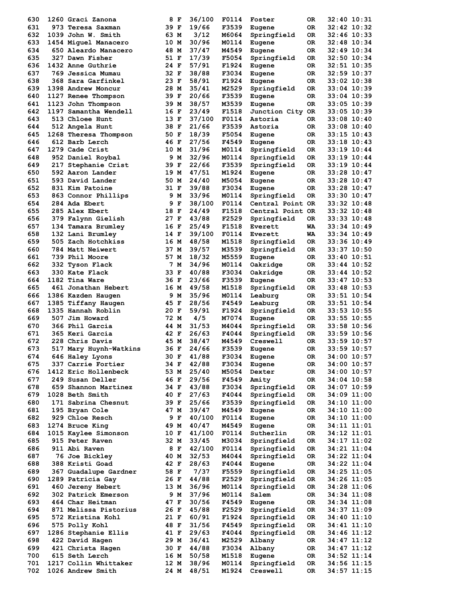| 630 | 1260 Graci Zanona                       |      | 8 F | 36/100         | F0114          | Foster           | 0R       | 32:40 10:31                |
|-----|-----------------------------------------|------|-----|----------------|----------------|------------------|----------|----------------------------|
| 631 | 973 Teresa Saxman                       | 39 F |     | 19/66          | F3539          | Eugene           | OR.      | 32:42 10:32                |
| 632 | 1039 John W. Smith                      | 63 M |     | 3/12           | M6064          | Springfield      | OR.      | 32:46 10:33                |
| 633 | 1454 Miquel Manacero                    | 10 M |     | 30/96          | M0114          | Eugene           | OR.      | 32:48 10:34                |
| 634 | 650 Aleardo Manacero                    | 48 M |     | 37/47          | M4549          | Eugene           | OR.      | 32:49 10:34                |
| 635 | 327 Dawn Fisher                         | 51 F |     | 17/39          | F5054          | Springfield      | OR.      | 32:50 10:34                |
| 636 | 1432 Anne Guthrie                       | 24 F |     | 57/91          | F1924          | Eugene           | OR.      | 32:51 10:35                |
| 637 | 769 Jessica Mumau                       | 32 F |     | 38/88          | F3034          | Eugene           | OR.      | 32:59 10:37                |
| 638 | 368 Sara Garfinkel                      | 23 F |     | 58/91          | F1924          | Eugene           | OR.      | 33:02 10:38                |
| 639 | 1398 Andrew Moncur                      | 28 M |     | 35/41          | M2529          | Springfield      | OR.      | 33:04 10:39                |
| 640 | 1127 Renee Thompson                     | 39 F |     | 20/66          | F3539          | Eugene           | OR.      | 33:04 10:39                |
| 641 | 1123 John Thompson                      | 39 M |     | 38/57          | M3539          | Eugene           | OR.      | 33:05 10:39                |
| 642 | 1197 Samantha Wendell                   | 16 F |     | 23/49          | F1518          | Junction City OR |          | 33:05 10:39                |
| 643 | 513 Chloee Hunt                         | 13 F |     | 37/100         | F0114          | Astoria          | OR       | 33:08 10:40                |
| 644 | 512 Angela Hunt                         | 38 F |     | 21/66          | F3539          | Astoria          | OR.      | 33:08 10:40                |
| 645 | 1268 Theresa Thompson                   | 50 F |     | 18/39          | F5054          | Eugene           | OR.      | 33:15 10:43                |
| 646 | 612 Barb Lerch                          | 46 F |     | 27/56          | F4549          | Eugene           | OR       | 33:18 10:43                |
| 647 | 1279 Cade Crist                         | 10 M |     | 31/96          | M0114          | Springfield      | OR.      | 33:19 10:44                |
| 648 | 952 Daniel Roybal                       |      | 9 M | 32/96          | M0114          | Springfield      | OR       | 33:19 10:44                |
| 649 |                                         | 39 F |     | 22/66          | F3539          |                  | OR.      | 33:19 10:44                |
| 650 | 217 Stephanie Crist<br>592 Aaron Lander | 19 M |     | 47/51          | M1924          | Springfield      |          | 33:28 10:47                |
| 651 | 593 David Lander                        | 50 M |     | 24/40          | M5054          | Eugene           | OR       |                            |
| 652 |                                         | 31 F |     |                |                | Eugene           | OR.      | 33:28 10:47                |
| 653 | 831 Kim Patoine                         |      |     | 39/88          | F3034          | Eugene           | 0R       | 33:28 10:47                |
|     | 863 Connor Phillips                     |      | 9 M | 33/96          | M0114          | Springfield      | 0R       | 33:30 10:47                |
| 654 | 284 Ada Ebert                           |      | 9 F | 38/100         | F0114          | Central Point OR |          | 33:32 10:48                |
| 655 | 285 Alex Ebert                          | 18 F |     | 24/49          | F1518          | Central Point OR |          | 33:32 10:48                |
| 656 | 379 Falynn Gielish                      | 27 F |     | 43/88          | F2529          | Springfield      | OR.      | 33:33 10:48                |
| 657 | 134 Tamara Brumley                      | 16 F |     | 25/49          | F1518          | <b>Everett</b>   | WA       | 33:34 10:49                |
| 658 | 132 Lani Brumley                        | 14 F |     | 39/100         | F0114          | Everett          | WA       | 33:34 10:49                |
| 659 | 505 Zach Hotchkiss                      | 16 M |     | 48/58          | M1518          | Springfield      | OR       | 33:36 10:49                |
| 660 | 784 Matt Neiwert                        | 37 M |     | 39/57          | M3539          | Springfield      | 0R       | 33:37 10:50                |
| 661 | 739 Phil Moore                          | 57 M |     | 18/32          | M5559          | Eugene           | OR.      | 33:40 10:51                |
| 662 | 332 Tyson Flack                         |      | 7 M | 34/96          | M0114          | Oakridge         | OR.      | 33:44 10:52                |
| 663 | 330 Kate Flack                          | 33 F |     | 40/88          | F3034          | Oakridge         | OR       | 33:44 10:52                |
| 664 | 1182 Tina Ware                          | 36 F |     | 23/66          | F3539          | Eugene           | OR.      | 33:47 10:53                |
| 665 | 461 Jonathan Hebert                     | 16 M |     | 49/58          | M1518          | Springfield      | OR.      | 33:48 10:53                |
| 666 | 1386 Kazden Haugen                      |      | 9 M | 35/96          | M0114          | Leaburg          | OR.      | 33:51 10:54                |
| 667 | 1385 Tiffany Haugen                     | 45 F |     | 28/56          | F4549          | Leaburg          | OR.      | 33:51 10:54                |
| 668 | 1335 Hannah Roblin                      | 20 F |     | 59/91          | F1924          | Springfield      | OR.      | 33:53 10:55                |
| 669 | 507 Jim Howard                          | 72 M |     | 4/5            | M7074          | Eugene           | 0R       | 33:55 10:55                |
| 670 | 366 Phil Garcia                         | 44 M |     | 31/53          | M4044          | Springfield      | OR       | 33:58 10:56                |
| 671 | 365 Keri Garcia                         | 42 F |     | 26/63          | F4044          | Springfield      | OR.      | 33:59 10:56                |
| 672 | 228 Chris Davis                         | 45 M |     | 38/47          | M4549          | Creswell         | OR       | 33:59 10:57                |
| 673 | 517 Mary Huynh-Watkins                  | 36 F |     | 24/66          | F3539          | Eugene           | 0R       | 33:59 10:57                |
| 674 | 646 Haley Lyons                         | 30 F |     | 41/88          | F3034          | Eugene           | OR       | 34:00 10:57                |
| 675 | 337 Carrie Fortier                      | 34 F |     | 42/88          | F3034          | Eugene           | OR       | 34:00 10:57                |
| 676 | 1412 Eric Hollenbeck                    | 53 M |     | 25/40          | M5054          | Dexter           | OR       | 34:00 10:57                |
| 677 | 249 Susan Deller                        | 46 F |     | 29/56          | F4549          | Amity            | OR.      | 34:04 10:58                |
| 678 | 659 Shannon Martinez                    | 34 F |     | 43/88          | F3034          | Springfield      | 0R       | 34:07 10:59                |
| 679 | 1028 Beth Smith                         | 40 F |     | 27/63          | F4044          | Springfield      | OR       | 34:09 11:00                |
| 680 | 171 Sabrina Chesnut                     | 39 F |     | 25/66          | F3539          | Springfield      | OR       | 34:10 11:00                |
| 681 | 195 Bryan Cole                          | 47 M |     | 39/47          | M4549          | Eugene           | OR       | $34:10$ $11:00$            |
| 682 | 929 Chloe Resch                         |      | 9 F | 40/100         | F0114          | Eugene           | OR       | 34:10 11:00                |
| 683 | 1274 Bruce King                         | 49 M |     | 40/47          | M4549          | Eugene           | OR       | 34:11 11:01                |
| 684 | 1015 Kaylee Simonson                    | 10 F |     | 41/100         | F0114          | Sutherlin        | OR       | 34:12 11:01                |
| 685 | 915 Peter Raven                         | 32 M |     | 33/45          | M3034          | Springfield      | OR       | 34:17 11:02                |
| 686 | 911 Abi Raven                           |      | 8 F | 42/100         | F0114          | Springfield      | OR       | 34:21 11:04                |
| 687 | 76 Joe Bickley                          | 40 M |     | 32/53          | M4044          | Springfield      | OR       | 34:22 11:04                |
| 688 | 388 Kristi Goad                         | 42 F |     | 28/63          | F4044          | Eugene           | OR       | 34:22 11:04                |
| 689 | 367 Guadalupe Gardner                   | 58 F |     | 7/37           | F5559          | Springfield      | OR.      | 34:25 11:05                |
| 690 | 1289 Patricia Gay                       | 26 F |     | 44/88          | F2529          | Springfield      | OR       | 34:26 11:05                |
| 691 | 460 Jereny Hebert                       | 13 M |     | 36/96          | M0114          | Springfield      | 0R       | 34:28 11:06                |
| 692 | 302 Patrick Emerson                     |      | 9 M | 37/96          | M0114          | Salem            | OR       | 34:34 11:08                |
| 693 | 464 Char Heitman                        | 47 F |     | 30/56          | F4549          | Eugene           | OR       | 34:34 11:08                |
| 694 | 871 Melissa Pistorius                   | 26 F |     | 45/88          | F2529          | Springfield      |          | 34:37 11:09                |
| 695 | 572 Kristina Kohl                       | 21 F |     | 60/91          | F1924          | Springfield      | 0R<br>OR | 34:40 11:10                |
| 696 | 575 Polly Kohl                          | 48 F |     | 31/56          | F4549          | Springfield      | OR       | $34:41$ $11:10$            |
| 697 |                                         |      |     | 29/63          |                |                  |          |                            |
| 698 | 1286 Stephanie Ellis                    | 41 F |     | 36/41          | F4044          | Springfield      | OR       | 34:46 11:12                |
|     | 422 David Hagen                         | 29 M |     |                | M2529          | Albany           | OR       | 34:47 11:12                |
| 699 | 421 Christa Hagen<br>615 Seth Lerch     | 30 F |     | 44/88<br>50/58 | F3034<br>M1518 | Albany           | OR.      | 34:47 11:12<br>34:52 11:14 |
| 700 |                                         | 16 M |     |                |                | Eugene           | OR       |                            |
| 701 | 1217 Collin Whittaker                   | 12 M |     | 38/96          | M0114          | Springfield      | OR       | 34:56 11:15                |
| 702 | 1026 Andrew Smith                       | 24 M |     | 48/51          | M1924          | Creswell         | 0R       | 34:57 11:15                |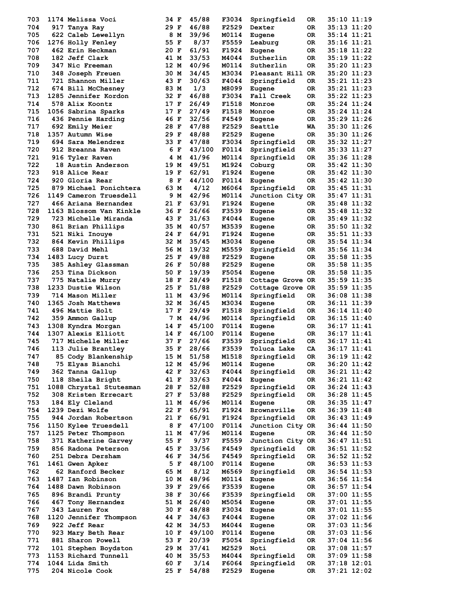| 703 | 1174 Melissa Voci                       | 34 F |     | 45/88  | F3034 | Springfield        | OR. | 35:10 11:19   |
|-----|-----------------------------------------|------|-----|--------|-------|--------------------|-----|---------------|
| 704 | 917 Tanya Ray                           | 29 F |     | 46/88  | F2529 | Dexter             | 0R  | 35:13 11:20   |
| 705 | 622 Caleb Lewellyn                      | 8 M  |     | 39/96  | M0114 | Eugene             | OR. | 35:14 11:21   |
| 706 | 1276 Holly Fenley                       | 55 F |     | 8/37   | F5559 | Leaburg            | OR  | 35:16 11:21   |
| 707 | 462 Erin Heckman                        | 20 F |     | 61/91  | F1924 | Eugene             | OR. | 35:18 11:22   |
| 708 | 182 Jeff Clark                          | 41 M |     | 33/53  | M4044 | Sutherlin          | OR. | 35:19 11:22   |
| 709 | 347 Nic Freeman                         | 12 M |     | 40/96  | M0114 | Sutherlin          | OR. | 35:20 11:23   |
| 710 | 348 Joseph Freuen                       | 30 M |     | 34/45  | M3034 | Pleasant Hill OR   |     | 35:20 11:23   |
| 711 | 721 Shannon Miller                      | 43 F |     | 30/63  | F4044 | Springfield        | OR. | 35:21 11:23   |
| 712 | 674 Bill McChesney                      | 83 M |     | 1/3    | M8099 | Eugene             | OR  | 35:21 11:23   |
| 713 | 1285 Jennifer Kordon                    | 32 F |     | 46/88  | F3034 | Fall Creek         | OR. | 35:22 11:23   |
| 714 | 578 Alix Koontz                         | 17 F |     | 26/49  | F1518 | Monroe             | OR. | 35:24 11:24   |
| 715 | 1056 Sabrina Sparks                     | 17 F |     | 27/49  | F1518 | Monroe             | OR. | 35:24 11:24   |
| 716 | 436 Pennie Harding                      | 46 F |     | 32/56  | F4549 | Eugene             | OR. | 35:29 11:26   |
| 717 | 692 Emily Meier                         | 28 F |     | 47/88  | F2529 | Seattle            | WA  | 35:30 11:26   |
| 718 | 1357 Autumn Wise                        | 29 F |     | 48/88  | F2529 | Eugene             | OR. | 35:30 11:26   |
| 719 | 694 Sara Melendrez                      | 33 F |     | 47/88  | F3034 | Springfield        | 0R  | 35:32 11:27   |
| 720 | 912 Breanna Raven                       | 6 F  |     | 43/100 | F0114 | Springfield        | OR  | 35:33 11:27   |
| 721 | 916 Tyler Raven                         | 4 M  |     | 41/96  | M0114 | Springfield        | OR. | 35:36 11:28   |
| 722 | 18 Austin Anderson                      | 19 M |     | 49/51  | M1924 | Coburg             | OR. | 35:42 11:30   |
| 723 | 918 Alice Rear                          | 19 F |     | 62/91  | F1924 | Eugene             | OR. | 35:42 11:30   |
| 724 | 920 Gloria Rear                         | 8 F  |     | 44/100 | F0114 | Eugene             | OR. | 35:42 11:30   |
| 725 | 879 Michael Ponichtera                  | 63 M |     | 4/12   | M6064 | Springfield        | 0R  | 35:45 11:31   |
| 726 | 1149 Cameron Truesdell                  |      | 9 M | 42/96  | M0114 | Junction City OR   |     | 35:47 11:31   |
| 727 | 466 Ariana Hernandez                    | 21 F |     | 63/91  | F1924 | Eugene             | OR. | 35:48 11:32   |
| 728 | 1163 Blossom Van Kinkle                 | 36 F |     | 26/66  | F3539 | Eugene             | OR. | 35:48 11:32   |
| 729 | 723 Michelle Miranda                    | 43 F |     | 31/63  | F4044 | Eugene             | OR. | 35:49 11:32   |
| 730 | 861 Brian Phillips                      | 35 M |     | 40/57  | M3539 | Eugene             | OR. | 35:50 11:32   |
| 731 | 521 Niki Inouye                         | 24 F |     | 64/91  | F1924 | Eugene             | OR. | 35:51 11:33   |
| 732 | 864 Kevin Phillips                      | 32 M |     | 35/45  | M3034 | Eugene             | OR  | 35:54 11:34   |
| 733 | 688 David Mehl                          | 56 M |     | 19/32  | M5559 | Springfield        | OR. | 35:56 11:34   |
| 734 | 1483 Lucy Durst                         | 25 F |     | 49/88  | F2529 | Eugene             | OR. | 35:58 11:35   |
| 735 | 385 Ashley Glassman                     | 26 F |     | 50/88  | F2529 | Eugene             | OR. | 35:58 11:35   |
| 736 | 253 Tina Dickson                        | 50 F |     | 19/39  | F5054 | Eugene             | OR. | 35:58 11:35   |
| 737 | 775 Natalie Murry                       | 18 F |     | 28/49  | F1518 | Cottage Grove OR   |     | 35:59 11:35   |
| 738 | 1233 Dustie Wilson                      | 25 F |     | 51/88  | F2529 | Cottage Grove OR   |     | 35:59 11:35   |
| 739 | 714 Mason Miller                        | 11 M |     | 43/96  | M0114 | Springfield        | OR  | 36:08 11:38   |
| 740 | 1365 Josh Matthews                      | 32 M |     | 36/45  | M3034 | Eugene             | OR. | 36:11 11:39   |
| 741 | 496 Mattie Holt                         | 17 F |     | 29/49  | F1518 | Springfield        | OR. | 36:14 11:40   |
| 742 | 359 Ammon Gallup                        | 7 M  |     | 44/96  | M0114 | Springfield        | OR  | 36:15 11:40   |
| 743 | 1308 Kyndra Morgan                      | 14 F |     | 45/100 | F0114 | Eugene             | OR. | 36:17 11:41   |
| 744 | 1307 Alexis Elliott                     | 14 F |     | 46/100 | F0114 | Eugene             | OR. | 36:17 11:41   |
| 745 | 717 Michelle Miller                     | 37 F |     | 27/66  | F3539 | Springfield        | OR. | 36:17 11:41   |
| 746 | 113 Julie Brantley                      | 35 F |     | 28/66  | F3539 | <b>Toluca Lake</b> | CA  | 36:17 11:41   |
| 747 | 85 Cody Blankenship                     | 15 M |     | 51/58  | M1518 | Springfield        | 0R  | 36:19 11:42   |
| 748 | 75 Elyas Bianchi                        | 12 M |     | 45/96  | M0114 | Eugene             | OR  | 36:20 11:42   |
| 749 | 362 Tanna Gallup                        | 42 F |     | 32/63  | F4044 | Springfield        | OR  | 36:21 11:42   |
| 750 | 118 Sheila Bright                       | 41 F |     | 33/63  | F4044 | Eugene             | OR  | 36:21 11:42   |
| 751 | 1088 Chrystal Stutesman                 | 28 F |     | 52/88  | F2529 | Springfield        | OR. | 36:24 11:43   |
| 752 | 308 Kristen Errecart                    | 27 F |     | 53/88  | F2529 | Springfield        | OR  | 36:28 11:45   |
| 753 | 184 Ely Cleland                         | 11 M |     | 46/96  | M0114 | Eugene             | OR  | 36:35 11:47   |
| 754 | 1239 Dezi Wolfe                         | 22 F |     | 65/91  | F1924 | Brownsville        | OR. | 36:39 11:48   |
| 755 | 944 Jordan Robertson                    | 21 F |     | 66/91  | F1924 | Springfield        | OR  | 36:43 11:49   |
| 756 | 1150 Kylee Truesdell                    | 8 F  |     | 47/100 | F0114 | Junction City OR   |     | 36:44 11:50   |
| 757 | 1125 Peter Thompson                     | 11 M |     | 47/96  | M0114 | Eugene             | OR. | 36:44 11:50   |
| 758 | 371 Katherine Garvey                    | 55 F |     | 9/37   | F5559 | Junction City OR   |     | 36:47 11:51   |
| 759 | 856 Radona Peterson                     | 45 F |     | 33/56  | F4549 | Springfield        | OR. | 36:51 11:52   |
| 760 | 251 Debra Dersham                       | 46 F |     | 34/56  | F4549 | Springfield        | OR  | $36:52$ 11:52 |
| 761 | 1461 Gwen Apker                         | 5 F  |     | 48/100 | F0114 | Eugene             | OR  | 36:53 11:53   |
| 762 | 62 Ranford Becker                       | 65 M |     | 8/12   | M6569 | Springfield        | OR  | $36:54$ 11:53 |
| 763 | 1487 Ian Robinson                       | 10 M |     | 48/96  | M0114 | Eugene             | OR  | 36:56 11:54   |
| 764 | 1488 Dawn Robinson                      | 39 F |     | 29/66  | F3539 | Eugene             | OR  | 36:57 11:54   |
| 765 | 896 Brandi Prunty                       | 38 F |     | 30/66  | F3539 | Springfield        | OR. | $37:00$ 11:55 |
| 766 | 467 Tony Hernandez                      | 51 M |     | 26/40  | M5054 | Eugene             | OR  | 37:01 11:55   |
| 767 | 343 Lauren Fox                          | 30 F |     | 48/88  | F3034 |                    | OR  | 37:01 11:55   |
| 768 | 1120 Jennifer Thompson                  | 44 F |     | 34/63  | F4044 | Eugene             |     | $37:02$ 11:56 |
| 769 | 922 Jeff Rear                           | 42 M |     | 34/53  | M4044 | Eugene             | OR  | 37:03 11:56   |
| 770 |                                         |      |     | 49/100 |       | Eugene             | OR  |               |
| 771 | 923 Mary Beth Rear<br>881 Sharon Powell | 10 F |     | 20/39  | F0114 | Eugene             | OR  | 37:03 11:56   |
|     |                                         | 53 F |     |        | F5054 | Springfield        | OR  | 37:04 11:56   |
| 772 | 101 Stephen Boydston                    | 29 M |     | 37/41  | M2529 | Noti               | OR  | $37:08$ 11:57 |
| 773 | 1153 Richard Tunnell                    | 40 M |     | 35/53  | M4044 | Springfield        | OR  | 37:09 11:58   |
| 774 | 1044 Lida Smith                         | 60 F |     | 3/14   | F6064 | Springfield        | OR  | $37:18$ 12:01 |
| 775 | 204 Nicole Cook                         | 25 F |     | 54/88  | F2529 | Eugene             | OR  | 37:21 12:02   |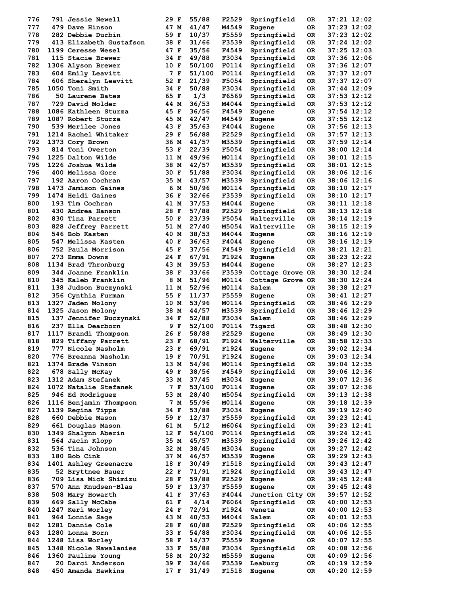| 776        | <b>791 Jessie Newell</b>                | 29 F         |     | 55/88          | F2529          | Springfield       | 0R        | 37:21 12:02                |
|------------|-----------------------------------------|--------------|-----|----------------|----------------|-------------------|-----------|----------------------------|
| 777        | 479 Dave Hinson                         | 47 M         |     | 41/47          | M4549          | Eugene            | 0R        | 37:23 12:02                |
| 778        | 282 Debbie Durbin                       | 59 F         |     | 10/37          | F5559          | Springfield       | OR        | 37:23 12:02                |
| 779        | 413 Elizabeth Gustafson                 | 38 F         |     | 31/66          | F3539          | Springfield       | OR        | 37:24 12:02                |
| 780        | 1199 Ceresse Wesel                      | 47 F         |     | 35/56          | F4549          | Springfield       | OR        | 37:25 12:03                |
| 781        | 115 Stacie Brewer                       | 34 F         |     | 49/88          | F3034          | Springfield       | OR.       | 37:36 12:06                |
| 782        | 1306 Alyson Brewer                      | 10 F         |     | 50/100         | F0114          | Springfield       | OR        | 37:36 12:07                |
| 783        | 604 Emily Leavitt                       |              | 7 F | 51/100         | F0114          | Springfield       | 0R        | 37:37 12:07                |
| 784        | 606 Sheralyn Leavitt                    | 52 F         |     | 21/39          | F5054          | Springfield       | 0R        | 37:37 12:07                |
| 785        | 1050 Toni Smith                         | 34 F         |     | 50/88          | F3034          | Springfield       | OR        | 37:44 12:09                |
| 786        | 50 Laurene Bates                        | 65 F         |     | 1/3            | F6569          | Springfield       | OR        | $37:53$ $12:12$            |
| 787        | 729 David Molder                        | 44 M         |     | 36/53          | M4044          | Springfield       | 0R        | 37:53 12:12                |
| 788        | 1086 Kathleen Sturza                    | 45 F         |     | 36/56          | F4549          | Eugene            | OR.       | 37:54 12:12                |
| 789        | 1087 Robert Sturza                      | 45 M         |     | 42/47          | M4549          | Eugene            | OR        | 37:55 12:12                |
| 790        | 539 Merilee Jones                       | 43 F         |     | 35/63          | F4044          | Eugene            | OR.       | 37:56 12:13                |
| 791        | 1214 Rachel Whitaker                    | 29 F         |     | 56/88          | F2529          | Springfield       | OR.       | 37:57 12:13                |
| 792        | 1373 Cory Brown                         | 36 M         |     | 41/57          | M3539          | Springfield       | OR        | 37:59 12:14                |
| 793        | 814 Toni Overton                        | 53 F         |     | 22/39          | F5054          | Springfield       | OR        | 38:00 12:14                |
| 794        | 1225 Dalton Wilde                       | 11 M         |     | 49/96          | M0114          | Springfield       | OR        | 38:01 12:15                |
| 795        | 1226 Joshua Wilde                       | 38 M         |     | 42/57          | M3539          | Springfield       | OR        | 38:01 12:15                |
| 796        | 400 Melissa Gore                        | 30 F         |     | 51/88          | F3034          | Springfield       | OR.       | 38:06 12:16                |
| 797        | 192 Aaron Cochran                       | 35 M         |     | 43/57          | M3539          | Springfield       | OR.       | 38:06 12:16                |
| 798        | 1473 Jamison Gaines                     |              | 6 M | 50/96          | M0114          | Springfield       | 0R        | 38:10 12:17                |
| 799        | 1474 Heidi Gaines                       | 36 F         |     | 32/66          | F3539          | Springfield       | OR        | 38:10 12:17                |
| 800        | 193 Tim Cochran                         | 41 M         |     | 37/53          |                |                   |           | 38:11 12:18                |
|            | 430 Andrea Hanson                       |              |     | 57/88          | M4044          | Eugene            | OR.       |                            |
| 801        |                                         | 28 F         |     |                | F2529          | Springfield       | OR.       | 38:13 12:18                |
| 802        | 830 Tina Parrett                        | 50 F         |     | 23/39          | F5054          | Walterville       | OR.       | 38:14 12:19                |
| 803        | 828 Jeffrey Parrett                     | 51 M         |     | 27/40          | M5054          | Walterville       | OR.       | 38:15 12:19                |
| 804        | 546 Bob Kasten                          | 40 M         |     | 38/53          | M4044          | Eugene            | OR.       | 38:16 12:19                |
| 805        | 547 Melissa Kasten                      | 40 F         |     | 36/63          | F4044          | Eugene            | OR        | 38:16 12:19                |
| 806        | 752 Paula Morrison                      | 45 F         |     | 37/56          | F4549          | Springfield       | OR.       | 38:21 12:21                |
| 807        | 273 Emma Downs                          | 24 F         |     | 67/91          | F1924          | Eugene            | 0R        | 38:23 12:22                |
| 808        | 1134 Brad Thronburg                     | 43 M         |     | 39/53          | M4044          | Eugene            | OR.       | 38:27 12:23                |
| 809        | 344 Joanne Franklin                     | 38 F         |     | 33/66          | F3539          | Cottage Grove OR  |           | 38:30 12:24                |
| 810        | 345 Kaleb Franklin                      |              | 8 M | 51/96          | M0114          | Cottage Grove OR  |           | 38:30 12:24                |
| 811        | 138 Judson Buczynski                    | 11 M         |     | 52/96          | M0114          | Salem             | OR.       | 38:38 12:27                |
| 812        | 356 Cynthia Furman                      | 55 F         |     | 11/37          | F5559          | Eugene            | OR.       | 38:41 12:27                |
| 813        | 1327 Jaden Molony                       | 10 M         |     | 53/96          | M0114          | Springfield       | OR        | 38:46 12:29                |
| 814        | 1325 Jason Molony                       | 38 M         |     | 44/57          | M3539          | Springfield       | OR        | 38:46 12:29                |
| 815        | 137 Jennifer Buczynski                  | 34 F         |     | 52/88          | F3034          | Salem             | OR.       | 38:46 12:29                |
| 816        | 237 Ella Dearborn                       |              | 9 F | 52/100         | F0114          | Tigard            | OR.       | 38:48 12:30                |
| 817        | 1117 Brandi Thompson                    | 26 F         |     | 58/88          | F2529          | Eugene            | OR.       | 38:49 12:30                |
| 818        | 829 Tiffany Parrett                     | 23 F         |     | 68/91          | F1924          | Walterville       | 0R        | 38:58 12:33                |
| 819        | 777 Nicole Nasholm                      | 23 F         |     | 69/91          | F1924          | Eugene            | 0R        | 39:02 12:34                |
| 820        | 776 Breanna Nasholm                     | 19 F         |     | 70/91          | F1924          | Eugene            | OR        | 39:03 12:34                |
| 821        | 1374 Brade Vinson                       | 13 M         |     | 54/96          | M0114          | Springfield       | OR        | 39:04 12:35                |
| 822        | 678 Sally McKay                         | 49 F         |     | 38/56          | F4549          | Springfield       | OR.       | 39:06 12:36                |
| 823        | 1312 Adam Stefanek                      | 33 M         |     | 37/45          | M3034          | Eugene            | OR        | 39:07 12:36                |
| 824        | 1072 Natalie Stefanek                   |              | 7 F | 53/100         | F0114          | Eugene            | OR.       | 39:07 12:36                |
| 825        | 946 Ed Rodriguez                        | 53 M         |     | 28/40          | M5054          | Springfield       | OR.       | 39:13 12:38                |
| 826        | 1116 Benjamin Thompson                  |              | 7 M | 55/96          | M0114          | Eugene            | OR        | 39:18 12:39                |
| 827        | 1139 Regina Tipps                       | 34 F         |     | 53/88          | F3034          | Eugene            | OR        | 39:19 12:40                |
| 828        | 660 Debbie Mason                        | 59 F         |     | 12/37          | F5559          | Springfield       | OR        | 39:23 12:41                |
| 829        | 661 Douglas Mason                       | 61 M         |     | 5/12           | M6064          | Springfield       | OR        | 39:23 12:41                |
| 830        | 1349 Shalynn Aberin                     | 12 F         |     | 54/100         | F0114          | Springfield       | OR        | 39:24 12:41                |
| 831        | 564 Jacin Klopp                         | 35 M         |     | 45/57          | M3539          | Springfield       | OR        | 39:26 12:42                |
| 832        | 536 Tina Johnson                        | 32 M         |     | 38/45          | M3034          | Eugene            | OR        | 39:27 12:42                |
| 833        | 180 Bob Cink                            | 37 M         |     | 46/57          | M3539          | Eugene            | OR        | 39:29 12:43                |
| 834        | 1401 Ashley Greenacre                   | 18 F         |     | 30/49          | F1518          | Springfield       | OR.       | 39:43 12:47                |
| 835        | 52 Bryttnee Bauer                       | 22 F         |     | 71/91          | F1924          | Springfield       | OR.       | 39:43 12:47                |
| 836        | 709 Lisa Mick Shimizu                   | 28 F         |     | 59/88          | F2529          | Eugene            | OR        | $39:45$ $12:48$            |
| 837        | 570 Ann Knudsen-Blas                    | 59 F         |     | 13/37          | F5559          | Eugene            | OR.       | 39:45 12:48                |
| 838        | 508 Mary Howarth                        | 41 F         |     | 37/63          | F4044          | Junction City OR  |           | 39:57 12:52                |
| 839        | 669 Sally McCabe                        | 61 F         |     | 4/14           | F6064          | Springfield       |           | 40:00 12:53                |
| 840        | 1247 Keri Worley                        | 24 F         |     | 72/91          | F1924          | Veneta            | OR.<br>OR | 40:00 12:53                |
| 841        | 964 Lonnie Sage                         | 43 M         |     | 40/53          | M4044          | Salem             | OR        | $40:01$ 12:53              |
|            |                                         |              |     |                |                |                   |           |                            |
| 842        | 1281 Dannie Cole                        | 28 F         |     | 60/88          | F2529          | Springfield       | OR        | 40:06 12:55                |
| 843        | 1280 Lonna Born                         | 33 F         |     | 54/88<br>14/37 | F3034          | Springfield       | OR        | 40:06 12:55                |
|            |                                         |              |     |                | F5559          | Eugene            | OR        | 40:07 12:55                |
| 844        | 1248 Lisa Worley                        | 58 F         |     |                |                |                   |           |                            |
| 845        | 1348 Nicole Nawalanies                  | 33 F         |     | 55/88          | F3034          | Springfield       | OR.       | 40:08 12:56                |
| 846        | 1360 Pauline Young                      | 58 M         |     | 20/32          | M5559          | Eugene            | OR        | 40:09 12:56                |
| 847<br>848 | 20 Darci Anderson<br>450 Amanda Hawkins | 39 F<br>17 F |     | 34/66<br>31/49 | F3539<br>F1518 | Leaburg<br>Eugene | OR<br>OR  | 40:19 12:59<br>40:20 12:59 |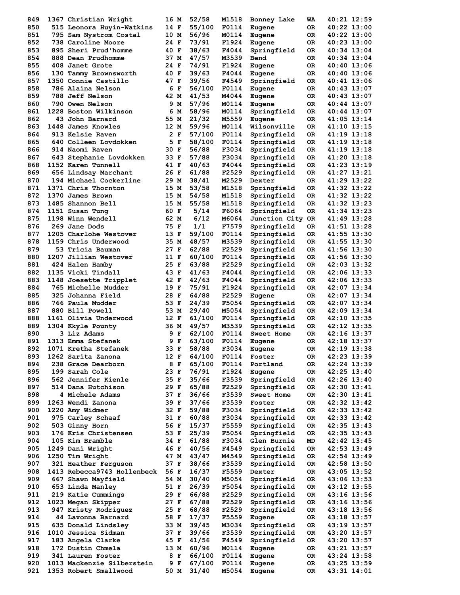| 849 | 1367 Christian Wright       | 16 M | 52/58  | M1518 | Bonney Lake      | WA  | 40:21 12:59     |
|-----|-----------------------------|------|--------|-------|------------------|-----|-----------------|
| 850 | 515 Leonora Huyin-Watkins   | 14 F | 55/100 | F0114 | Eugene           | ОR  | 40:22 13:00     |
| 851 | 795 Sam Nystrom Costal      | 10 M | 56/96  | M0114 | Eugene           | ОR  | 40:22 13:00     |
| 852 | 738 Caroline Moore          | 24 F | 73/91  | F1924 | Eugene           | OR  | 40:23 13:00     |
| 853 | 895 Sheri Prud'homme        | 40 F | 38/63  | F4044 | Springfield      | 0R. | 40:34 13:04     |
| 854 | 888 Dean Prudhomme          | 37 M | 47/57  | M3539 | Bend             | 0R. | 40:34 13:04     |
| 855 | 408 Janet Grote             | 24 F | 74/91  | F1924 | Eugene           | 0R. | 40:40 13:06     |
| 856 | 130 Tammy Brownsworth       | 40 F | 39/63  | F4044 | Eugene           | ОR  | 40:40 13:06     |
| 857 | 1350 Connie Castillo        | 47 F | 39/56  | F4549 | Springfield      | ОR  | 40:41 13:06     |
| 858 | 786 Alaina Nelson           | 6 F  | 56/100 | F0114 | Eugene           | 0R  | 40:43 13:07     |
| 859 | 788 Jeff Nelson             | 42 M | 41/53  | M4044 | Eugene           | 0R. | 40:43 13:07     |
| 860 | 790 Owen Nelson             | 9 M  | 57/96  | M0114 | Eugene           | ОR  | 40:44 13:07     |
| 861 | 1228 Boston Wilkinson       | 6 M  | 58/96  | M0114 | Springfield      | ОR  | 40:44 13:07     |
| 862 | 43 John Barnard             | 55 M | 21/32  | M5559 | Eugene           | 0R  | 41:05 13:14     |
| 863 | 1448 James Knowles          | 12 M | 59/96  | M0114 | Wilsonville      | OR. | 41:10 13:15     |
| 864 | 913 Kelsie Raven            | 2 F  | 57/100 | F0114 | Springfield      | ОR  | 41:19 13:18     |
| 865 | 640 Colleen Lovdokken       | 5 F  | 58/100 | F0114 | Springfield      | OR  | 41:19 13:18     |
| 866 | 914 Naomi Raven             | 30 F | 56/88  | F3034 | Springfield      | OR. | 41:19 13:18     |
| 867 | 643 Stephanie Lovdokken     | 33 F | 57/88  | F3034 | Springfield      | 0R  | 41:20 13:18     |
| 868 | 1152 Karen Tunnell          | 41 F | 40/63  | F4044 | Springfield      | OR  | 41:23 13:19     |
| 869 | 656 Lindsay Marchant        | 26 F | 61/88  | F2529 | Springfield      | ОR  | 41:27 13:21     |
| 870 | 194 Michael Cockerline      | 29 M | 38/41  | M2529 | Dexter           | 0R  | 41:29 13:22     |
| 871 | 1371 Chris Thornton         | 15 M | 53/58  | M1518 | Springfield      | 0R  | 41:32 13:22     |
| 872 | 1370 James Brown            | 15 M | 54/58  | M1518 | Springfield      | 0R  | 41:32 13:22     |
| 873 | 1485 Shannon Bell           | 15 M | 55/58  | M1518 | Springfield      | OR. | 41:32 13:23     |
| 874 | 1151 Susan Tung             | 60 F | 5/14   | F6064 | Springfield      | ОR  | 41:34 13:23     |
| 875 | 1198 Winn Wendell           | 62 M | 6/12   | M6064 | Junction City OR |     | 41:49 13:28     |
| 876 | 269 Jane Dods               | 75 F | 1/1    | F7579 | Springfield      | OR. | 41:51 13:28     |
| 877 | 1205 Charlohe Westover      | 13 F | 59/100 | F0114 | Springfield      | 0R. | 41:55 13:30     |
| 878 | 1159 Chris Underwood        | 35 M | 48/57  | M3539 | Springfield      | 0R  | 41:55 13:30     |
| 879 | 53 Tricia Bauman            | 27 F | 62/88  | F2529 | Springfield      | OR  | 41:56 13:30     |
| 880 | 1207 Jillian Westover       | 11 F | 60/100 | F0114 | Springfield      | ОR  | 41:56 13:30     |
| 881 | 424 Halen Hamby             | 25 F | 63/88  | F2529 | Springfield      | 0R. | 42:03 13:32     |
| 882 | 1135 Vicki Tindall          | 43 F | 41/63  | F4044 | Springfield      | 0R  | 42:06 13:33     |
| 883 | 1148 Joesette Tripplet      | 42 F | 42/63  | F4044 | Springfield      | 0R. | 42:06 13:33     |
| 884 | <b>765 Michelle Mudder</b>  | 19 F | 75/91  | F1924 | Springfield      | ОR  | 42:07 13:34     |
| 885 | 325 Johanna Field           | 28 F | 64/88  | F2529 | Eugene           | 0R  | 42:07 13:34     |
| 886 | 766 Paula Mudder            | 53 F | 24/39  | F5054 | Springfield      | OR. | 42:07 13:34     |
| 887 | 880 Bill Powell             | 53 M | 29/40  | M5054 | Springfield      | 0R  | 42:09 13:34     |
| 888 | 1161 Olivia Underwood       | 12 F | 61/100 | F0114 | Springfield      | 0R  | 42:10 13:35     |
| 889 | 1304 Kkyle Pounty           | 36 M | 49/57  | M3539 | Springfield      | OR  | 42:12 13:35     |
| 890 | 3 Liz Adams                 | 9 F  | 62/100 | F0114 | Sweet Home       | ОR  | 42:16 13:37     |
| 891 | 1313 Emma Stefanek          | 9 F  | 63/100 | F0114 | Eugene           | OR  | 42:18 13:37     |
| 892 | 1071 Kretha Stefanek        | 33 F | 58/88  | F3034 | Eugene           | ОR  | 42:19 13:38     |
| 893 | 1262 Sarita Zanona          | 12 F | 64/100 | F0114 | Foster           | OR  | 42:23 13:39     |
| 894 | 238 Grace Dearborn          | 8 F  | 65/100 | F0114 | Portland         | OR  | 42:24 13:39     |
| 895 | 199 Sarah Cole              | 23 F | 76/91  | F1924 | Eugene           | OR  | 42:25 13:40     |
| 896 | 562 Jennifer Kienle         | 35 F | 35/66  | F3539 | Springfield      | OR  | 42:26 13:40     |
| 897 | 514 Dana Hutchison          | 29 F | 65/88  | F2529 | Springfield      | OR  | 42:30 13:41     |
| 898 | 4 Michele Adams             | 37 F | 36/66  | F3539 | Sweet Home       | OR  | 42:30 13:41     |
| 899 | 1263 Wendi Zanona           | 39 F | 37/66  | F3539 | Foster           | OR  | 42:32 13:42     |
| 900 | 1220 Amy Widmer             | 32 F | 59/88  | F3034 | Springfield      | 0R  | 42:33 13:42     |
| 901 | 975 Carley Schaaf           | 31 F | 60/88  | F3034 | Springfield      | OR  | 42:33 13:42     |
| 902 | 503 Ginny Horn              | 56 F | 15/37  | F5559 | Springfield      | 0R  | 42:35 13:43     |
| 903 | 176 Kris Christensen        | 53 F | 25/39  | F5054 | Springfield      | 0R  | 42:35 13:43     |
| 904 | 105 Kim Bramble             | 34 F | 61/88  | F3034 | Glen Burnie      | MD  | 42:42 13:45     |
| 905 | 1249 Dani Wright            | 46 F | 40/56  | F4549 | Springfield      | 0R  | $42:53$ $13:49$ |
| 906 | 1250 Tim Wright             | 47 M | 43/47  | M4549 | Springfield      | OR  | $42:54$ $13:49$ |
| 907 | 321 Heather Ferguson        | 37 F | 38/66  | F3539 | Springfield      | 0R  | 42:58 13:50     |
| 908 | 1413 Rebecca9743 Hollenbeck | 56 F | 16/37  | F5559 | Dexter           | OR  | 43:05 13:52     |
| 909 | 667 Shawn Mayfield          | 54 M | 30/40  | M5054 | Springfield      | 0R  | 43:06 13:53     |
| 910 | 653 Linda Manley            | 51 F | 26/39  | F5054 | Springfield      | 0R  | 43:12 13:55     |
| 911 | 219 Katie Cummings          | 29 F | 66/88  | F2529 | Springfield      | OR  | 43:16 13:56     |
| 912 | 1023 Megan Skipper          | 27 F | 67/88  | F2529 | Springfield      | OR  | 43:16 13:56     |
| 913 | 947 Kristy Rodriguez        | 25 F | 68/88  | F2529 | Springfield      | 0R  | 43:18 13:56     |
| 914 | 44 Lavonna Barnard          | 58 F | 17/37  | F5559 | Eugene           | 0R  | 43:18 13:57     |
| 915 | 635 Donald Lindsley         | 33 M | 39/45  | M3034 | Springfield      | OR  | 43:19 13:57     |
| 916 | 1010 Jessica Sidman         | 37 F | 39/66  | F3539 | Springfield      | OR  | 43:20 13:57     |
| 917 | 183 Angela Clarke           | 45 F | 41/56  | F4549 | Springfield      | OR  | 43:20 13:57     |
| 918 | 172 Dustin Chmela           | 13 M | 60/96  | M0114 | Eugene           | OR  | 43:21 13:57     |
| 919 | 341 Lauren Foster           | 8 F  | 66/100 | F0114 | Eugene           | OR  | 43:24 13:58     |
| 920 | 1013 Mackenzie Silberstein  | 9 F  | 67/100 | F0114 | Eugene           | OR  | 43:25 13:59     |
| 921 | 1353 Robert Smallwood       | 50 M | 31/40  | M5054 | Eugene           | ОR  | 43:31 14:01     |
|     |                             |      |        |       |                  |     |                 |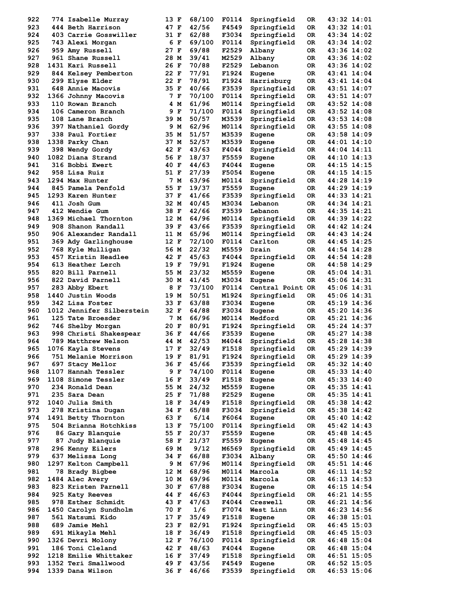| 922        | 774 Isabelle Murray                     | 13 F         | 68/100         | F0114          | Springfield           | 0R       | 43:32 14:01                |
|------------|-----------------------------------------|--------------|----------------|----------------|-----------------------|----------|----------------------------|
| 923        | 444 Beth Harrison                       | 47 F         | 42/56          | F4549          | Springfield           | 0R.      | 43:32 14:01                |
| 924        | 403 Carrie Gosswiller                   | 31 F         | 62/88          | F3034          | Springfield           | ОR       | 43:34 14:02                |
| 925        | 743 Alexi Morgan                        | 6 F          | 69/100         | F0114          | Springfield           | 0R       | 43:34 14:02                |
| 926        | 959 Amy Russell                         | 27 F         | 69/88          | F2529          | Albany                | 0R       | 43:36 14:02                |
| 927        | 961 Shane Russell                       | 28 M         | 39/41          | M2529          | Albany                | 0R       | 43:36 14:02                |
| 928        | 1431 Kari Russell                       | 26 F         | 70/88          | F2529          | Lebanon               | 0R       | 43:36 14:02                |
| 929        | 844 Kelsey Pemberton                    | 22 F         | 77/91          | F1924          | Eugene                | OR.      | 43:41 14:04                |
| 930        | 299 Elyse Elder                         | 22 F         | 78/91          | F1924          | Harrisburg            | OR.      | 43:41 14:04                |
| 931        | 648 Annie Macovis                       | 35 F         | 40/66          | F3539          | Springfield           | 0R       | 43:51 14:07                |
| 932        | 1366 Johnny Macovis                     | 7 F          | 70/100         | F0114          | Springfield           | 0R       | 43:51 14:07                |
| 933        | 110 Rowan Branch                        | 4 M          | 61/96          | M0114          | Springfield           | 0R       | 43:52 14:08                |
| 934        | 106 Cameron Branch                      | 9 F          | 71/100         | F0114          | Springfield           | 0R       | 43:52 14:08                |
| 935        | 108 Lane Branch                         | 39 M         | 50/57          | M3539          | Springfield           | 0R       | 43:53 14:08                |
| 936        | 397 Nathaniel Gordy                     | 9 M          | 62/96          | M0114          | Springfield           | 0R       | 43:55 14:08                |
| 937        | 338 Paul Fortier                        | 35 M         | 51/57          | M3539          | Eugene                | OR.      | 43:58 14:09                |
| 938        | 1338 Parky Chan                         | 37 M         | 52/57          | M3539          | Eugene                | 0R       | 44:01 14:10                |
| 939        | 398 Wendy Gordy                         | 42 F         | 43/63          | F4044          | Springfield           | 0R       | 44:04 14:11                |
| 940        | 1082 Diana Strand                       | 56 F         | 18/37          | F5559          | Eugene                | 0R       | 44:10 14:13                |
| 941        | 316 Bobbi Ewert                         | 40 F         | 44/63          | F4044          | Eugene                | 0R       | 44:15 14:15                |
| 942        | 958 Lisa Ruiz                           | 51 F         | 27/39          | F5054          | Eugene                | OR.      | 44:15 14:15                |
| 943        | 1294 Max Hunter                         | 7 M          | 63/96          | M0114          | Springfield           | 0R       | 44:28 14:19                |
| 944        | 845 Pamela Penfold                      | 55 F         | 19/37          | F5559          | Eugene                | 0R       | 44:29 14:19                |
| 945        | 1293 Karen Hunter                       | 37 F         | 41/66          | F3539          | Springfield           | 0R       | 44:33 14:21                |
| 946        | 411 Josh Gum                            | 32 M         | 40/45          | M3034          | Lebanon               | 0R       | 44:34 14:21                |
| 947        | 412 Wendie Gum                          | 38 F         | 42/66          | F3539          | Lebanon               | OR.      | 44:35 14:21                |
|            | 1369 Michael Thornton                   |              | 64/96          |                |                       |          |                            |
| 948        |                                         | 12 M         |                | M0114          | Springfield           | 0R       | 44:39 14:22                |
| 949        | 908 Shanon Randall                      | 39 F         | 43/66          | F3539          | Springfield           | 0R       | 44:42 14:24                |
| 950        | 906 Alexander Randall                   | 11 M         | 65/96          | M0114          | Springfield           | 0R       | 44:43 14:24                |
| 951        | 369 Ady Garlinghouse                    | 12 F         | 72/100         | F0114          | Carlton               | 0R       | 44:45 14:25                |
| 952        | 768 Kyle Mulligan                       | 56 M         | 22/32          | M5559          | Drain                 | 0R       | 44:54 14:28                |
| 953        | 457 Kristin Headlee                     | 42 F         | 45/63          | F4044          | Springfield           | 0R       | 44:54 14:28                |
| 954        | 613 Heather Lerch                       | 19 F         | 79/91          | F1924          | Eugene                | OR.      | 44:58 14:29                |
| 955        | 820 Bill Parnell                        | 55 M         | 23/32          | M5559          | Eugene                | OR.      | 45:04 14:31                |
| 956        | 822 David Parnell                       | 30 M         | 41/45          | M3034          | Eugene                | OR.      | 45:06 14:31                |
| 957        | 283 Abby Ebert                          | 8 F          | 73/100         | F0114          | Central Point OR      |          | 45:06 14:31                |
| 958        | 1440 Justin Woods                       | 19 M         | 50/51          | M1924          | Springfield           | 0R       | 45:06 14:31                |
| 959        | 342 Lisa Foster                         | 33 F         | 63/88          | F3034          | Eugene                | OR.      | 45:19 14:36                |
| 960        | 1012 Jennifer Silberstein               | 32 F         | 64/88          | F3034          | Eugene                | OR.      | 45:20 14:36                |
| 961        | 125 Tate Broesder                       | 7 M          | 66/96          | M0114          | Medford               | OR.      | 45:21 14:36                |
| 962        | 746 Shelby Morgan                       | 20 F         | 80/91          | F1924          | Springfield           | OR       | 45:24 14:37                |
| 963        | 998 Christi Shakespear                  | 36 F         | 44/66          | F3539          | Eugene                | OR.      | 45:27 14:38                |
| 964        | 789 Matthrew Nelson                     | 44 M         | 42/53          | M4044          | Springfield           | OR.      | 45:28 14:38                |
| 965        | 1076 Kayla Stevens                      | 17 F         | 32/49          | F1518          | Springfield           | ОR       | 45:29 14:39                |
| 966        | 751 Melanie Morrison                    | 19 F         | 81/91          | F1924          | Springfield           | 0R       | 45:29 14:39                |
| 967        | 697 Stacy Mellor                        | 36 F         | 45/66          | F3539          | Springfield           | OR       | 45:32 14:40                |
| 968        | 1107 Hannah Tessler                     | 9 F          | 74/100         | F0114          | Eugene                | OR       | 45:33 14:40                |
| 969        | 1108 Simone Tessler                     | 16 F         | 33/49          | F1518          | Eugene                | OR       | 45:33 14:40                |
| 970        | 234 Ronald Dean                         | 55 M         | 24/32          | M5559          | Eugene                | OR       | 45:35 14:41                |
| 971        | 235 Sara Dean                           | 25 F         | 71/88          | F2529          | Eugene                | OR       | $45:35$ $14:41$            |
| 972        | 1040 Julia Smith                        | 18 F         | 34/49          | F1518          | Springfield           | OR       | 45:38 14:42                |
| 973        | 278 Kristina Dugan                      | 34 F         | 65/88          | F3034          | Springfield           | OR       | 45:38 14:42                |
| 974        | 1491 Betty Thornton                     | 63 F         | 6/14           | F6064          | Eugene                | OR       | 45:40 14:42                |
| 975        | 504 Brianna Hotchkiss                   | 13 F         | 75/100         | F0114          | Springfield           | OR       | 45:42 14:43                |
| 976        | 86 Gary Blanquie                        | 55 F         | 20/37          | F5559          | Eugene                | OR       | 45:48 14:45                |
| 977        | 87 Judy Blanquie                        | 58 F         | 21/37          | F5559          | Eugene                | OR       | 45:48 14:45                |
| 978        | 296 Kenny Eilers                        | 69 M         | 9/12           | M6569          | Springfield           | OR       | 45:49 14:45                |
| 979        | 637 Melissa Long                        | 34 F         | 66/88          | F3034          | Albany                | OR       | 45:50 14:46                |
| 980        | 1297 Kelton Campbell                    | 9 M          | 67/96          | M0114          | Springfield           | OR       | 45:51 14:46                |
| 981        | 78 Brady Bigbee                         | 12 M         | 68/96          | M0114          | Marcola               | OR       | 46:11 14:52                |
| 982        | 1484 Alec Avery                         | 10 M         | 69/96          | M0114          | Marcola               | OR       | $46:13$ $14:53$            |
| 983        | 823 Kristen Parnell                     | 30 F         | 67/88          | F3034          | Eugene                | OR       | 46:15 14:54                |
| 984        | 925 Katy Reeves                         | 44 F         | 46/63          | F4044          | Springfield           | OR       | 46:21 14:55                |
| 985        | 978 Esther Schmidt                      | 43 F         | 47/63          | F4044          | Creswell              | OR       | 46:21 14:56                |
| 986        | 1450 Carolyn Sundholm                   | 70 F         | 1/6            | F7074          | West Linn             | OR       | 46:23 14:56                |
| 987        | 561 Natsumi Kido                        | 17 F         | 35/49          | F1518          | Eugene                | OR       | 46:38 15:01                |
| 988        | 689 Jamie Mehl                          | 23 F         | 82/91          | F1924          | Springfield           | OR       | $46:45$ 15:03              |
| 989        | 691 Mikayla Mehl                        | 18 F         | 36/49          | F1518          | Springfield           | OR       | 46:45 15:03                |
| 990        | 1326 Devri Molony                       | 12 F         | 76/100         | F0114          | Springfield           | OR       | 46:48 15:04                |
| 991        | 186 Toni Cleland                        | 42 F         | 48/63          | F4044          | Eugene                | OR       | 46:48 15:04                |
|            |                                         |              |                |                |                       |          |                            |
|            |                                         |              |                |                |                       |          |                            |
| 992        | 1218 Emilie Whittaker                   | 16 F         | 37/49          | F1518          | Springfield           | OR       | 46:51 15:05                |
| 993<br>994 | 1352 Teri Smallwood<br>1339 Dana Wilson | 49 F<br>36 F | 43/56<br>46/66 | F4549<br>F3539 | Eugene<br>Springfield | OR<br>0R | 46:52 15:05<br>46:53 15:06 |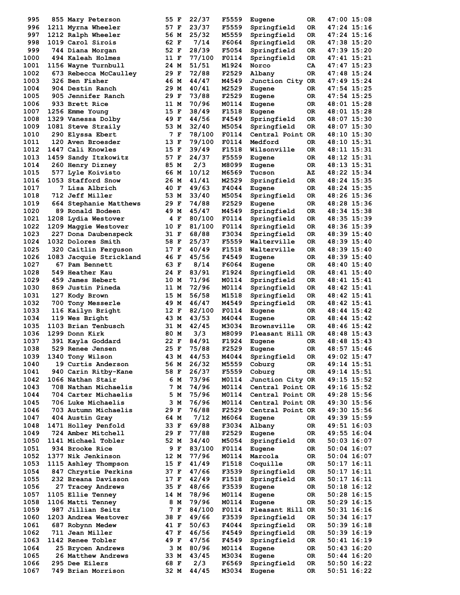| 995          | 855 Mary Peterson                          | 55 F         | 22/37           | F5559          | Eugene                               | 0R       | 47:00 15:08                    |
|--------------|--------------------------------------------|--------------|-----------------|----------------|--------------------------------------|----------|--------------------------------|
| 996          | 1211 Myrna Wheeler                         | 57 F         | 23/37           | F5559          | Springfield                          | 0R       | 47:24 15:16                    |
| 997          | 1212 Ralph Wheeler                         | 56 M         | 25/32           | M5559          | Springfield                          | 0R       | 47:24 15:16                    |
| 998          | 1019 Carol Sirois                          | 62 F         | 7/14            | F6064          | Springfield                          | 0R       | 47:38 15:20                    |
| 999          | 744 Diana Morgan                           | 52 F         | 28/39           | F5054          | Springfield                          | 0R       | 47:39 15:20                    |
| 1000         | 494 Kaleah Holmes                          | 11 F         | 77/100          | F0114          | Springfield                          | 0R       | 47:41 15:21                    |
| 1001         | 1156 Wayne Turnbull                        | 24 M         | 51/51           | M1924          | Norco                                | CA       | 47:47 15:23                    |
| 1002<br>1003 | 673 Rebecca McCaulley<br>326 Ben Fisher    | 29 F<br>46 M | 72/88<br>44/47  | F2529<br>M4549 | Albany                               | 0R       | 47:48 15:24<br>47:49 15:24     |
| 1004         | 904 Destin Ranch                           | 29 M         | 40/41           | M2529          | Junction City OR<br>Eugene           | 0R       | 47:54 15:25                    |
| 1005         | 905 Jennifer Ranch                         | 29 F         | 73/88           | F2529          | Eugene                               | 0R       | 47:54 15:25                    |
| 1006         | 933 Brett Rice                             | 11 M         | 70/96           | M0114          | Eugene                               | 0R       | 48:01 15:28                    |
| 1007         | 1256 Emme Young                            | 15 F         | 38/49           | F1518          | Eugene                               | ОR       | 48:01 15:28                    |
| 1008         | 1329 Vanessa Dolby                         | 49 F         | 44/56           | F4549          | Springfield                          | 0R       | 48:07 15:30                    |
| 1009         | 1081 Steve Straily                         | 53 M         | 32/40           | M5054          | Springfield                          | 0R       | 48:07 15:30                    |
| 1010         | 290 Elyssa Ebert                           | 7 F          | 78/100          | F0114          | Central Point OR                     |          | 48:10 15:30                    |
| 1011         | 120 Aven Broesder                          | 13 F         | 79/100          | F0114          | Medford                              | 0R       | $48:10$ $15:31$                |
| 1012         | 1447 Cali Knowles                          | 15 F         | 39/49           | F1518          | Wilsonville                          | 0R       | 48:11 15:31                    |
| 1013         | 1459 Sandy Itzkowitz                       | 57 F         | 24/37           | F5559          | Eugene                               | 0R       | 48:12 15:31                    |
| 1014         | 260 Henry Dizney                           | 85 M         | 2/3             | M8099          | Eugene                               | 0R       | 48:13 15:31                    |
| 1015         | 577 Lyle Koivisto                          | 66 M         | 10/12           | M6569          | Tucson                               | ΑZ       | 48:22 15:34                    |
| 1016<br>1017 | 1053 Stafford Snow<br>7 Lisa Albrich       | 26 M<br>40 F | 41/41<br>49/63  | M2529<br>F4044 | Springfield                          | 0R       | 48:24 15:35<br>48:24 15:35     |
| 1018         | 712 Jeff Miller                            | 53 M         | 33/40           | M5054          | Eugene<br>Springfield                | 0R<br>0R | 48:26 15:36                    |
| 1019         | 664 Stephanie Matthews                     | 29 F         | 74/88           | F2529          | Eugene                               | 0R       | 48:28 15:36                    |
| 1020         | 89 Ronald Bodeen                           | 49 M         | 45/47           | M4549          | Springfield                          | 0R       | 48:34 15:38                    |
| 1021         | 1208 Lydia Westover                        | 4 F          | 80/100          | F0114          | Springfield                          | 0R       | 48:35 15:39                    |
| 1022         | 1209 Maggie Westover                       | 10 F         | 81/100          | F0114          | Springfield                          | 0R       | 48:36 15:39                    |
| 1023         | 227 Dona Daubenspeck                       | 31 F         | 68/88           | F3034          | Springfield                          | 0R       | 48:39 15:40                    |
| 1024         | 1032 Dolores Smith                         | 58 F         | 25/37           | F5559          | Walterville                          | 0R       | 48:39 15:40                    |
| 1025         | 320 Caitlin Ferquson                       | 17 F         | 40/49           | F1518          | Walterville                          | 0R.      | 48:39 15:40                    |
| 1026         | 1083 Jacquie Strickland                    | 46 F         | 45/56           | F4549          | Eugene                               | 0R       | 48:39 15:40                    |
| 1027         | 67 Pam Bennett                             | 63 F         | 8/14            | F6064          | Eugene                               | 0R       | 48:40 15:40                    |
| 1028         | 549 Heather Kau                            | 24 F         | 83/91           | F1924          | Springfield                          | 0R       | 48:41 15:40                    |
| 1029         | 459 James Hebert                           | 10 M         | 71/96           | M0114          | Springfield                          | 0R       | $48:41$ $15:41$                |
| 1030         | 869 Justin Pineda                          | 11 M<br>15 M | 72/96           | M0114          | Springfield                          | 0R       | 48:42 15:41                    |
| 1031<br>1032 | 127 Kody Brown<br><b>700 Tony Messerle</b> | 49 M         | 56/58<br>46/47  | M1518<br>M4549 | Springfield<br>Springfield           | 0R<br>0R | $48:42$ $15:41$<br>48:42 15:41 |
| 1033         | 116 Kailyn Bright                          | 12 F         | 82/100          | F0114          | Eugene                               | 0R       | 48:44 15:42                    |
| 1034         | 119 Wes Bright                             | 43 M         | 43/53           | M4044          | Eugene                               | OR.      | 48:44 15:42                    |
| 1035         | 1103 Brian Tenbusch                        | 31 M         | 42/45           | M3034          | Brownsville                          | 0R.      | 48:46 15:42                    |
| 1036         | 1299 Donn Kirk                             | 80 M         | 3/3             | M8099          | Pleasant Hill OR                     |          | 48:48 15:43                    |
| 1037         | 391 Kayla Goddard                          | 22 F         | 84/91           | F1924          | Eugene                               | 0R       | 48:48 15:43                    |
| 1038         | 529 Renee Jensen                           | 25 F         | 75/88           | F2529          | Eugene                               | ОR       | 48:57 15:46                    |
| 1039         | 1340 Tony Wilson                           | 43 M         | 44/53           | M4044          | Springfield                          | 0R       | 49:02 15:47                    |
| 1040         | 19 Curtis Anderson                         | 56 M         | 26/32           | M5559          | Coburg                               | OR       | 49:14 15:51                    |
| 1041         | 940 Carin Ritby-Kane                       | 58 F         | 26/37           | F5559          | Coburg                               | OR.      | 49:14 15:51                    |
| 1042         | 1066 Nathan Stair                          | 6 M          | 73/96           | M0114          | Junction City OR                     |          | 49:15 15:52                    |
| 1043         | 708 Nathan Michaelis                       | 7 M          | 74/96           | M0114          | Central Point OR                     |          | 49:16 15:52                    |
| 1044<br>1045 | 704 Carter Michaelis<br>706 Luke Michaelis | 5 M<br>3 M   | 75/96<br>76/96  | M0114<br>M0114 | Central Point OR<br>Central Point OR |          | 49:28 15:56<br>49:30 15:56     |
| 1046         | 703 Autumn Michaelis                       | 29 F         | 76/88           | F2529          | Central Point OR                     |          | 49:30 15:56                    |
| 1047         | 404 Austin Gray                            | 64 M         | 7/12            | M6064          | Eugene                               | OR.      | 49:39 15:59                    |
| 1048         | 1471 Holley Penfold                        | 33 F         | 69/88           | F3034          | Albany                               | OR.      | 49:51 16:03                    |
| 1049         | 724 Amber Mitchell                         | 29 F         | 77/88           | F2529          | Eugene                               | OR       | 49:55 16:04                    |
| 1050         | 1141 Michael Tobler                        | 52 M         | 34/40           | M5054          | Springfield                          | OR       | 50:03 16:07                    |
| 1051         | 934 Brooke Rice                            | 9 F          | 83/100          | F0114          | Eugene                               | OR       | $50:04$ 16:07                  |
| 1052         | 1377 Nik Jenkinson                         | 12 M         | 77/96           | M0114          | Marcola                              | OR       | $50:04$ 16:07                  |
| 1053         | 1115 Ashley Thompson                       | 15 F         | 41/49           | F1518          | Coquille                             | OR       | 50:17 16:11                    |
| 1054         | 847 Chrystie Perkins                       | 37 F         | 47/66           | F3539          | Springfield                          | OR       | 50:17 16:11                    |
| 1055         | 232 Breana Davisson                        | 17 F         | 42/49           | F1518          | Springfield                          | OR       | $50:17$ 16:11                  |
| 1056         | 27 Tracey Andrews                          | 35 F         | 48/66           | F3539          | Eugene                               | OR       | 50:18 16:12                    |
| 1057         | 1105 Ellie Tenney                          | 14 M         | 78/96           | M0114          | Eugene                               | OR       | 50:28 16:15                    |
| 1058         | 1106 Matti Tenney                          | 8 M          | 79/96           | M0114          | Eugene                               | OR.      | $50:29$ 16:15                  |
| 1059<br>1060 | 987 Jillian Seitz<br>1203 Andrea Westover  | 7 F<br>38 F  | 84/100<br>49/66 | F0114<br>F3539 | Pleasant Hill OR<br>Springfield      | OR       | 50:31 16:16<br>50:34 16:17     |
| 1061         | 687 Robynn Medew                           | 41 F         | 50/63           | F4044          | Springfield                          | OR       | $50:39$ 16:18                  |
| 1062         | 711 Jean Miller                            | 47 F         | 46/56           | F4549          | Springfield                          | 0R       | 50:39 16:19                    |
| 1063         | 1142 Renee Tobler                          | 49 F         | 47/56           | F4549          | Springfield                          | OR       | 50:41 16:19                    |
| 1064         | 25 Brycen Andrews                          | 3 M          | 80/96           | M0114          | Eugene                               | OR       | 50:43 16:20                    |
| 1065         | 26 Matthew Andrews                         | 33 M         | 43/45           | M3034          | Eugene                               | OR       | 50:44 16:20                    |
| 1066         | 295 Dee Eilers                             | 68 F         | 2/3             | F6569          | Springfield                          | OR       | $50:50$ 16:22                  |
| 1067         | 749 Brian Morrison                         | 32 M         | 44/45           | M3034          | Eugene                               | 0R       | $50:51$ 16:22                  |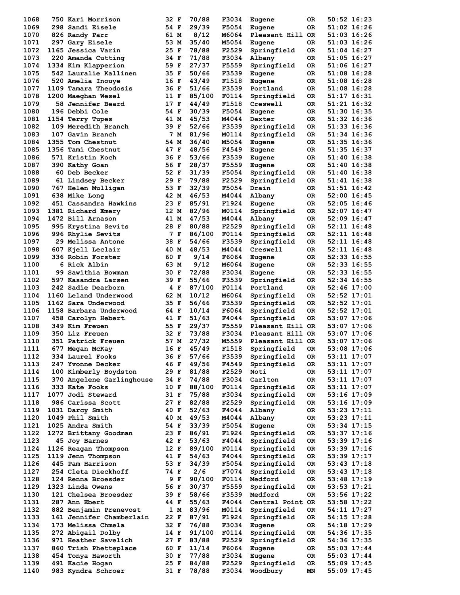| 1068 |    | 750 Kari Morrison         | 32 F         | 70/88  | F3034 | Eugene           | 0R        | 50:52 16:23     |
|------|----|---------------------------|--------------|--------|-------|------------------|-----------|-----------------|
| 1069 |    | 298 Sandi Eisele          | 54 F         | 29/39  | F5054 | Eugene           | OR.       | 51:02 16:26     |
| 1070 |    | 826 Randy Parr            | 61 M         | 8/12   | M6064 | Pleasant Hill OR |           | 51:03 16:26     |
| 1071 |    | 297 Gary Eisele           | 53 M         | 35/40  | M5054 | Eugene           | 0R        | 51:03 16:26     |
| 1072 |    | 1165 Jessica Varin        | 25 F         | 78/88  | F2529 | Springfield      | 0R        | 51:04 16:27     |
| 1073 |    | 220 Amanda Cutting        | 34 F         | 71/88  | F3034 | Albany           | 0R        | 51:05 16:27     |
| 1074 |    | 1334 Kim Klapperion       | 59 F         | 27/37  | F5559 | Springfield      | 0R        | 51:06 16:27     |
| 1075 |    | 542 Lauralie Kallinen     | 35 F         | 50/66  | F3539 | Eugene           | OR.       | 51:08 16:28     |
| 1076 |    | 520 Amelia Inouye         | 16 F         | 43/49  | F1518 | Eugene           | 0R        | 51:08 16:28     |
| 1077 |    | 1109 Tamara Theodosis     | 36 F         | 51/66  | F3539 | Portland         | 0R        | 51:08 16:28     |
| 1078 |    | 1200 Maeghan Wesel        | 11 F         | 85/100 | F0114 | Springfield      | 0R        | 51:17 16:31     |
| 1079 |    | 58 Jennifer Beard         | 17 F         | 44/49  | F1518 | Creswell         | 0R        | 51:21 16:32     |
| 1080 |    | 196 Debbi Cole            | 54 F         | 30/39  | F5054 | Eugene           | OR.       | 51:30 16:35     |
| 1081 |    | 1154 Terry Tupes          | 41 M         | 45/53  | M4044 | Dexter           | 0R        | 51:32 16:36     |
| 1082 |    | 109 Meredith Branch       | 39 F         | 52/66  | F3539 | Springfield      | 0R        | 51:33 16:36     |
| 1083 |    | 107 Gavin Branch          | 7 M          | 81/96  | M0114 | Springfield      | 0R        | 51:34 16:36     |
| 1084 |    | 1355 Tom Chestnut         | 54 M         | 36/40  | M5054 | Eugene           | OR.       | 51:35 16:36     |
| 1085 |    | 1356 Tami Chestnut        | 47 F         | 48/56  | F4549 | Eugene           | OR.       | 51:35 16:37     |
| 1086 |    | 571 Kristin Koch          | 36 F         | 53/66  | F3539 | Eugene           | OR.       | 51:40 16:38     |
| 1087 |    | 390 Kathy Goan            | 56 F         | 28/37  | F5559 | Eugene           | 0R        | 51:40 16:38     |
| 1088 |    | <b>60 Deb Becker</b>      | 52 F         | 31/39  | F5054 | Springfield      | 0R        | 51:40 16:38     |
| 1089 |    | 61 Lindsey Becker         | 29 F         | 79/88  | F2529 | Springfield      | OR.       | 51:41 16:38     |
| 1090 |    | 767 Helen Mulligan        | 53 F         | 32/39  | F5054 | Drain            | 0R        | 51:51 16:42     |
| 1091 |    | 638 Mike Long             | 42 M         | 46/53  | M4044 | Albany           | 0R        | 52:00 16:45     |
| 1092 |    | 451 Cassandra Hawkins     | 23 F         | 85/91  | F1924 |                  | OR.       | 52:05 16:46     |
| 1093 |    |                           |              |        | M0114 | Eugene           |           | 52:07 16:47     |
| 1094 |    | 1381 Richard Emery        | 12 M         | 82/96  |       | Springfield      | 0R        |                 |
|      |    | 1472 Bill Arnason         | 41 M<br>28 F | 47/53  | M4044 | Albany           | 0R        | 52:09 16:47     |
| 1095 |    | 995 Krystina Sevits       |              | 80/88  | F2529 | Springfield      | OR.       | 52:11 16:48     |
| 1096 |    | <b>996 Rhylie Sevits</b>  | 7 F          | 86/100 | F0114 | Springfield      | 0R        | 52:11 16:48     |
| 1097 |    | 29 Melissa Antone         | 38 F         | 54/66  | F3539 | Springfield      | 0R        | 52:11 16:48     |
| 1098 |    | 607 Kjell Leclair         | 40 M         | 48/53  | M4044 | Creswell         | 0R        | 52:11 16:48     |
| 1099 |    | 336 Robin Forster         | 60 F         | 9/14   | F6064 | Eugene           | OR.       | 52:33 16:55     |
| 1100 |    | 6 Rick Albin              | 63 M         | 9/12   | M6064 | Eugene           | OR.       | 52:33 16:55     |
| 1101 | 99 | Sawithia Bowman           | 30 F         | 72/88  | F3034 | Eugene           | 0R        | 52:33 16:55     |
| 1102 |    | 597 Kasandra Larsen       | 39 F         | 55/66  | F3539 | Springfield      | 0R        | 52:34 16:55     |
| 1103 |    | 242 Sadie Dearborn        | 4 F          | 87/100 | F0114 | Portland         | 0R        | $52:46$ 17:00   |
| 1104 |    | 1160 Leland Underwood     | 62 M         | 10/12  | M6064 | Springfield      | 0R        | $52:52$ $17:01$ |
| 1105 |    | 1162 Sara Underwood       | 35 F         | 56/66  | F3539 | Springfield      | 0R        | 52:52 17:01     |
| 1106 |    | 1158 Barbara Underwood    | 64 F         | 10/14  | F6064 | Springfield      | 0R        | 52:52 17:01     |
| 1107 |    | 458 Carolyn Hebert        | 41 F         | 51/63  | F4044 | Springfield      | 0R        | 53:07 17:06     |
| 1108 |    | 349 Kim Freuen            | 55 F         | 29/37  | F5559 | Pleasant Hill OR |           | 53:07 17:06     |
| 1109 |    | 350 Liz Freuen            | 32 F         | 73/88  | F3034 | Pleasant Hill OR |           | 53:07 17:06     |
| 1110 |    | 351 Patrick Freuen        | 57 M         | 27/32  | M5559 | Pleasant Hill OR |           | 53:07 17:06     |
| 1111 |    | 677 Megan McKay           | 16 F         | 45/49  | F1518 | Springfield      | 0R        | 53:08 17:06     |
| 1112 |    | 334 Laurel Fooks          | 36 F         | 57/66  | F3539 | Springfield      | 0R        | 53:11 17:07     |
| 1113 |    | 247 Yvonne Decker         | 46 F         | 49/56  | F4549 | Springfield      | OR        | 53:11 17:07     |
| 1114 |    | 100 Kimberly Boydston     | 29 F         | 81/88  | F2529 | Noti             | <b>OR</b> | 53:11 17:07     |
| 1115 |    | 370 Angelene Garlinghouse | 34 F         | 74/88  | F3034 | Carlton          | 0R        | 53:11 17:07     |
| 1116 |    | 333 Kate Fooks            | 10 F         | 88/100 | F0114 | Springfield      | 0R        | 53:11 17:07     |
| 1117 |    | 1077 Jodi Steward         | 31 F         | 75/88  | F3034 | Springfield      | 0R        | $53:16$ 17:09   |
| 1118 |    | 986 Carissa Scott         | 27 F         | 82/88  | F2529 | Springfield      | 0R        | $53:16$ 17:09   |
| 1119 |    | 1031 Darcy Smith          | 40 F         | 52/63  | F4044 | Albany           | OR        | 53:23 17:11     |
| 1120 |    | 1049 Phil Smith           | 40 M         | 49/53  | M4044 | Albany           | 0R        | 53:23 17:11     |
| 1121 |    | 1025 Andra Smith          | 54 F         | 33/39  | F5054 | Eugene           | OR        | 53:34 17:15     |
| 1122 |    | 1272 Brittany Goodman     | 23 F         | 86/91  | F1924 | Springfield      | 0R        | 53:37 17:16     |
| 1123 |    | 45 Joy Barnes             | 42 F         | 53/63  | F4044 | Springfield      | 0R        | 53:39 17:16     |
| 1124 |    | 1126 Reagan Thompson      | 12 F         | 89/100 | F0114 | Springfield      | 0R        | 53:39 17:16     |
| 1125 |    | 1119 Jenn Thompson        | 41 F         | 54/63  | F4044 | Springfield      | 0R        | 53:39 17:17     |
| 1126 |    | 445 Pam Harrison          | 53 F         | 34/39  | F5054 | Springfield      | 0R        | 53:43 17:18     |
| 1127 |    | 254 Cleta Dieckhoff       | 74 F         | 2/6    | F7074 | Springfield      | 0R        | $53:43$ $17:18$ |
| 1128 |    | 124 Renna Broesder        | 9 F          | 90/100 | F0114 | Medford          | 0R        | $53:48$ $17:19$ |
| 1129 |    | 1323 Linda Owens          | 56 F         | 30/37  | F5559 | Springfield      | 0R        | 53:53 17:21     |
| 1130 |    | 121 Chelsea Broesder      | 39 F         | 58/66  | F3539 | Medford          | 0R        | 53:56 17:22     |
| 1131 |    | 287 Ann Ebert             | 44 F         | 55/63  | F4044 | Central Point OR |           | 53:58 17:22     |
| 1132 |    | 882 Benjamin Prenevost    | 1 M          | 83/96  | M0114 | Springfield      | 0R        | 54:11 17:27     |
| 1133 |    | 161 Jennifer Chamberlain  | 22 F         | 87/91  | F1924 | Springfield      | 0R        | 54:15 17:28     |
| 1134 |    | 173 Melissa Chmela        | 32 F         | 76/88  | F3034 | Eugene           | 0R        | 54:18 17:29     |
| 1135 |    | 272 Abigail Dolby         | 14 F         | 91/100 | F0114 | Springfield      | 0R        | 54:36 17:35     |
| 1136 |    | 971 Heather Savelich      | 27 F         | 83/88  | F2529 | Springfield      | 0R        | 54:36 17:35     |
| 1137 |    | 860 Trish Phetteplace     | 60 F         | 11/14  | F6064 | Eugene           | 0R        | 55:03 17:44     |
| 1138 |    | 454 Tonya Haworth         | 30 F         | 77/88  | F3034 | Eugene           | OR        | 55:03 17:44     |
| 1139 |    | 491 Kacie Hogan           | 25 F         | 84/88  | F2529 | Springfield      | 0R        | 55:09 17:45     |
| 1140 |    | 983 Kyndra Schroer        | 31 F         | 78/88  | F3034 | Woodbury         | MN        | 55:09 17:45     |
|      |    |                           |              |        |       |                  |           |                 |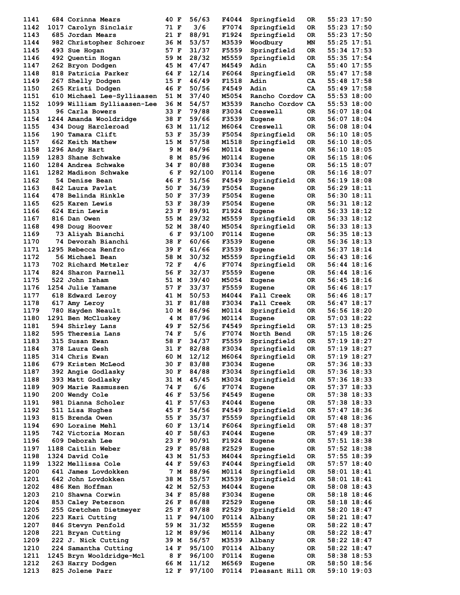| 1141 | 684 Corinna Mears           | 40 F | 56/63  | F4044 | Springfield      | 0R  | 55:23 17:50   |
|------|-----------------------------|------|--------|-------|------------------|-----|---------------|
| 1142 | 1017 Carolyn Sinclair       | 71 F | 3/6    | F7074 | Springfield      | 0R  | 55:23 17:50   |
| 1143 | 685 Jordan Mears            | 21 F | 88/91  | F1924 | Springfield      | 0R  | 55:23 17:50   |
| 1144 | 982 Christopher Schroer     | 36 M | 53/57  | M3539 | Woodbury         | MΝ  | 55:25 17:51   |
| 1145 | 493 Sue Hogan               | 57 F | 31/37  | F5559 | Springfield      | 0R  | 55:34 17:53   |
| 1146 | 492 Quentin Hogan           | 59 M | 28/32  | M5559 | Springfield      | 0R  | 55:35 17:54   |
| 1147 | 262 Bryon Dodgen            | 45 M | 47/47  | M4549 | Adin             | CA  | 55:40 17:55   |
|      |                             |      |        |       |                  |     |               |
| 1148 | 818 Patricia Parker         | 64 F | 12/14  | F6064 | Springfield      | 0R  | 55:47 17:58   |
| 1149 | 267 Shelly Dodgen           | 15 F | 46/49  | F1518 | Adin             | CA  | 55:48 17:58   |
| 1150 | 265 Kristi Dodgen           | 46 F | 50/56  | F4549 | Adin             | CA  | 55:49 17:58   |
| 1151 | 610 Michael Lee-Sylliaasen  | 51 M | 37/40  | M5054 | Rancho Cordov CA |     | 55:53 18:00   |
| 1152 | 1099 William Sylliaasen-Lee | 36 M | 54/57  | M3539 | Rancho Cordov CA |     | 55:53 18:00   |
| 1153 | 96 Carla Bowers             | 33 F | 79/88  | F3034 | Creswell         | 0R  | 56:07 18:04   |
| 1154 | 1244 Amanda Wooldridge      | 38 F | 59/66  | F3539 | Eugene           | OR. | 56:07 18:04   |
| 1155 | 434 Doug Harcleroad         | 63 M | 11/12  | M6064 | Creswell         | 0R  | 56:08 18:04   |
| 1156 | 190 Tamara Clift            | 53 F | 35/39  | F5054 | Springfield      | 0R  | 56:10 18:05   |
| 1157 | 662 Keith Mathew            | 15 M | 57/58  | M1518 | Springfield      | 0R  | 56:10 18:05   |
| 1158 | 1296 Andy Hart              | 9 M  | 84/96  | M0114 | Eugene           | 0R  | 56:10 18:05   |
| 1159 | 1283 Shane Schwake          | 8 M  | 85/96  | M0114 | Eugene           | 0R  | 56:15 18:06   |
| 1160 | 1284 Andrea Schwake         | 34 F | 80/88  | F3034 |                  | 0R  | 56:15 18:07   |
|      |                             |      |        |       | Eugene           |     |               |
| 1161 | 1282 Madison Schwake        | 6 F  | 92/100 | F0114 | Eugene           | 0R  | 56:16 18:07   |
| 1162 | 54 Denise Bean              | 46 F | 51/56  | F4549 | Springfield      | 0R  | 56:19 18:08   |
| 1163 | 842 Laura Pavlat            | 50 F | 36/39  | F5054 | Eugene           | 0R  | 56:29 18:11   |
| 1164 | 478 Belinda Hinkle          | 50 F | 37/39  | F5054 | Eugene           | 0R  | 56:30 18:11   |
| 1165 | 625 Karen Lewis             | 53 F | 38/39  | F5054 | Eugene           | 0R  | 56:31 18:12   |
| 1166 | <b>624 Erin Lewis</b>       | 23 F | 89/91  | F1924 | Eugene           | 0R  | 56:33 18:12   |
| 1167 | 816 Dan Owen                | 55 M | 29/32  | M5559 | Springfield      | 0R  | 56:33 18:12   |
| 1168 | 498 Doug Hoover             | 52 M | 38/40  | M5054 | Springfield      | 0R  | 56:33 18:13   |
| 1169 | 73 Aliyah Bianchi           | 6 F  | 93/100 | F0114 | Eugene           | 0R  | 56:35 18:13   |
| 1170 | 74 Devorah Bianchi          | 38 F | 60/66  | F3539 | Eugene           | OR. | 56:36 18:13   |
| 1171 | 1295 Rebecca Renfro         | 39 F | 61/66  | F3539 | Eugene           | 0R  | 56:37 18:14   |
| 1172 | 56 Michael Bean             | 58 M | 30/32  | M5559 |                  | 0R  | 56:43 18:16   |
| 1173 |                             |      |        |       | Springfield      |     |               |
|      | 702 Richard Metzler         | 72 F | 4/6    | F7074 | Springfield      | 0R  | 56:44 18:16   |
| 1174 | 824 Sharon Parnell          | 56 F | 32/37  | F5559 | Eugene           | OR. | 56:44 18:16   |
| 1175 | 522 John Isham              | 51 M | 39/40  | M5054 | Eugene           | 0R  | 56:45 18:16   |
| 1176 | 1254 Julie Yamane           | 57 F | 33/37  | F5559 | Eugene           | OR. | 56:46 18:17   |
| 1177 | 618 Edward Leroy            | 41 M | 50/53  | M4044 | Fall Creek       | 0R  | 56:46 18:17   |
| 1178 | 617 Amy Leroy               | 31 F | 81/88  | F3034 | Fall Creek       | 0R  | 56:47 18:17   |
| 1179 | 780 Hayden Neault           | 10 M | 86/96  | M0114 | Springfield      | 0R  | 56:56 18:20   |
| 1180 | 1291 Ben McCluskey          | 4 M  | 87/96  | M0114 | Eugene           | 0R  | 57:03 18:22   |
| 1181 | 594 Shirley Lans            | 49 F | 52/56  | F4549 | Springfield      | 0R  | 57:13 18:25   |
| 1182 | 595 Theresia Lans           | 74 F | 5/6    | F7074 | North Bend       | 0R  | 57:15 18:26   |
| 1183 | 315 Susan Ewan              | 58 F | 34/37  | F5559 | Springfield      | 0R  | 57:19 18:27   |
| 1184 | 378 Laura Gesh              | 31 F | 82/88  | F3034 | Springfield      | 0R  | 57:19 18:27   |
| 1185 | 314 Chris Ewan              | 60 M | 12/12  | M6064 | Springfield      | 0R  | 57:19 18:27   |
|      |                             | 30 F | 83/88  |       |                  |     |               |
| 1186 | 679 Kristen McLeod          |      |        | F3034 | Eugene           | 0R  | 57:36 18:33   |
| 1187 | 392 Angie Godlasky          | 30 F | 84/88  | F3034 | Springfield      | OR  | 57:36 18:33   |
| 1188 | 393 Matt Godlasky           | 31 M | 45/45  | M3034 | Springfield      | OR  | 57:36 18:33   |
| 1189 | 909 Marie Rasmussen         | 74 F | 6/6    | F7074 | Eugene           | OR  | 57:37 18:33   |
| 1190 | 200 Wendy Cole              | 46 F | 53/56  | F4549 | Eugene           | OR  | 57:38 18:33   |
| 1191 | 981 Dianna Scholer          | 41 F | 57/63  | F4044 | Eugene           | OR  | 57:38 18:33   |
| 1192 | 511 Lisa Hughes             | 45 F | 54/56  | F4549 | Springfield      | 0R  | $57:47$ 18:36 |
| 1193 | 815 Brenda Owen             | 55 F | 35/37  | F5559 | Springfield      | 0R  | 57:48 18:36   |
| 1194 | 690 Loraine Mehl            | 60 F | 13/14  | F6064 | Springfield      | OR  | 57:48 18:37   |
| 1195 | 742 Victoria Moran          | 40 F | 58/63  | F4044 | Eugene           | OR  | 57:49 18:37   |
| 1196 | 609 Deborah Lee             | 23 F | 90/91  | F1924 | Eugene           | OR  | 57:51 18:38   |
| 1197 | 1188 Caitlin Weber          | 29 F | 85/88  | F2529 | Eugene           | OR  | 57:52 18:38   |
|      |                             |      |        |       |                  |     |               |
| 1198 | 1324 David Cole             | 43 M | 51/53  | M4044 | Springfield      | OR  | 57:55 18:39   |
| 1199 | 1322 Mellissa Cole          | 44 F | 59/63  | F4044 | Springfield      | OR  | $57:57$ 18:40 |
| 1200 | 641 James Lovdokken         | 7 M  | 88/96  | M0114 | Springfield      | OR  | 58:01 18:41   |
| 1201 | 642 John Lovdokken          | 38 M | 55/57  | M3539 | Springfield      | OR  | $58:01$ 18:41 |
| 1202 | 486 Ken Hoffman             | 42 M | 52/53  | M4044 | Eugene           | OR  | 58:08 18:43   |
| 1203 | 210 Shawna Corwin           | 34 F | 85/88  | F3034 | Eugene           | OR  | 58:18 18:46   |
| 1204 | 853 Caley Peterson          | 26 F | 86/88  | F2529 | Eugene           | OR  | 58:18 18:46   |
| 1205 | 255 Gretchen Dietmeyer      | 25 F | 87/88  | F2529 | Springfield      | OR  | 58:20 18:47   |
| 1206 | 223 Kari Cutting            | 11 F | 94/100 | F0114 | Albany           | OR  | 58:21 18:47   |
| 1207 | 846 Stevyn Penfold          | 59 M | 31/32  | M5559 | Eugene           | OR  | 58:22 18:47   |
| 1208 | 221 Bryan Cutting           | 12 M | 89/96  | M0114 | Albany           | OR  | 58:22 18:47   |
|      |                             |      |        |       |                  |     |               |
| 1209 | 222 J. Nick Cutting         | 39 M | 56/57  | M3539 | Albany           | OR  | 58:22 18:47   |
| 1210 | 224 Samantha Cutting        | 14 F | 95/100 | F0114 | Albany           | OR  | 58:22 18:47   |
| 1211 | 1245 Bryn Wooldridge-Mcl    | 8 F  | 96/100 | F0114 | Eugene           | 0R  | 58:38 18:53   |
| 1212 | 263 Harry Dodgen            | 66 M | 11/12  | M6569 | Eugene           | OR. | 58:50 18:56   |
| 1213 | 825 Jolene Parr             | 12 F | 97/100 | F0114 | Pleasant Hill OR |     | 59:10 19:03   |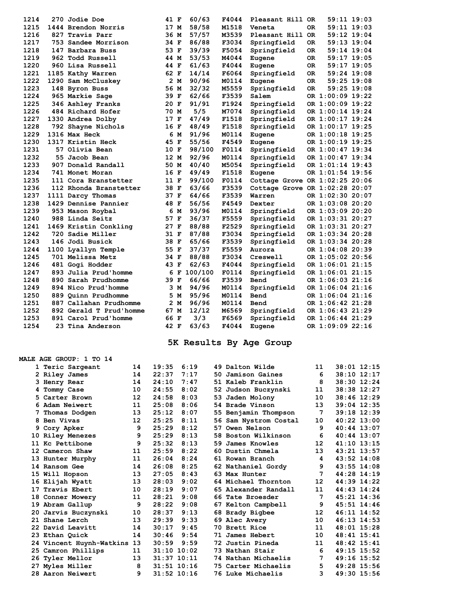| 1214 | 270 Jodie Doe           | 41 F |     | 60/63   | F4044 | Pleasant Hill OR               |     | $59:11$ $19:03$  |             |  |
|------|-------------------------|------|-----|---------|-------|--------------------------------|-----|------------------|-------------|--|
| 1215 | 1444 Brendon Norris     | 17 M |     | 58/58   | M1518 | Veneta                         | 0R  |                  | 59:11 19:03 |  |
| 1216 | 827 Travis Parr         | 36 M |     | 57/57   | M3539 | Pleasant Hill OR               |     |                  | 59:12 19:04 |  |
| 1217 | 753 Sandee Morrison     | 34 F |     | 86/88   | F3034 | Springfield                    | 0R. |                  | 59:13 19:04 |  |
| 1218 | 147 Barbara Buss        | 53 F |     | 39/39   | F5054 | Springfield                    | 0R  | 59:14 19:04      |             |  |
| 1219 | 962 Todd Russell        | 44 M |     | 53/53   | M4044 | Eugene                         | 0R. |                  | 59:17 19:05 |  |
| 1220 | 960 Lisa Russell        | 44 F |     | 61/63   | F4044 | Eugene                         | 0R  |                  | 59:17 19:05 |  |
| 1221 | 1185 Kathy Warren       | 62 F |     | 14/14   | F6064 | Springfield                    | OR. | 59:24 19:08      |             |  |
| 1222 | 1290 Sam McCluskey      |      | 2 M | 90/96   | M0114 | Eugene                         | OR. |                  | 59:25 19:08 |  |
| 1223 | 148 Byron Buss          | 56 M |     | 32/32   | M5559 | Springfield                    | OR. |                  | 59:25 19:08 |  |
| 1224 | 965 Markie Sage         | 39 F |     | 62/66   | F3539 | Salem                          |     | OR 1:00:09 19:22 |             |  |
| 1225 | 346 Ashley Franks       | 20 F |     | 91/91   | F1924 | Springfield                    |     | OR 1:00:09 19:22 |             |  |
| 1226 | 484 Richard Hofer       | 70 M |     | 5/5     | M7074 | Springfield                    |     | OR 1:00:14 19:24 |             |  |
| 1227 | 1330 Andrea Dolby       | 17 F |     | 47/49   | F1518 | Springfield                    |     | OR 1:00:17 19:24 |             |  |
| 1228 | 792 Shayne Nichols      | 16 F |     | 48/49   | F1518 | Springfield                    |     | OR 1:00:17 19:25 |             |  |
| 1229 | 1316 Max Heck           |      | 6 M | 91/96   | M0114 | Eugene                         |     | OR 1:00:18 19:25 |             |  |
| 1230 | 1317 Kristin Heck       | 45 F |     | 55/56   | F4549 | Eugene                         |     | OR 1:00:19 19:25 |             |  |
| 1231 | 57 Olivia Bean          | 10 F |     | 98/100  | F0114 | Springfield                    |     | OR 1:00:47 19:34 |             |  |
| 1232 | 55 Jacob Bean           | 12 M |     | 92/96   | M0114 | Springfield                    |     | OR 1:00:47 19:34 |             |  |
| 1233 | 907 Donald Randall      | 50 M |     | 40/40   | M5054 | Springfield                    |     | OR 1:01:14 19:43 |             |  |
| 1234 | 741 Monet Moran         | 16 F |     | 49/49   | F1518 | Eugene                         |     | OR 1:01:54 19:56 |             |  |
| 1235 | 111 Cora Branstetter    | 11 F |     | 99/100  | F0114 | Cottage Grove OR 1:02:25 20:06 |     |                  |             |  |
| 1236 | 112 Rhonda Branstetter  | 38 F |     | 63/66   | F3539 | Cottage Grove OR 1:02:28 20:07 |     |                  |             |  |
| 1237 | 1111 Darcy Thomas       | 37 F |     | 64/66   | F3539 | Warren                         |     | OR 1:02:30 20:07 |             |  |
| 1238 | 1429 Dennise Pannier    | 48 F |     | 56/56   | F4549 | Dexter                         |     | OR 1:03:08 20:20 |             |  |
| 1239 | 953 Mason Roybal        | 6    | M   | 93/96   | M0114 | Springfield                    |     | OR 1:03:09 20:20 |             |  |
| 1240 | 988 Linda Seitz         | 57 F |     | 36/37   | F5559 | Springfield                    |     | OR 1:03:31 20:27 |             |  |
| 1241 | 1469 Kristin Conkling   | 27 F |     | 88/88   | F2529 | Springfield                    |     | OR 1:03:31 20:27 |             |  |
| 1242 | 720 Sadie Miller        | 31 F |     | 87/88   | F3034 | Springfield                    |     | OR 1:03:34 20:28 |             |  |
| 1243 | 146 Jodi Busick         | 38 F |     | 65/66   | F3539 | Springfield                    |     | OR 1:03:34 20:28 |             |  |
| 1244 | 1100 Lyallyn Temple     | 55 F |     | 37/37   | F5559 | Aurora                         |     | OR 1:04:08 20:39 |             |  |
| 1245 | 701 Melissa Metz        | 34 F |     | 88/88   | F3034 | Creswell                       |     | OR 1:05:02 20:56 |             |  |
| 1246 | 481 Gogi Hodder         | 43 F |     | 62/63   | F4044 | Springfield                    |     | OR 1:06:01 21:15 |             |  |
| 1247 | 893 Julia Prud'homme    |      | 6 F | 100/100 | F0114 | Springfield                    |     | OR 1:06:01 21:15 |             |  |
| 1248 | 890 Sarah Prudhomme     | 39 F |     | 66/66   | F3539 | Bend                           |     | OR 1:06:03 21:16 |             |  |
| 1249 | 894 Nico Prud'homme     |      | 3 M | 94/96   | M0114 | Springfield                    |     | OR 1:06:04 21:16 |             |  |
| 1250 | 889 Quinn Prudhomme     | 5    | M   | 95/96   | M0114 | Bend                           |     | OR 1:06:04 21:16 |             |  |
| 1251 | 887 Callahan Prudhomme  |      | 2 M | 96/96   | M0114 | Bend                           |     | OR 1:06:42 21:28 |             |  |
| 1252 | 892 Gerald T Prud'homme | 67 M |     | 12/12   | M6569 | Springfield                    |     | OR 1:06:43 21:29 |             |  |
| 1253 | 891 Carol Prud'homme    | 66 F |     | 3/3     | F6569 | Springfield                    |     | OR 1:06:44 21:29 |             |  |
| 1254 | 23 Tina Anderson        | 42 F |     | 63/63   | F4044 | Eugene                         |     | OR 1:09:09 22:16 |             |  |

## **5K Results By Age Group**

|     | MALE AGE GROUP: 1 TO 14     |    |                 |      |                          |    |                 |
|-----|-----------------------------|----|-----------------|------|--------------------------|----|-----------------|
|     | 1 Teric Sargeant            | 14 | 19:35           | 6:19 | 49 Dalton Wilde          | 11 | 38:01 12:15     |
|     | 2 Riley James               | 14 | 22:37           | 7:17 | 50 Jamison Gaines        | 6  | 38:10 12:17     |
| 3   | Henry Rear                  | 14 | 24:10           | 7:47 | 51 Kaleb Franklin        | 8  | 38:30 12:24     |
| 4.  | Tommy Case                  | 10 | 24:55           | 8:02 | 52 Judson Buczynski      | 11 | 38:38 12:27     |
| 5.  | Carter Brown                | 12 | 24:58           | 8:03 | 53 Jaden Molony          | 10 | 38:46 12:29     |
|     | 6 Adam Neiwert              | 11 | 25:08           | 8:06 | 54 Brade Vinson          | 13 | $39:04$ 12:35   |
|     | Thomas Dodgen               | 13 | 25:12           | 8:07 | 55 Benjamin Thompson     | 7  | $39:18$ 12:39   |
| 8   | Ben Vivas                   | 12 | 25:25           | 8:11 | 56 Sam Nystrom Costal    | 10 | $40:22$ 13:00   |
|     | Cory Apker                  | 9  | 25:29           | 8:12 | 57 Owen Nelson           | 9  | $40:44$ 13:07   |
|     | 10 Riley Menezes            | 9  | 25:29           | 8:13 | 58 Boston Wilkinson      | 6  | 40:44 13:07     |
|     | 11 Kc Pettibone             | 9  | 25:32           | 8:13 | 59 James Knowles         | 12 | $41:10$ $13:15$ |
|     | 12 Cameron Shaw             | 11 | 25:59           | 8:22 | 60 Dustin Chmela         | 13 | 43:21 13:57     |
|     | 13 Hunter Murphy            | 11 | 26:04           | 8:24 | 61 Rowan Branch          | 4  | $43:52$ $14:08$ |
|     | 14 Ransom Gee               | 14 | 26:08           | 8:25 | 62 Nathaniel Gordy       | 9  | $43:55$ $14:08$ |
|     | 15 Will Hopson              | 13 | 27:05           | 8:43 | 63 Max Hunter            | 7  | 44:28 14:19     |
|     | 16 Elijah Wyatt             | 13 | 28:03           | 9:02 | 64 Michael Thornton      | 12 | 44:39 14:22     |
| 17  | Travis Ebert                | 10 | 28:19           | 9:07 | 65 Alexander Randall     | 11 | 44:43 14:24     |
| 18  | Conner Mowery               | 11 | 28:21           | 9:08 | 66 Tate Broesder         | 7  | $45:21$ 14:36   |
|     | 19 Abram Gallup             | 9  | 28:22           | 9:08 | 67 Kelton Campbell       | 9  | $45:51$ $14:46$ |
| 20. | Jarvis Buczynski            | 10 | 28:37           | 9:13 | 68 Brady Bigbee          | 12 | $46:11$ $14:52$ |
|     | 21 Shane Lerch              | 13 | 29:39           | 9:33 | 69 Alec Avery            | 10 | 46:13 14:53     |
|     | 22 David Leavitt            | 14 | 30:17           | 9:45 | 70 Brett Rice            | 11 | 48:01 15:28     |
|     | 23 Ethan Quick              | 14 | 30:46           | 9:54 | 71 James Hebert          | 10 | 48:41 15:41     |
|     | 24 Vincent Huynh-Watkins 13 |    | 30:59           | 9:59 | 72 Justin Pineda         | 11 | $48:42$ $15:41$ |
|     | 25 Camron Phillips          | 11 | $31:10$ $10:02$ |      | 73 Nathan Stair          | 6  | $49:15$ 15:52   |
|     | 26 Tyler Mellor             | 13 | $31:37$ $10:11$ |      | 74 Nathan Michaelis      | 7  | 49:16 15:52     |
|     | 27 Myles Miller             | 8  | $31:51$ $10:16$ |      | 75 Carter Michaelis      | 5  | 49:28 15:56     |
|     | 28 Aaron Neiwert            | 9  | $31:52$ $10:16$ |      | <b>76 Luke Michaelis</b> | 3  | 49:30 15:56     |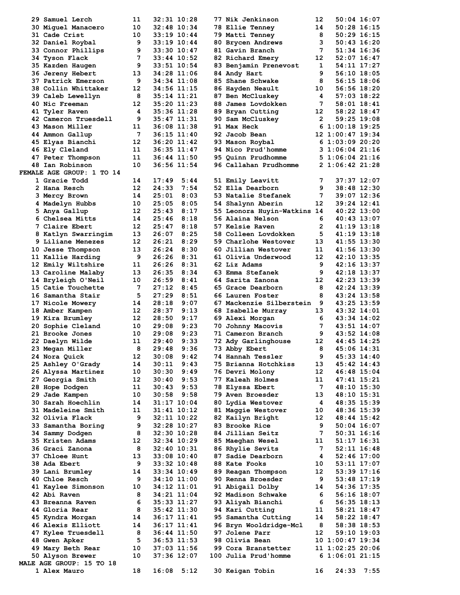| 29 Samuel Lerch                  | 11 | 32:31 10:28     |             | 77 Nik Jenkinson            | 12  |                  | $50:04$ 16:07   |  |
|----------------------------------|----|-----------------|-------------|-----------------------------|-----|------------------|-----------------|--|
| 30 Miquel Manacero               | 10 | 32:48 10:34     |             | <b>78 Ellie Tenney</b>      | 14  | $50:28$ 16:15    |                 |  |
| 31 Cade Crist                    | 10 | $33:19$ $10:44$ |             |                             | 8   |                  |                 |  |
|                                  |    |                 |             | 79 Matti Tenney             |     | $50:29$ 16:15    |                 |  |
| 32 Daniel Roybal                 | 9  | 33:19 10:44     |             | 80 Brycen Andrews           | 3   | $50:43$ 16:20    |                 |  |
| 33 Connor Phillips               | 9  | 33:30 10:47     |             | 81 Gavin Branch             | 7   | 51:34 16:36      |                 |  |
| 34 Tyson Flack                   | 7  | 33:44 10:52     |             | 82 Richard Emery            | 12  |                  | $52:07$ 16:47   |  |
| 35 Kazden Haugen                 | 9  | 33:51 10:54     |             | 83 Benjamin Prenevost       | 1   |                  | 54:11 17:27     |  |
| <b>36 Jereny Hebert</b>          | 13 | 34:28 11:06     |             | 84 Andy Hart                | 9   |                  | $56:10$ $18:05$ |  |
| 37 Patrick Emerson               | 9  | 34:34 11:08     |             | 85 Shane Schwake            | 8   | $56:15$ $18:06$  |                 |  |
| 38 Collin Whittaker              | 12 | 34:56 11:15     |             | 86 Hayden Neault            | 10  | $56:56$ $18:20$  |                 |  |
| 39 Caleb Lewellyn                | 8  | 35:14 11:21     |             | 87 Ben McCluskey            | 4   |                  | $57:03$ 18:22   |  |
| 40 Nic Freeman                   | 12 | 35:20 11:23     |             | 88 James Lovdokken          | 7   | 58:01 18:41      |                 |  |
|                                  |    |                 |             |                             |     |                  |                 |  |
| 41 Tyler Raven                   | 4  | 35:36 11:28     |             | 89 Bryan Cutting            | 12  |                  | 58:22 18:47     |  |
| 42 Cameron Truesdell             | 9  | 35:47 11:31     |             | 90 Sam McCluskey            | 2   |                  | 59:25 19:08     |  |
| 43 Mason Miller                  | 11 | 36:08 11:38     |             | 91 Max Heck                 |     | 6 1:00:18 19:25  |                 |  |
| 44 Ammon Gallup                  | 7  | 36:15 11:40     |             | 92 Jacob Bean               |     | 12 1:00:47 19:34 |                 |  |
| 45 Elyas Bianchi                 | 12 | 36:20 11:42     |             | 93 Mason Roybal             |     | 6 1:03:09 20:20  |                 |  |
| 46 Ely Cleland                   | 11 |                 | 36:35 11:47 | 94 Nico Prud'homme          |     | 3 1:06:04 21:16  |                 |  |
| 47 Peter Thompson                | 11 | 36:44 11:50     |             | <b>95 Quinn Prudhomme</b>   |     | 5 1:06:04 21:16  |                 |  |
| 48 Ian Robinson                  | 10 | 36:56 11:54     |             | 96 Callahan Prudhomme       |     | 2 1:06:42 21:28  |                 |  |
|                                  |    |                 |             |                             |     |                  |                 |  |
| <b>FEMALE AGE GROUP: 1 TO 14</b> |    |                 |             |                             |     |                  |                 |  |
| 1 Gracie Todd                    | 14 | 17:49           | 5:44        | 51 Emily Leavitt            | 7   |                  | 37:37 12:07     |  |
| 2 Hana Resch                     | 12 | 24:33           | 7:54        | 52 Ella Dearborn            | 9   |                  | 38:48 12:30     |  |
| 3 Mercy Brown                    | 14 | 25:01           | 8:03        | 53 Natalie Stefanek         | 7   |                  | 39:07 12:36     |  |
| 4 Madelyn Hubbs                  | 10 | 25:05           | 8:05        | 54 Shalynn Aberin           | 12  |                  | 39:24 12:41     |  |
| 5 Anya Gallup                    | 12 | 25:43           | 8:17        | 55 Leonora Huyin-Watkins 14 |     |                  | 40:22 13:00     |  |
| 6 Chelsea Mitts                  | 14 | 25:46           | 8:18        | 56 Alaina Nelson            | 6   |                  | 40:43 13:07     |  |
| 7 Claire Ebert                   | 12 | 25:47           | 8:18        | 57 Kelsie Raven             | 2   |                  | $41:19$ $13:18$ |  |
| 8 Katlyn Swarringim              | 13 | 26:07           | 8:25        | 58 Colleen Lovdokken        | 5   | $41:19$ $13:18$  |                 |  |
|                                  |    |                 |             |                             |     |                  |                 |  |
| 9 Liliane Menezes                | 12 | 26:21           | 8:29        | 59 Charlohe Westover        | 13  | 41:55 13:30      |                 |  |
| 10 Jesse Thompson                | 13 | 26:24           | 8:30        | 60 Jillian Westover         | 11  |                  | 41:56 13:30     |  |
| 11 Kallie Harding                | 9  | 26:26           | 8:31        | 61 Olivia Underwood         | 12  |                  | 42:10 13:35     |  |
| 12 Emily Wiltshire               | 11 | 26:26           | 8:31        | 62 Liz Adams                | 9   |                  | 42:16 13:37     |  |
| 13 Caroline Malaby               | 13 | 26:35           | 8:34        | 63 Emma Stefanek            | 9   |                  | 42:18 13:37     |  |
| 14 Bryleigh O'Neil               | 10 | 26:59           | 8:41        | 64 Sarita Zanona            | 12  |                  | 42:23 13:39     |  |
| 15 Catie Touchette               | 7  | 27:12           | 8:45        | 65 Grace Dearborn           | 8   |                  | 42:24 13:39     |  |
| 16 Samantha Stair                | 5  | 27:29           | 8:51        | 66 Lauren Foster            | 8   |                  | 43:24 13:58     |  |
|                                  | 14 | 28:18           | 9:07        | 67 Mackenzie Silberstein    | - 9 |                  | 43:25 13:59     |  |
| 17 Nicole Mowery                 |    |                 |             |                             |     |                  |                 |  |
| 18 Amber Kampen                  | 12 | 28:37           | 9:13        | 68 Isabelle Murray          | 13  | 43:32 14:01      |                 |  |
| 19 Kira Brumley                  | 12 | 28:50           | 9:17        | 69 Alexi Morgan             | 6   |                  | 43:34 14:02     |  |
| 20 Sophie Cleland                | 10 | 29:08           | 9:23        | 70 Johnny Macovis           | 7   | 43:51 14:07      |                 |  |
| 21 Brooke Jones                  | 10 | 29:08           | 9:23        | 71 Cameron Branch           | 9   | $43:52$ $14:08$  |                 |  |
| 22 Daelyn Wilde                  | 11 | 29:40           | 9:33        | 72 Ady Garlinghouse         | 12  |                  | 44:45 14:25     |  |
| 23 Megan Miller                  | 8  | 29:48           | 9:36        | 73 Abby Ebert               | 8   | 45:06 14:31      |                 |  |
| 24 Nora Quick                    | 12 | 30:08           | 9:42        | 74 Hannah Tessler           | 9   |                  | 45:33 14:40     |  |
| 25 Ashley O'Grady                | 14 | 30:11           | 9:43        | 75 Brianna Hotchkiss        | 13  |                  | 45:42 14:43     |  |
| 26 Alyssa Martinez               | 10 | 30:30           | 9:49        | 76 Devri Molony             | 12  |                  | 46:48 15:04     |  |
|                                  |    |                 |             |                             |     |                  |                 |  |
| 27 Georgia Smith                 | 12 | 30:40           | 9:53        | 77 Kaleah Holmes            | 11  |                  | 47:41 15:21     |  |
| 28 Hope Dodgen                   | 11 | 30:43           | 9:53        | 78 Elyssa Ebert             | 7   |                  | 48:10 15:30     |  |
| 29 Jade Kampen                   | 10 | 30:58           | 9:58        | 79 Aven Broesder            | 13  |                  | 48:10 15:31     |  |
| 30 Sarah Hoechlin                | 14 | $31:17$ $10:04$ |             | 80 Lydia Westover           | 4   |                  | 48:35 15:39     |  |
| 31 Madeleine Smith               | 11 | $31:41$ $10:12$ |             | 81 Maggie Westover          | 10  |                  | 48:36 15:39     |  |
| 32 Olivia Flack                  | 9  | $32:11$ $10:22$ |             | 82 Kailyn Bright            | 12  |                  | 48:44 15:42     |  |
| 33 Samantha Boring               | 9  | 32:28 10:27     |             | 83 Brooke Rice              | 9   |                  | 50:04 16:07     |  |
| 34 Sammy Dodgen                  | 8  | $32:30$ $10:28$ |             | 84 Jillian Seitz            | 7   |                  | $50:31$ $16:16$ |  |
| 35 Kristen Adams                 | 12 | $32:34$ $10:29$ |             | 85 Maeghan Wesel            | 11  |                  | 51:17 16:31     |  |
|                                  | 8  | 32:40 10:31     |             |                             | 7   |                  |                 |  |
| 36 Graci Zanona                  |    |                 |             | 86 Rhylie Sevits            |     |                  | 52:11 16:48     |  |
| <b>37 Chloee Hunt</b>            | 13 | $33:08$ 10:40   |             | 87 Sadie Dearborn           | 4   |                  | 52:46 17:00     |  |
| 38 Ada Ebert                     | 9  | 33:32 10:48     |             | 88 Kate Fooks               | 10  |                  | 53:11 17:07     |  |
| 39 Lani Brumley                  | 14 | $33:34$ $10:49$ |             | 89 Reagan Thompson          | 12  |                  | 53:39 17:16     |  |
| <b>40 Chloe Resch</b>            | 9  | 34:10 11:00     |             | 90 Renna Broesder           | 9   |                  | 53:48 17:19     |  |
| 41 Kaylee Simonson               | 10 | 34:12 11:01     |             | 91 Abigail Dolby            | 14  |                  | 54:36 17:35     |  |
| 42 Abi Raven                     | 8  | 34:21 11:04     |             | 92 Madison Schwake          | 6   |                  | 56:16 18:07     |  |
| 43 Breanna Raven                 | 6  | 35:33 11:27     |             | 93 Aliyah Bianchi           | 6   |                  | $56:35$ $18:13$ |  |
| 44 Gloria Rear                   | 8  | $35:42$ 11:30   |             | 94 Kari Cutting             | 11  |                  | 58:21 18:47     |  |
|                                  |    |                 |             |                             |     |                  |                 |  |
| 45 Kyndra Morgan                 | 14 | 36:17 11:41     |             | 95 Samantha Cutting         | 14  |                  | 58:22 18:47     |  |
| <b>46 Alexis Elliott</b>         | 14 | 36:17 11:41     |             | 96 Bryn Wooldridge-Mcl      | 8   |                  | 58:38 18:53     |  |
| 47 Kylee Truesdell               | 8  | $36:44$ 11:50   |             | 97 Jolene Parr              | 12  |                  | 59:10 19:03     |  |
| 48 Gwen Apker                    | 5  | $36:53$ 11:53   |             | 98 Olivia Bean              |     | 10 1:00:47 19:34 |                 |  |
| 49 Mary Beth Rear                | 10 | 37:03 11:56     |             | 99 Cora Branstetter         |     | 11 1:02:25 20:06 |                 |  |
| 50 Alyson Brewer                 | 10 | 37:36 12:07     |             | 100 Julia Prud'homme        |     | 61:06:0121:15    |                 |  |
| <b>MALE AGE GROUP: 15 TO 18</b>  |    |                 |             |                             |     |                  |                 |  |
| 1 Alex Mauro                     | 18 | 16:08           | 5:12        | 30 Keigan Tobin             | 16  | 24:33            | 7:55            |  |
|                                  |    |                 |             |                             |     |                  |                 |  |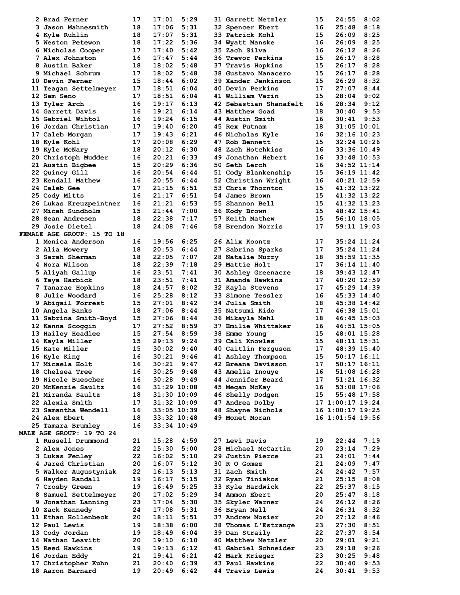| 2 Brad Ferner                           | 17       | 17:01          | 5:29            | 31 Garrett Metzler                        | 15       | 24:55            | 8:02         |  |
|-----------------------------------------|----------|----------------|-----------------|-------------------------------------------|----------|------------------|--------------|--|
| 3 Jason Mahnesmith                      | 18       | 17:06          | 5:31            | <b>32 Spencer Ebert</b>                   | 16       | 25:48            | 8:18         |  |
|                                         |          |                |                 |                                           |          |                  |              |  |
| 4 Kyle Ruhlin                           | 18       | 17:07          | 5:31            | 33 Patrick Kohl                           | 15       | 26:09            | 8:25         |  |
| 5 Weston Petewon                        | 18       | 17:22          | 5:36            | 34 Wyatt Manske                           | 16       | 26:09            | 8:25         |  |
| 6 Nicholas Cooper                       | 17       | 17:40          | 5:42            | 35 Zach Silva                             | 16       | 26:12            | 8:26         |  |
| 7 Alex Johnston                         | 16       | 17:47          | 5:44            | <b>36 Trevor Perkins</b>                  | 15       | 26:17            | 8:28         |  |
| 8 Austin Baker                          | 18       | 18:02          | 5:48            | 37 Travis Hopkins                         | 15       | 26:17            | 8:28         |  |
| 9 Michael Schrum                        | 17       | 18:02          | 5:48            | 38 Gustavo Manacero                       | 15       | 26:17            | 8:28         |  |
| 10 Devin Ferner                         | 15       | 18:44          | 6:02            | 39 Xander Jenkinson                       | 15       | 26:29            | 8:32         |  |
| 11 Teagan Settelmeyer                   | 17       | 18:51          | 6:04            | <b>40 Devin Perkins</b>                   | 17       | 27:07            | 8:44         |  |
| 12 Sam Seno                             | 17       | 18:51          | 6:04            | 41 William Varin                          | 15       | 28:04            | 9:02         |  |
|                                         | 16       | 19:17          | 6:13            | 42 Sebastian Shanafelt                    |          |                  | 9:12         |  |
| 13 Tyler Arch                           |          |                |                 |                                           | 16       | 28:34            |              |  |
| 14 Garrett Davis                        | 16       | 19:21          | 6:14            | 43 Matthew Goad                           | 18       | 30:40            | 9:53         |  |
| 15 Gabriel Wihtol                       | 16       | 19:24          | 6:15            | 44 Austin Smith                           | 16       | 30:41            | 9:53         |  |
| 16 Jordan Christian                     | 17       | 19:40          | 6:20            | 45 Rex Putnam                             | 18       | $31:05$ $10:01$  |              |  |
| 17 Caleb Morgan                         | 17       | 19:43          | 6:21            | 46 Nicholas Kyle                          | 16       | 32:16 10:23      |              |  |
| 18 Kyle Kohl                            | 17       | 20:08          | 6:29            | 47 Rob Bennett                            | 15       | 32:24 10:26      |              |  |
| 19 Kyle McNary                          | 18       | 20:12          | 6:30            | 48 Zach Hotchkiss                         | 16       | 33:36 10:49      |              |  |
| 20 Christoph Mudder                     | 16       | 20:21          | 6:33            | 49 Jonathan Hebert                        | 16       | 33:48 10:53      |              |  |
| 21 Austin Bigbee                        | 15       | 20:29          | 6:36            | <b>50 Seth Lerch</b>                      | 16       | 34:52 11:14      |              |  |
| 22 Quincy Gill                          | 16       | 20:54          | 6:44            | 51 Cody Blankenship                       | 15       | 36:19 11:42      |              |  |
|                                         |          |                |                 |                                           |          |                  |              |  |
| 23 Kendall Mathew                       | 16       | 20:55          | 6:44            | 52 Christian Wright                       | 16       | 40:21 12:59      |              |  |
| <b>24 Caleb Gee</b>                     | 17       | 21:15          | 6:51            | 53 Chris Thornton                         | 15       | 41:32 13:22      |              |  |
| 25 Cody Mitts                           | 16       | 21:17          | 6:51            | 54 James Brown                            | 15       | 41:32 13:22      |              |  |
| 26 Lukas Kreuzpeintner                  | 16       | 21:21          | 6:53            | 55 Shannon Bell                           | 15       | 41:32 13:23      |              |  |
| 27 Micah Sundholm                       | 15       | 21:44          | 7:00            | 56 Kody Brown                             | 15       | 48:42 15:41      |              |  |
| 28 Sean Andresen                        | 18       | 22:38          | 7:17            | 57 Keith Mathew                           | 15       | 56:10 18:05      |              |  |
| <b>29 Josie Dietel</b>                  | 18       | 24:08          | 7:46            | 58 Brendon Norris                         | 17       | 59:11 19:03      |              |  |
| <b>FEMALE AGE GROUP: 15 TO 18</b>       |          |                |                 |                                           |          |                  |              |  |
|                                         | 16       |                | 6:25            |                                           | 17       |                  |              |  |
| 1 Monica Anderson                       |          | 19:56          |                 | 26 Alix Koontz                            |          | $35:24$ $11:24$  |              |  |
| 2 Alia Mowery                           | 18       | 20:53          | 6:44            | 27 Sabrina Sparks                         | 17       | 35:24 11:24      |              |  |
| 3 Sarah Sherman                         | 18       | 22:05          | 7:07            | 28 Natalie Murry                          | 18       | 35:59 11:35      |              |  |
| 4 Nora Wilson                           | 18       | 22:39          | 7:18            | <b>29 Mattie Holt</b>                     | 17       | 36:14 11:40      |              |  |
| 5 Aliyah Gallup                         | 16       | 23:51          | 7:41            | 30 Ashley Greenacre                       | 18       | 39:43 12:47      |              |  |
| 6 Taya Harbick                          | 18       | 23:51          | 7:41            | 31 Amanda Hawkins                         | 17       | 40:20 12:59      |              |  |
| 7 Tanarae Hopkins                       | 18       | 24:57          | 8:02            | 32 Kayla Stevens                          | 17       | 45:29 14:39      |              |  |
| 8 Julie Woodard                         | 16       | 25:28          | 8:12            | <b>33 Simone Tessler</b>                  | 16       | 45:33 14:40      |              |  |
| 9 Abigail Forrest                       | 15       | 27:01          | 8:42            | 34 Julia Smith                            | 18       | 45:38 14:42      |              |  |
|                                         | 18       | 27:06          | 8:44            | 35 Natsumi Kido                           | 17       | 46:38 15:01      |              |  |
| 10 Angela Banks                         |          |                |                 |                                           |          |                  |              |  |
| 11 Sabrina Smith-Boyd                   | 15       | 27:06          | 8:44            | 36 Mikayla Mehl                           | 18       | 46:45 15:03      |              |  |
| 12 Kanna Scoggin                        | 17       | 27:52          | 8:59            | <b>37 Emilie Whittaker</b>                | 16       | $46:51$ $15:05$  |              |  |
| 13 Hailey Headlee                       | 15       | 27:54          | 8:59            | <b>38 Emme Young</b>                      | 15       | 48:01 15:28      |              |  |
| 14 Kayla Miller                         | 15       | 29:13          | 9:24            | 39 Cali Knowles                           | 15       | 48:11 15:31      |              |  |
| 15 Kate Miller                          | 15       | 30:02          | 9:40            | 40 Caitlin Ferguson                       | 17       | 48:39 15:40      |              |  |
| 16 Kyle King                            | 16       | 30:21          | 9:46            | 41 Ashley Thompson                        | 15       | $50:17$ $16:11$  |              |  |
| 17 Micaela Holt                         | 16       | 30:21          | 9:47            | 42 Breana Davisson                        | 17       | $50:17$ 16:11    |              |  |
| 18 Chelsea Tree                         | 16       | 30:25          | 9:48            | 43 Amelia Inouye                          | 16       | $51:08$ 16:28    |              |  |
| 19 Nicole Buescher                      | 16       |                | $30:28$ $9:49$  | 44 Jennifer Beard                         | 17       | 51:21 16:32      |              |  |
| 20 McKenzie Saultz                      | 16       |                | 31:29 10:08     | 45 Megan McKay                            | 16       | 53:08 17:06      |              |  |
| 21 Miranda Saultz                       |          |                | $31:30$ $10:09$ | 46 Shelly Dodgen                          | 15       |                  |              |  |
|                                         | 18       |                |                 |                                           |          | 55:48 17:58      |              |  |
| 22 Alexia Smith                         | 17       |                | $31:32$ $10:09$ | 47 Andrea Dolby                           |          | 17 1:00:17 19:24 |              |  |
| 23 Samantha Wendell                     | 16       |                | 33:05 10:39     | 48 Shayne Nichols                         |          | 16 1:00:17 19:25 |              |  |
| 24 Alex Ebert                           | 18       |                | 33:32 10:48     | 49 Monet Moran                            |          | 16 1:01:54 19:56 |              |  |
| 25 Tamara Brumley                       | 16       |                | 33:34 10:49     |                                           |          |                  |              |  |
| <b>MALE AGE GROUP: 19 TO 24</b>         |          |                |                 |                                           |          |                  |              |  |
| 1 Russell Drummond                      | 21       | 15:28          | 4:59            | 27 Levi Davis                             | 19       | 22:44            | 7:19         |  |
| 2 Alex Jones                            | 22       | 15:30          | 5:00            | 28 Michael McCartin                       | 20       | 23:14            | 7:29         |  |
| 3 Lukas Fenley                          | 22       | 16:02          | 5:10            | 29 Justin Pierce                          | 21       | 24:01            | 7:44         |  |
| 4 Jared Christian                       | 20       | 16:07          | 5:12            | <b>30 R O Gomez</b>                       | 21       | 24:09            | 7:47         |  |
|                                         |          |                |                 |                                           |          |                  |              |  |
| 5 Walker Augustyniak                    | 22       | 16:13          | 5:13            | 31 Zach Smith                             | 24       | 24:42            | 7:57         |  |
| 6 Hayden Randall                        | 19       | 16:17          | 5:15            | 32 Ryan Tiniakos                          | 21       | 25:15            | 8:08         |  |
| 7 Crosby Green                          | 19       | 16:49          | 5:25            | 33 Kyle Hardwick                          | 22       | 25:37            | 8:15         |  |
| 8 Samuel Settelmeyer                    | 20       | 17:02          | 5:29            | 34 Ammon Ebert                            | 20       | 25:47            | 8:18         |  |
| 9 Jonathan Lanning                      | 23       | 17:04          | 5:30            | 35 Skyler Warner                          | 24       | 26:12            | 8:26         |  |
| 10 Zack Kennedy                         | 24       | 17:08          | 5:31            | 36 Bryan Nell                             | 24       | 26:31            | 8:32         |  |
| 11 Ethan Hollenbeck                     | 20       | 18:11          | 5:51            | 37 Andrew Mosier                          | 20       | 27:12            | 8:46         |  |
| 12 Paul Lewis                           | 19       | 18:38          | 6:00            | 38 Thomas L'Estrange                      | 23       | 27:30            | 8:51         |  |
| 13 Cody Jordan                          | 19       | 18:49          | 6:04            | 39 Dan Straily                            | 22       | 27:37            | 8:54         |  |
|                                         |          |                |                 |                                           |          |                  | 9:21         |  |
| 14 Nathan Leavitt                       | 20       | 19:10          | 6:10            | 40 Matthew Metzler                        | 20       | 29:01            |              |  |
| 15 Reed Hawkins                         | 19       | 19:13          | 6:12            | 41 Gabriel Schneider                      | 23       | 29:18            | 9:26         |  |
|                                         |          |                | 6:21            | 42 Mark Krieger                           | 23       | 30:25            | 9:48         |  |
| 16 Jordan Eddy                          | 21       | 19:41          |                 |                                           |          |                  |              |  |
| 17 Christopher Kuhn<br>18 Aaron Barnard | 21<br>19 | 20:40<br>20:49 | 6:39<br>6:42    | 43 Paul Hawkins<br><b>44 Travis Lewis</b> | 22<br>24 | 30:40<br>30:41   | 9:53<br>9:53 |  |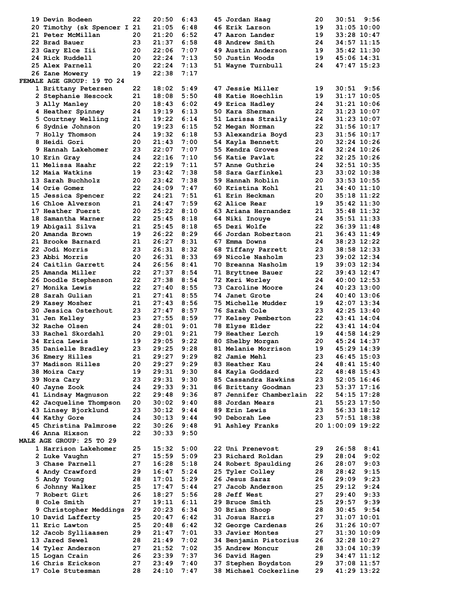| <b>19 Devin Bodeen</b>                     | 22       | 20:50          | 6:43         | 45 Jordan Haag                               | 20       | 30:51                             | 9:56 |
|--------------------------------------------|----------|----------------|--------------|----------------------------------------------|----------|-----------------------------------|------|
| 20 Timothy (sk Spencer I 21                |          | 21:05          | 6:48         | 46 Erik Larson                               | 19       | $31:05$ 10:00                     |      |
| 21 Peter McMillan                          | 20       | 21:20          | 6:52         | 47 Aaron Lander                              | 19       | 33:28 10:47                       |      |
| 22 Brad Bauer                              | 23       | 21:37          | 6:58         | 48 Andrew Smith                              | 24       | $34:57$ $11:15$                   |      |
| 23 Gary Elce Iii                           | 20       | 22:06          | 7:07         | 49 Austin Anderson                           | 19       | $35:42$ $11:30$                   |      |
| 24 Rick Ruddell                            | 20       | 22:24          | 7:13         | 50 Justin Woods                              | 19       | 45:06 14:31                       |      |
| 25 Alex Parnell                            | 20       | 22:24          | 7:13         | 51 Wayne Turnbull                            | 24       | 47:47 15:23                       |      |
| 26 Zane Mowery                             | 19       | 22:38          | 7:17         |                                              |          |                                   |      |
| FEMALE AGE GROUP: 19 TO 24                 |          |                | 5:49         |                                              | 19       |                                   |      |
| 1 Brittany Petersen<br>2 Stephanie Hescock | 22<br>21 | 18:02<br>18:08 | 5:50         | 47 Jessie Miller<br>48 Katie Hoechlin        | 19       | $30:51$ $9:56$<br>$31:17$ $10:05$ |      |
| 3 Ally Manley                              | 20       | 18:43          | 6:02         | 49 Erica Hadley                              | 24       | 31:21 10:06                       |      |
| 4 Heather Spinney                          | 24       | 19:19          | 6:13         | 50 Kara Sherman                              | 22       | 31:23 10:07                       |      |
| 5 Courtney Welling                         | 21       | 19:22          | 6:14         | 51 Larissa Straily                           | 24       | $31:23$ $10:07$                   |      |
| 6 Sydnie Johnson                           | 20       | 19:23          | 6:15         | 52 Megan Norman                              | 22       | $31:56$ $10:17$                   |      |
| 7 Holly Thomson                            | 24       | 19:32          | 6:18         | 53 Alexandria Boyd                           | 23       | 31:56 10:17                       |      |
| 8 Heidi Gori                               | 20       | 21:43          | 7:00         | 54 Kayla Bennett                             | 20       | 32:24 10:26                       |      |
| 9 Hannah Lakehomer                         | 23       | 22:07          | 7:07         | 55 Kendra Groves                             | 24       | 32:24 10:26                       |      |
| 10 Erin Gray                               | 24       | 22:16          | 7:10         | 56 Katie Pavlat                              | 22       | $32:25$ $10:26$                   |      |
| 11 Melissa Haahr                           | 22       | 22:19          | 7:11         | <b>57 Anne Guthrie</b>                       | 24       | $32:51$ $10:35$                   |      |
| 12 Maia Watkins                            | 19       | 23:42          | 7:38         | 58 Sara Garfinkel                            | 23       | $33:02$ $10:38$                   |      |
| 13 Sarah Buchholz                          | 20       | 23:42          | 7:38         | 59 Hannah Roblin                             | 20       | $33:53$ $10:55$                   |      |
| <b>14 Orie Gomez</b>                       | 22       | 24:09          | 7:47         | 60 Kristina Kohl                             | 21       | 34:40 11:10                       |      |
| 15 Jessica Spencer                         | 22<br>21 | 24:21          | 7:51         | 61 Erin Heckman                              | 20<br>19 | $35:18$ $11:22$                   |      |
| 16 Chloe Alverson<br>17 Heather Fuerst     | 20       | 24:47<br>25:22 | 7:59<br>8:10 | 62 Alice Rear<br>63 Ariana Hernandez         | 21       | $35:42$ 11:30<br>35:48 11:32      |      |
| 18 Samantha Warner                         | 22       | 25:45          | 8:18         | 64 Niki Inouye                               | 24       | $35:51$ $11:33$                   |      |
| 19 Abigail Silva                           | 21       | 25:45          | 8:18         | 65 Dezi Wolfe                                | 22       | 36:39 11:48                       |      |
| 20 Amanda Brown                            | 19       | 26:22          | 8:29         | 66 Jordan Robertson                          | 21       | $36:43$ $11:49$                   |      |
| 21 Brooke Barnard                          | 21       | 26:27          | 8:31         | 67 Emma Downs                                | 24       | 38:23 12:22                       |      |
| 22 Jodi Morris                             | 23       | 26:31          | 8:32         | 68 Tiffany Parrett                           | 23       | 38:58 12:33                       |      |
| 23 Abbi Morris                             | 20       | 26:31          | 8:33         | 69 Nicole Nasholm                            | 23       | 39:02 12:34                       |      |
| 24 Caitlin Garrett                         | 24       | 26:56          | 8:41         | 70 Breanna Nasholm                           | 19       | 39:03 12:34                       |      |
| 25 Amanda Miller                           | 22       | 27:37          | 8:54         | 71 Bryttnee Bauer                            | 22       | 39:43 12:47                       |      |
| <b>26 Doodle Stephenson</b>                | 22       | 27:38          | 8:54         | 72 Keri Worley                               | 24       | $40:00$ 12:53                     |      |
| 27 Monika Lewis                            | 22       | 27:40          | 8:55         | 73 Caroline Moore                            | 24       | 40:23 13:00                       |      |
| 28 Sarah Gulian                            | 21       | 27:41          | 8:55         | 74 Janet Grote                               | 24       | 40:40 13:06                       |      |
| 29 Kasey Mosher                            | 21       | 27:43          | 8:56         | <b>75 Michelle Mudder</b>                    | 19       | 42:07 13:34                       |      |
| 30 Jessica Osterhout                       | 23<br>23 | 27:47<br>27:55 | 8:57<br>8:59 | 76 Sarah Cole                                | 23<br>22 | 42:25 13:40<br>$43:41$ $14:04$    |      |
| <b>31 Jen Kelley</b><br>32 Rache Olsen     | 24       | 28:01          | 9:01         | 77 Kelsey Pemberton<br><b>78 Elyse Elder</b> | 22       | $43:41$ $14:04$                   |      |
| 33 Rachel Skordahl                         | 20       | 29:01          | 9:21         | <b>79 Heather Lerch</b>                      | 19       | 44:58 14:29                       |      |
| 34 Erica Lewis                             | 19       | 29:05          | 9:22         | 80 Shelby Morgan                             | 20       | 45:24 14:37                       |      |
| 35 Danielle Bradley                        | 23       | 29:25          | 9:28         | 81 Melanie Morrison                          | 19       | 45:29 14:39                       |      |
| 36 Emery Hilles                            | 21       | 29:27          | 9:29         | 82 Jamie Mehl                                | 23       | 46:45 15:03                       |      |
| 37 Madison Hilles                          | 20       | 29:27          | 9:29         | 83 Heather Kau                               | 24       | $48:41$ $15:40$                   |      |
| 38 Moira Cary                              | 19       | 29:31          | 9:30         | 84 Kayla Goddard                             | 22       | 48:48 15:43                       |      |
| 39 Nora Cary                               | 23       | 29:31          | 9:30         | 85 Cassandra Hawkins                         | 23       | $52:05$ 16:46                     |      |
| 40 Jayne Zook                              | 24       | 29:33          | 9:31         | 86 Brittany Goodman                          | 23       | 53:37 17:16                       |      |
| 41 Lindsay Magnuson                        | 22       | 29:48          | 9:36         | 87 Jennifer Chamberlain                      | 22       | 54:15 17:28                       |      |
| 42 Jacqueline Thompson                     | 20       | 30:02          | 9:40         | 88 Jordan Mears                              | 21       | 55:23 17:50                       |      |
| 43 Linsey Bjorklund                        | 23       | 30:12          | 9:44         | <b>89 Erin Lewis</b>                         | 23       | $56:33$ $18:12$                   |      |
| 44 Kathy Gore                              | 24       | 30:13          | 9:44         | 90 Deborah Lee                               | 23       | 57:51 18:38                       |      |
| 45 Christina Palmrose<br>46 Anna Hixson    | 22<br>22 | 30:26<br>30:33 | 9:48<br>9:50 | 91 Ashley Franks                             |          | 20 1:00:09 19:22                  |      |
| <b>MALE AGE GROUP: 25 TO 29</b>            |          |                |              |                                              |          |                                   |      |
| 1 Harrison Lakehomer                       | 25       | 15:32          | 5:00         | 22 Uni Prenevost                             | 29       | 26:58                             | 8:41 |
| 2 Luke Vaughn                              | 27       | 15:59          | 5:09         | 23 Richard Roldan                            | 29       | 28:04                             | 9:02 |
| 3 Chase Parnell                            | 27       | 16:28          | 5:18         | 24 Robert Spaulding                          | 26       | 28:07                             | 9:03 |
| 4 Andy Crawford                            | 29       | 16:47          | 5:24         | 25 Tyler Colley                              | 28       | 28:42                             | 9:15 |
| 5 Andy Young                               | 28       | 17:01          | 5:29         | 26 Jesus Saraz                               | 26       | 29:09                             | 9:23 |
| 6 Johnny Walker                            | 25       | 17:47          | 5:44         | 27 Jacob Anderson                            | 25       | 29:12                             | 9:24 |
| 7 Robert Girt                              | 26       | 18:27          | 5:56         | <b>28 Jeff West</b>                          | 27       | 29:40                             | 9:33 |
| 8 Cole Smith                               | 27       | 19:11          | 6:11         | 29 Bruce Smith                               | 25       | 29:57                             | 9:39 |
| 9 Christopher Meddings                     | 29       | 20:23          | 6:34         | 30 Brian Shoop                               | 28       | 30:45                             | 9:54 |
| 10 David Lafferty                          | 25       | 20:47          | 6:42         | 31 Josua Harris                              | 27       | $31:07$ $10:01$                   |      |
| 11 Eric Lawton                             | 25       | 20:48          | 6:42         | 32 George Cardenas                           | 26       | $31:26$ 10:07                     |      |
| 12 Jacob Sylliaasen                        | 29       | 21:47          | 7:01         | 33 Javier Montes                             | 27       | $31:30$ $10:09$                   |      |
| 13 Jared Sewel                             | 28       | 21:49          | 7:02         | 34 Benjamin Pistorius                        | 26       | 32:28 10:27                       |      |
| <b>14 Tyler Anderson</b><br>15 Logan Crain | 27<br>26 | 21:52<br>23:39 | 7:02<br>7:37 | <b>35 Andrew Moncur</b><br>36 David Hagen    | 28<br>29 | $33:04$ 10:39<br>$34:47$ $11:12$  |      |
| 16 Chris Erickson                          | 27       | 23:49          | 7:40         | 37 Stephen Boydston                          | 29       | $37:08$ 11:57                     |      |
| 17 Cole Stutesman                          | 28       | 24:10          | 7:47         | 38 Michael Cockerline                        | 29       | 41:29 13:22                       |      |
|                                            |          |                |              |                                              |          |                                   |      |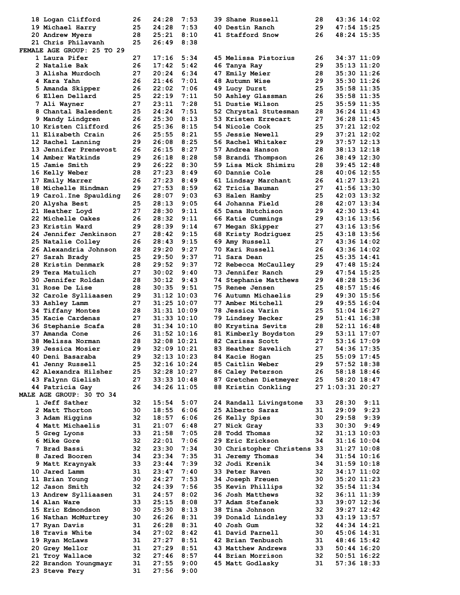| 18 Logan Clifford                     | 26       | 24:28           | 7:53         | <b>39 Shane Russell</b>     | 28  | 43:36 14:02      |                 |
|---------------------------------------|----------|-----------------|--------------|-----------------------------|-----|------------------|-----------------|
| 19 Michael Harry                      | 25       | 24:28           | 7:53         | 40 Destin Ranch             | 29  | 47:54 15:25      |                 |
| <b>20 Andrew Myers</b>                | 28       | 25:21           | 8:10         | 41 Stafford Snow            | 26  | 48:24 15:35      |                 |
| 21 Chris Philavanh                    | 25       | 26:49           | 8:38         |                             |     |                  |                 |
| FEMALE AGE GROUP: 25 TO 29            |          |                 |              |                             |     |                  |                 |
| 1 Laura Pifer                         | 27       | 17:16           | 5:34         | 45 Melissa Pistorius        | 26  | 34:37 11:09      |                 |
| 2 Natalie Bak                         | 26       | 17:42           | 5:42         | 46 Tanya Ray                | 29  | 35:13 11:20      |                 |
|                                       |          |                 |              |                             |     |                  |                 |
| 3 Alisha Murdoch                      | 27       | 20:24           | 6:34         | 47 Emily Meier              | 28  | 35:30 11:26      |                 |
| 4 Kara Yahn                           | 26       | 21:46           | 7:01         | 48 Autumn Wise              | 29  | 35:30 11:26      |                 |
| 5 Amanda Skipper                      | 26       | 22:02           | 7:06         | 49 Lucy Durst               | 25  | 35:58 11:35      |                 |
| 6 Ellen Dellard                       | 25       | 22:19           | 7:11         | 50 Ashley Glassman          | 26  | $35:58$ 11:35    |                 |
| 7 Ali Wayner                          | 27       | 23:11           | 7:28         | 51 Dustie Wilson            | 25  | $35:59$ 11:35    |                 |
| 8 Chantal Balesdent                   | 25       | 24:24           | 7:51         | 52 Chrystal Stutesman       | 28  | 36:24 11:43      |                 |
| 9 Mandy Lindgren                      | 26       | 25:30           | 8:13         | 53 Kristen Errecart         | 27  | 36:28 11:45      |                 |
| 10 Kristen Clifford                   | 26       | 25:36           | 8:15         | 54 Nicole Cook              | 25  | $37:21$ $12:02$  |                 |
| 11 Elizabeth Crain                    | 26       | 25:55           | 8:21         | 55 Jessie Newell            | 29  | $37:21$ $12:02$  |                 |
| 12 Rachel Lanning                     | 29       | 26:08           | 8:25         | 56 Rachel Whitaker          | 29  | 37:57 12:13      |                 |
| 13 Jennifer Prenevost                 | 26       | 26:15           | 8:27         | 57 Andrea Hanson            | 28  | $38:13$ $12:18$  |                 |
|                                       |          |                 |              |                             |     |                  |                 |
| 14 Amber Watkinds                     | 29       | 26:18           | 8:28         | 58 Brandi Thompson          | 26  | 38:49 12:30      |                 |
| 15 Jamie Smith                        | 29       | 26:22           | 8:30         | 59 Lisa Mick Shimizu        | 28  | $39:45$ 12:48    |                 |
| <b>16 Kelly Weber</b>                 | 28       | 27:23           | 8:49         | 60 Dannie Cole              | 28  | 40:06 12:55      |                 |
| 17 Emily Marrer                       | 26       | 27:23           | 8:49         | 61 Lindsay Marchant         | 26  | 41:27 13:21      |                 |
| 18 Michelle Hindman                   | 29       | 27:53           | 8:59         | 62 Tricia Bauman            | 27  | 41:56 13:30      |                 |
| 19 Carol. Ine Spaulding               | 26       | 28:07           | 9:03         | 63 Halen Hamby              | 25  | 42:03 13:32      |                 |
| 20 Alysha Best                        | 25       | 28:13           | 9:05         | 64 Johanna Field            | 28  | 42:07 13:34      |                 |
| 21 Heather Loyd                       | 27       | 28:30           | 9:11         | 65 Dana Hutchison           | 29  | 42:30 13:41      |                 |
| 22 Michelle Oakes                     | 26       | 28:32           | 9:11         | 66 Katie Cummings           | 29. | 43:16 13:56      |                 |
| 23 Kristin Ward                       | 29       | 28:39           | 9:14         |                             | 27  |                  |                 |
|                                       |          |                 |              | 67 Megan Skipper            |     | 43:16 13:56      |                 |
| <b>24 Jennifer Jenkinson</b>          | 27       | 28:42           | 9:15         | 68 Kristy Rodriguez         | 25  | 43:18 13:56      |                 |
| 25 Natalie Colley                     | 26       | 28:43           | 9:15         | 69 Amy Russell              | 27  | 43:36 14:02      |                 |
| 26 Alexandria Johnson                 | 28       | 29:20           | 9:27         | 70 Kari Russell             | 26  | 43:36 14:02      |                 |
| 27 Sarah Brady                        | 25       | 29:50           | 9:37         | 71 Sara Dean                | 25  | $45:35$ $14:41$  |                 |
| 28 Kristin Denmark                    | 28       | 29:52           | 9:37         | 72 Rebecca McCaulley        | 29  | 47:48 15:24      |                 |
| 29 Tera Matulich                      | 27       | 30:02           | 9:40         | 73 Jennifer Ranch           | 29  | 47:54 15:25      |                 |
| 30 Jennifer Roldan                    | 28       | 30:12           | 9:43         | 74 Stephanie Matthews       | 29  | 48:28 15:36      |                 |
| <b>31 Rose De Lise</b>                | 28       | 30:35           | 9:51         | 75 Renee Jensen             | 25  | 48:57 15:46      |                 |
| 32 Carole Sylliaasen                  | 29       | $31:12$ $10:03$ |              | 76 Autumn Michaelis         | 29  | 49:30 15:56      |                 |
|                                       | 27       |                 |              |                             | 29  |                  |                 |
| 33 Ashley Lamm                        |          | $31:25$ $10:07$ |              | 77 Amber Mitchell           |     | 49:55 16:04      |                 |
| 34 Tiffany Montes                     | 28       | $31:31$ $10:09$ |              | 78 Jessica Varin            | 25  | $51:04$ 16:27    |                 |
| 35 Kacie Cardenas                     | 27       | $31:33$ $10:10$ |              | 79 Lindsey Becker           | 29. | $51:41$ $16:38$  |                 |
| 36 Stephanie Scafa                    | 28       | $31:34$ $10:10$ |              | 80 Krystina Sevits          | 28  | $52:11$ $16:48$  |                 |
| 37 Amanda Cone                        | 26       | $31:52$ $10:16$ |              | 81 Kimberly Boydston        | 29  | 53:11 17:07      |                 |
| 38 Melissa Norman                     | 28       | $32:08$ 10:21   |              | 82 Carissa Scott            | 27  | $53:16$ $17:09$  |                 |
| 39 Jessica Mosier                     | 29       | 32:09 10:21     |              | 83 Heather Savelich         | 27  | 54:36 17:35      |                 |
| 40 Deni Basaraba                      | 29       | $32:13$ $10:23$ |              | 84 Kacie Hogan              | 25  | $55:09$ 17:45    |                 |
| 41 Jenny Russell                      | 25       | $32:16$ $10:24$ |              | 85 Caitlin Weber            | 29  | $57:52$ 18:38    |                 |
| 42 Alexandra Hilsher                  | 25       | 32:28 10:27     |              | 86 Caley Peterson           | 26  | 58:18 18:46      |                 |
| 43 Falynn Gielish                     | 27       | 33:33 10:48     |              | 87 Gretchen Dietmeyer       | 25  | 58:20 18:47      |                 |
|                                       |          |                 |              |                             |     |                  |                 |
| 44 Patricia Gay                       | 26       | 34:26 11:05     |              | 88 Kristin Conkling         |     | 27 1:03:31 20:27 |                 |
| MALE AGE GROUP: 30 TO 34              |          |                 |              |                             |     |                  |                 |
| 1 Jeff Sather                         | 32       | 15:54           | 5:07         | 24 Randall Livingstone      | 33  | $28:30$ $9:11$   |                 |
| 2 Matt Thorton                        | 30       | 18:55           | 6:06         | 25 Alberto Saraz            | 31  | 29:09            | 9:23            |
| 3 Adam Higgins                        | 32       | 18:57           | 6:06         | 26 Kelly Spies              | 30  | 29:58            | 9:39            |
| 4 Matt Michaelis                      | 31       | 21:07           | 6:48         | 27 Nick Gray                | 33  | $30:30$ $9:49$   |                 |
| 5 Greg Lyons                          | 33       | 21:58           | 7:05         | 28 Todd Thomas              | 32  | $31:13$ $10:03$  |                 |
| <b>6 Mike Gore</b>                    | 32       | 22:01           | 7:06         | 29 Eric Erickson            | 34  | $31:16$ $10:04$  |                 |
| 7 Brad Bassi                          | 32       | 23:30           | 7:34         | 30 Christopher Christens 33 |     | $31:27$ $10:08$  |                 |
| 8 Jared Booren                        | 34       | 23:34           | 7:35         | 31 Jeremy Thomas            | 34  | $31:54$ $10:16$  |                 |
| 9 Matt Kraynyak                       | 33       | 23:44           | 7:39         | 32 Jodi Krenik              | 34  | $31:59$ $10:18$  |                 |
| 10 Jared Lamm                         | 31       | 23:47           | 7:40         | 33 Peter Raven              | 32  | 34:17 11:02      |                 |
|                                       |          | 24:27           |              |                             |     |                  |                 |
| 11 Brian Young                        | 30       |                 | 7:53         | <b>34 Joseph Freuen</b>     | 30  | 35:20 11:23      |                 |
| 12 Jason Smith                        | 32       | 24:39           | 7:56         | 35 Kevin Phillips           | 32  | 35:54 11:34      |                 |
| 13 Andrew Sylliaasen                  | 31       | 24:57           | 8:02         | 36 Josh Matthews            | 32  | 36:11 11:39      |                 |
| 14 Alan Ware                          | 33       | 25:15           | 8:08         | 37 Adam Stefanek            | 33  | 39:07 12:36      |                 |
| 15 Eric Edmondson                     | 30       | 25:30           | 8:13         | 38 Tina Johnson             | 32  | 39:27 12:42      |                 |
| 16 Nathan McMurtrey                   | 30       | 26:26           | 8:31         | 39 Donald Lindsley          | 33  | 43:19 13:57      |                 |
| 17 Ryan Davis                         | 31       | 26:28           | 8:31         | <b>40 Josh Gum</b>          | 32  | 44:34 14:21      |                 |
| 18 Travis White                       | 34       | 27:02           | 8:42         | 41 David Parnell            | 30  | 45:06 14:31      |                 |
| 19 Ryan McLaws                        | 31       | 27:27           | 8:51         | 42 Brian Tenbusch           | 31  | 48:46 15:42      |                 |
| 20 Grey Mellor                        | 31       | 27:29           | 8:51         | 43 Matthew Andrews          | 33  | $50:44$ 16:20    |                 |
|                                       |          |                 |              |                             |     |                  |                 |
|                                       |          |                 |              |                             |     |                  |                 |
| 21 Troy Wallace                       | 32       | 27:46           | 8:57         | 44 Brian Morrison           | 32  |                  | $50:51$ $16:22$ |
| 22 Brandon Youngmayr<br>23 Steve Fery | 31<br>31 | 27:55<br>27:56  | 9:00<br>9:00 | 45 Matt Godlasky            | 31  | 57:36 18:33      |                 |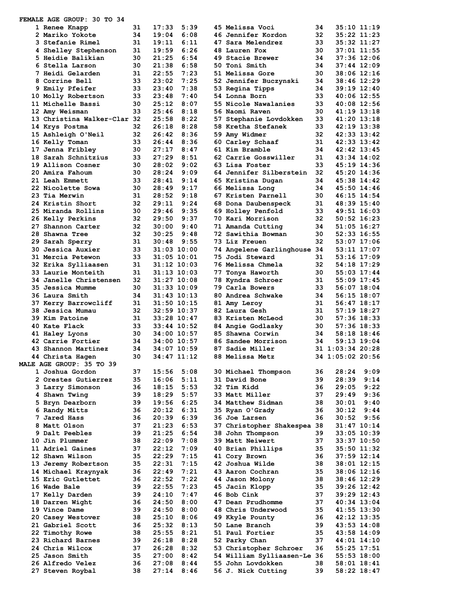| <b>FEMALE AGE GROUP: 30 TO 34</b> |    |                 |      |    |                             |     |                  |      |
|-----------------------------------|----|-----------------|------|----|-----------------------------|-----|------------------|------|
| 1 Renee Knapp                     | 31 | 17:33           | 5:39 |    | 45 Melissa Voci             | 34. | 35:10 11:19      |      |
| 2 Mariko Yokote                   | 34 | 19:04           | 6:08 |    | 46 Jennifer Kordon          | 32  | 35:22 11:23      |      |
| 3 Stefanie Rimel                  | 31 | 19:11           | 6:11 |    | 47 Sara Melendrez           | 33  | 35:32 11:27      |      |
| 4 Shelley Stephenson              | 31 | 19:59           | 6:26 |    | 48 Lauren Fox               | 30  | $37:01$ $11:55$  |      |
| 5 Heidie Balikian                 | 30 | 21:25           | 6:54 |    | 49 Stacie Brewer            | 34  | 37:36 12:06      |      |
| 6 Stella Larson                   | 30 | 21:38           | 6:58 |    | 50 Toni Smith               | 34  | $37:44$ 12:09    |      |
| 7 Heidi Gelarden                  | 31 | 22:55           | 7:23 |    | 51 Melissa Gore             | 30  | 38:06 12:16      |      |
| 8 Corrine Bell                    | 33 | 23:02           | 7:25 |    | 52 Jennifer Buczynski       | 34  | 38:46 12:29      |      |
|                                   |    |                 |      |    |                             |     |                  |      |
| 9 Emily Pfeifer                   | 33 | 23:40           | 7:38 |    | 53 Regina Tipps             | 34  | 39:19 12:40      |      |
| 10 Molly Robertson                | 33 | 23:48           | 7:40 |    | 54 Lonna Born               | 33  | 40:06 12:55      |      |
| 11 Michelle Bassi                 | 30 | 25:12           | 8:07 |    | 55 Nicole Nawalanies        | 33  | 40:08 12:56      |      |
| 12 Amy Weisman                    | 33 | 25:46           | 8:18 |    | 56 Naomi Raven              | 30  | 41:19 13:18      |      |
| 13 Christina Walker-Clar 32       |    | 25:58           | 8:22 |    | 57 Stephanie Lovdokken      | 33  | 41:20 13:18      |      |
| 14 Krys Postma                    | 32 | 26:18           | 8:28 |    | 58 Kretha Stefanek          | 33  | 42:19 13:38      |      |
| 15 Ashleigh O'Neil                | 32 | 26:42           | 8:36 |    | 59 Amy Widmer               | 32  | 42:33 13:42      |      |
| 16 Kelly Toman                    | 33 | 26:44           | 8:36 |    | 60 Carley Schaaf            | 31  | 42:33 13:42      |      |
| 17 Jenna Fribley                  | 30 | 27:17           | 8:47 |    | 61 Kim Bramble              | 34  | $42:42$ $13:45$  |      |
| 18 Sarah Schnitzius               | 33 | 27:29           | 8:51 |    | 62 Carrie Gosswiller        | 31  | 43:34 14:02      |      |
| 19 Allison Cosner                 | 30 | 28:02           | 9:02 |    | 63 Lisa Foster              | 33  | 45:19 14:36      |      |
| 20 Amira Fahoum                   | 30 | 28:24           | 9:09 |    | 64 Jennifer Silberstein     | 32  | 45:20 14:36      |      |
|                                   |    | 28:41           | 9:14 |    |                             | 34  |                  |      |
| 21 Leah Emmett                    | 33 |                 |      |    | 65 Kristina Dugan           |     | 45:38 14:42      |      |
| 22 Nicolette Sowa                 | 30 | 28:49           | 9:17 |    | 66 Melissa Long             | 34  | 45:50 14:46      |      |
| 23 Tia Merwin                     | 31 | 28:52           | 9:18 |    | 67 Kristen Parnell          | 30  | $46:15$ $14:54$  |      |
| 24 Kristin Short                  | 32 | 29:11           | 9:24 |    | 68 Dona Daubenspeck         | 31  | 48:39 15:40      |      |
| 25 Miranda Rollins                | 30 | 29:46           | 9:35 |    | 69 Holley Penfold           | 33  | 49:51 16:03      |      |
| <b>26 Kelly Perkins</b>           | 32 | 29:50           | 9:37 |    | 70 Kari Morrison            | 32  | $50:52$ 16:23    |      |
| 27 Shannon Carter                 | 32 | 30:00           | 9:40 |    | 71 Amanda Cutting           | 34  | 51:05 16:27      |      |
| 28 Shawna Tree                    | 32 | 30:25           | 9:48 |    | 72 Sawithia Bowman          | 30  | 52:33 16:55      |      |
| 29 Sarah Sperry                   | 31 | 30:48           | 9:55 |    | 73 Liz Freuen               | 32  | 53:07 17:06      |      |
|                                   |    |                 |      |    |                             |     |                  |      |
| 30 Jessica Auxier                 | 33 | $31:03$ $10:00$ |      |    | 74 Angelene Garlinghouse 34 |     | 53:11 17:07      |      |
| 31 Mercia Petewon                 | 33 | $31:05$ $10:01$ |      |    | 75 Jodi Steward             | 31  | $53:16$ $17:09$  |      |
| 32 Erika Sylliaasen               | 31 | 31:12 10:03     |      |    | 76 Melissa Chmela           | 32  | 54:18 17:29      |      |
| 33 Laurie Monteith                | 31 | 31:13 10:03     |      | 77 | Tonya Haworth               | 30  | 55:03 17:44      |      |
| 34 Janelle Christensen            | 32 | 31:27 10:08     |      |    | 78 Kyndra Schroer           | 31. | $55:09$ $17:45$  |      |
| 35 Jessica Mumme                  | 30 | 31:33 10:09     |      |    | 79 Carla Bowers             | 33  | 56:07 18:04      |      |
| 36 Laura Smith                    | 34 | 31:43 10:13     |      |    | 80 Andrea Schwake           | 34  | 56:15 18:07      |      |
| 37 Kerry Barrowcliff              | 31 | 31:50 10:15     |      |    | 81 Amy Leroy                | 31  | 56:47 18:17      |      |
| 38 Jessica Mumau                  | 32 | 32:59 10:37     |      |    | 82 Laura Gesh               | 31  | 57:19 18:27      |      |
|                                   |    |                 |      |    |                             |     |                  |      |
| 39 Kim Patoine                    | 31 | 33:28 10:47     |      |    | <b>83 Kristen McLeod</b>    | 30  | $57:36$ 18:33    |      |
| 40 Kate Flack                     | 33 | $33:44$ 10:52   |      |    | 84 Angie Godlasky           | 30  | 57:36 18:33      |      |
| 41 Haley Lyons                    | 30 | 34:00 10:57     |      |    | 85 Shawna Corwin            | 34  | 58:18 18:46      |      |
| 42 Carrie Fortier                 | 34 | 34:00 10:57     |      |    | <b>86 Sandee Morrison</b>   | 34  | 59:13 19:04      |      |
| 43 Shannon Martinez               | 34 | 34:07 10:59     |      |    | 87 Sadie Miller             |     | 31 1:03:34 20:28 |      |
| 44 Christa Hagen                  | 30 | 34:47 11:12     |      |    | 88 Melissa Metz             |     | 34 1:05:02 20:56 |      |
| MALE AGE GROUP: 35 TO 39          |    |                 |      |    |                             |     |                  |      |
| 1 Joshua Gordon                   | 37 | 15:56           | 5:08 |    | 30 Michael Thompson         | 36  | 28:24            | 9:09 |
| 2 Orestes Gutierrez               | 35 | 16:06           | 5:11 |    | 31 David Bone               | 39  | 28:39            | 9:14 |
| 3 Larry Simonson                  | 36 | 18:15           | 5:53 |    | 32 Tim Kidd                 | 36  | 29:05            | 9:22 |
|                                   |    |                 |      |    |                             |     |                  |      |
| 4 Shawn Twing                     | 39 | 18:29           | 5:57 |    | 33 Matt Miller              | 37  | 29:49            | 9:36 |
| 5 Bryn Dearborn                   | 39 | 19:56           | 6:25 |    | 34 Matthew Sidman           | 38  | 30:01            | 9:40 |
| 6 Randy Mitts                     | 36 | 20:12           | 6:31 |    | 35 Ryan O'Grady             | 36  |                  |      |
| 7 Jared Hass                      |    |                 |      |    |                             |     | 30:12            | 9:44 |
|                                   | 36 | 20:39           | 6:39 |    | 36 Joe Larsen               | 36  | 30:52            | 9:56 |
| 8 Matt Olson                      | 37 | 21:23           | 6:53 |    | 37 Christopher Shakespea 38 |     | $31:47$ $10:14$  |      |
| 9 Dalt Peebles                    | 39 | 21:25           | 6:54 |    | 38 John Thompson            | 39  | $33:05$ 10:39    |      |
|                                   |    |                 |      |    |                             | 37  |                  |      |
| 10 Jin Plummer                    | 38 | 22:09           | 7:08 |    | 39 Matt Neiwert             |     | 33:37 10:50      |      |
| 11 Adriel Gaines                  | 37 | 22:12           | 7:09 |    | 40 Brian Phillips           | 35  | 35:50 11:32      |      |
| 12 Shawn Wilson                   | 35 | 22:29           | 7:15 |    | 41 Cory Brown               | 36  | $37:59$ $12:14$  |      |
| 13 Jeremy Robertson               | 35 | 22:31           | 7:15 |    | 42 Joshua Wilde             | 38  | $38:01$ 12:15    |      |
| 14 Michael Kraynyak               | 36 | 22:49           | 7:21 |    | 43 Aaron Cochran            | 35  | 38:06 12:16      |      |
| 15 Eric Gutlettet                 | 36 | 22:52           | 7:22 |    | 44 Jason Molony             | 38  | 38:46 12:29      |      |
| 16 Wade Bale                      | 39 | 22:55           | 7:23 |    | 45 Jacin Klopp              | 35  | 39:26 12:42      |      |
| 17 Kelly Darden                   | 39 | 24:10           | 7:47 |    | 46 Bob Cink                 | 37  | 39:29 12:43      |      |
| 18 Darren Wight                   | 36 | 24:50           | 8:00 |    | 47 Dean Prudhomme           | 37  | $40:34$ 13:04    |      |
|                                   | 39 |                 |      |    | 48 Chris Underwood          | 35  |                  |      |
| 19 Vince Dame                     |    | 24:50           | 8:00 |    |                             |     | $41:55$ $13:30$  |      |
| 20 Casey Westover                 | 38 | 25:10           | 8:06 |    | 49 Kkyle Pounty             | 36  | 42:12 13:35      |      |
| 21 Gabriel Scott                  | 36 | 25:32           | 8:13 |    | 50 Lane Branch              | 39  | $43:53$ $14:08$  |      |
| 22 Timothy Rowe                   | 38 | 25:55           | 8:21 |    | 51 Paul Fortier             | 35  | 43:58 14:09      |      |
| 23 Richard Barnes                 | 39 | 26:18           | 8:28 |    | 52 Parky Chan               | 37  | 44:01 14:10      |      |
| 24 Chris Wilcox                   | 37 | 26:28           | 8:32 |    | 53 Christopher Schroer      | 36  | 55:25 17:51      |      |
| 25 Jason Smith                    | 35 | 27:00           | 8:42 |    | 54 William Sylliaasen-Le 36 |     | $55:53$ 18:00    |      |
| 26 Alfredo Velez                  | 36 | 27:08           | 8:44 |    | 55 John Lovdokken           | 38  | $58:01$ $18:41$  |      |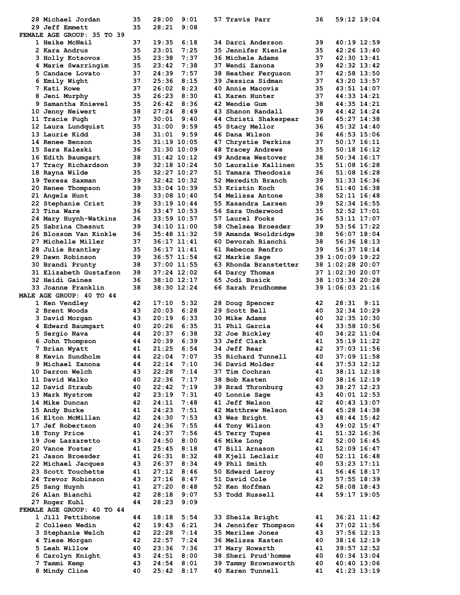| 28 Michael Jordan             | 35       | 28:00<br>9:01                  | 57 Travis Parr                           | 59:12 19:04<br>36                      |
|-------------------------------|----------|--------------------------------|------------------------------------------|----------------------------------------|
| 29 Jeff Emmett                | 35       | 28:21<br>9:08                  |                                          |                                        |
| FEMALE AGE GROUP: 35 TO 39    |          |                                |                                          |                                        |
| <b>1 Heike McNeil</b>         | 37       | 19:35<br>6:18                  | 34 Darci Anderson                        | 39<br>40:19 12:59                      |
| 2 Kara Andrus                 | 35       | 7:25<br>23:01                  | <b>35 Jennifer Kienle</b>                | 42:26 13:40<br>35                      |
| 3 Holly Kotsovos              | 35       | 23:38<br>7:37                  | <b>36 Michele Adams</b>                  | 37<br>42:30 13:41                      |
| 4 Marie Swarringim            | 35       | 23:42<br>7:38                  | 37 Wendi Zanona                          | 39<br>42:32 13:42                      |
| 5 Candace Lovato              | 37       | 24:39<br>7:57                  | 38 Heather Ferguson                      | 37<br>42:58 13:50                      |
| 6 Emily Wight                 | 37       | 25:36<br>8:15                  | 39 Jessica Sidman                        | 37<br>43:20 13:57                      |
| 7 Kati Rowe                   | 37       | 26:02<br>8:23                  | 40 Annie Macovis                         | 35<br>43:51 14:07                      |
|                               |          | 26:23                          |                                          | 37                                     |
| 8 Jeni Murphy                 | 35       | 8:30                           | 41 Karen Hunter                          | 44:33 14:21                            |
| 9 Samantha Knievel            | 35       | 26:42<br>8:36                  | <b>42 Wendie Gum</b>                     | 38<br>44:35 14:21                      |
| 10 Jenny Neiwert              | 38       | 27:24<br>8:49                  | 43 Shanon Randall                        | 39<br>44:42 14:24                      |
| 11 Tracie Pugh                | 37       | 30:01<br>9:40                  | 44 Christi Shakespear                    | 36<br>45:27 14:38                      |
| 12 Laura Lundquist            | 35       | 9:59<br>31:00                  | 45 Stacy Mellor                          | 36<br>45:32 14:40                      |
| 13 Laurie Kidd                | 38       | 9:59<br>31:01                  | 46 Dana Wilson                           | 36<br>46:53 15:06                      |
| 14 Renee Benson               | 35       | 31:19 10:05                    | 47 Chrystie Perkins                      | 37<br>$50:17$ 16:11                    |
| 15 Sara Kaleski               | 36       | 31:30 10:09                    | 48 Tracey Andrews                        | 35<br>$50:18$ 16:12                    |
| 16 Edith Baumgart             | 38       | $31:42$ $10:12$                | 49 Andrea Westover                       | 38<br>$50:34$ 16:17                    |
| 17 Tracy Richardson           | 39       | 32:18 10:24                    | 50 Lauralie Kallinen                     | 35<br>$51:08$ 16:28                    |
| 18 Rayna Wilde                | 35       | 32:27 10:27                    | 51 Tamara Theodosis                      | 36<br>51:08 16:28                      |
| 19 Teresa Saxman              | 39       | 32:42 10:32                    | 52 Meredith Branch                       | 39<br>51:33 16:36                      |
| 20 Renee Thompson             | 39       | 33:04 10:39                    | 53 Kristin Koch                          | 36<br>51:40 16:38                      |
| 21 Angela Hunt                | 38       | $33:08$ 10:40                  | 54 Melissa Antone                        | 38<br>$52:11$ $16:48$                  |
|                               | 39       | 33:19 10:44                    | 55 Kasandra Larsen                       | 39<br>52:34 16:55                      |
| 22 Stephanie Crist            |          |                                |                                          |                                        |
| 23 Tina Ware                  | 36       | 33:47 10:53                    | 56 Sara Underwood                        | 35<br>52:52 17:01                      |
| 24 Mary Huynh-Watkins         | 36       | 33:59 10:57                    | 57 Laurel Fooks                          | 36<br>53:11 17:07                      |
| 25 Sabrina Chesnut            | 39       | 34:10 11:00                    | 58 Chelsea Broesder                      | 39<br>53:56 17:22                      |
| 26 Blossom Van Kinkle         | 36       | 35:48 11:32                    | 59 Amanda Wooldridge                     | 38<br>56:07 18:04                      |
| 27 Michelle Miller            | 37       | 36:17 11:41                    | 60 Devorah Bianchi                       | 38<br>56:36 18:13                      |
| 28 Julie Brantley             | 35       | 36:17 11:41                    | 61 Rebecca Renfro                        | 39<br>56:37 18:14                      |
| 29 Dawn Robinson              | 39       | 36:57 11:54                    | 62 Markie Sage                           | 39 1:00:09 19:22                       |
| 30 Brandi Prunty              | 38       | 37:00 11:55                    | 63 Rhonda Branstetter                    | 38 1:02:28 20:07                       |
| 31 Elizabeth Gustafson        | 38       | 37:24 12:02                    | 64 Darcy Thomas                          | 37 1:02:30 20:07                       |
| 32 Heidi Gaines               | 36       | 38:10 12:17                    | 65 Jodi Busick                           | 38 1:03:34 20:28                       |
| 33 Joanne Franklin            | 38       | 38:30 12:24                    | 66 Sarah Prudhomme                       | 39 1:06:03 21:16                       |
| MALE AGE GROUP: 40 TO 44      |          |                                |                                          |                                        |
| 1 Ken Vendley                 | 42       | 17:10<br>5:32                  | 28 Doug Spencer                          | 42<br>28:31<br>9:11                    |
| <b>2 Brent Woods</b>          | 43       | 20:03<br>6:28                  | 29 Scott Bell                            |                                        |
|                               |          |                                |                                          |                                        |
|                               |          |                                |                                          | 40<br>$32:34$ 10:29                    |
| 3 David Morgan                | 43       | 20:19<br>6:33                  | <b>30 Mike Adams</b>                     | 40<br>$32:35$ $10:30$                  |
| 4 Edward Baumgart             | 40       | 20:26<br>6:35                  | 31 Phil Garcia                           | 44<br>33:58 10:56                      |
| 5 Sergio Nava                 | 44       | 20:37<br>6:38                  | 32 Joe Bickley                           | 40<br>34:22 11:04                      |
| 6 John Thompson               | 44       | 20:39<br>6:39                  | 33 Jeff Clark                            | 41<br>35:19 11:22                      |
| 7 Brian Wyatt                 | 41       | 21:25<br>6:54                  | <b>34 Jeff Rear</b>                      | 42<br>37:03 11:56                      |
| 8 Kevin Sundholm              | 44       | 22:04<br>7:07                  | 35 Richard Tunnell                       | 40<br>37:09 11:58                      |
| 9 Michael Zanona              | 44       | 7:10<br>22:14                  | 36 David Molder                          | 44<br>$37:53$ $12:12$                  |
| 10 Darron Welch               | 43       | 22:28<br>7:14                  | 37 Tim Cochran                           | 41<br>38:11 12:18                      |
| 11 David Walko                | 40       | 22:36<br>7:17                  | 38 Bob Kasten                            | 40<br>38:16 12:19                      |
|                               | 40       |                                |                                          | 43                                     |
| 12 David Straub               |          | 22:42<br>7:19                  | 39 Brad Thronburg                        | 38:27 12:23                            |
| 13 Mark Nystrom               | 42       | 23:19<br>7:31                  | 40 Lonnie Sage                           | 43<br>$40:01$ 12:53                    |
| 14 Mike Duncan                | 42       | 7:48<br>24:11                  | <b>41 Jeff Nelson</b>                    | 42<br>$40:43$ 13:07                    |
| 15 Andy Burke                 | 41       | 24:23<br>7:51                  | 42 Matthrew Nelson                       | 44<br>45:28 14:38                      |
| 16 Elton McMillan             | 42       | 24:30<br>7:53                  | 43 Wes Bright                            | 43<br>48:44 15:42                      |
| 17 Jef Robertson              | 40       | 24:36<br>7:55                  | 44 Tony Wilson                           | 43<br>49:02 15:47                      |
| 18 Tony Price                 | 41       | 24:37<br>7:56                  | 45 Terry Tupes                           | 41<br>51:32 16:36                      |
| 19 Joe Lazzaretto             | 43       | 24:50<br>8:00                  | 46 Mike Long                             | 42<br>$52:00$ 16:45                    |
| 20 Vance Foster               | 41       | 25:45<br>8:18                  | 47 Bill Arnason                          | 41<br>52:09 16:47                      |
| 21 Jason Broesder             | 41       | 26:31<br>8:32                  | 48 Kjell Leclair                         | 40<br>$52:11$ $16:48$                  |
| 22 Michael Jacques            | 43       | 26:37<br>8:34                  | 49 Phil Smith                            | 40<br>53:23 17:11                      |
| 23 Scott Touchette            | 41       | 27:12<br>8:46                  | 50 Edward Leroy                          | 41<br>$56:46$ $18:17$                  |
| 24 Trevor Robinson            | 43       | 27:16<br>8:47                  | 51 David Cole                            | 43                                     |
| 25 Sang Huynh                 | 41       | 27:20<br>8:48                  | 52 Ken Hoffman                           | 57:55 18:39<br>42<br>58:08 18:43       |
|                               | 42       |                                |                                          | 44                                     |
| 26 Alan Bianchi               | 44       | 28:18<br>9:07                  | 53 Todd Russell                          | 59:17 19:05                            |
| 27 Roger Kuhl                 |          | 28:23<br>9:09                  |                                          |                                        |
| FEMALE AGE GROUP: 40 TO 44    |          |                                |                                          |                                        |
| 1 Jill Pettibone              | 44       | 18:18<br>5:54                  | 33 Sheila Bright                         | 36:21 11:42<br>41                      |
| 2 Colleen Wedin               | 42       | 19:43<br>6:21                  | 34 Jennifer Thompson                     | $37:02$ 11:56<br>44                    |
| <b>3 Stephanie Welch</b>      | 42       | 22:28<br>7:14                  | 35 Merilee Jones                         | 43<br>$37:56$ $12:13$                  |
| 4 Tiese Morgan                | 42       | 22:57<br>7:24                  | 36 Melissa Kasten                        | 40<br>38:16 12:19                      |
| 5 Leah Willow                 | 40       | 23:36<br>7:36                  | 37 Mary Howarth                          | 41<br>39:57 12:52                      |
| 6 Carolyn Knight              | 43       | 24:51<br>8:00                  | 38 Sheri Prud'homme                      | 40<br>$40:34$ 13:04                    |
| 7 Tammi Kemp<br>8 Mindy Cline | 43<br>40 | 24:54<br>8:01<br>8:17<br>25:42 | 39 Tammy Brownsworth<br>40 Karen Tunnell | 40<br>40:40 13:06<br>41<br>41:23 13:19 |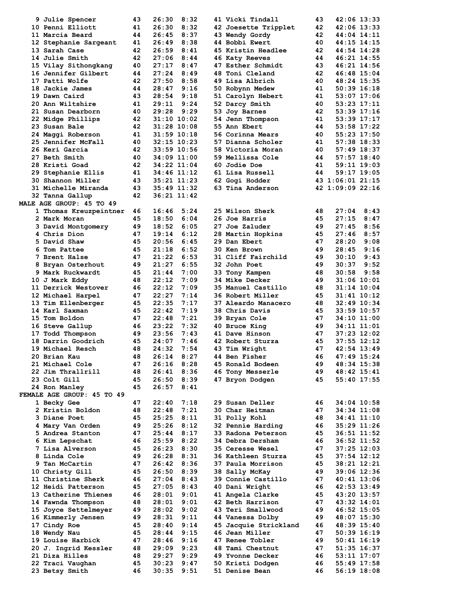| 9 Julie Spencer                 | 43 | 8:32<br>26:30   | 41 Vicki Tindall        | 43 | 42:06 13:33      |  |
|---------------------------------|----|-----------------|-------------------------|----|------------------|--|
| 10 Penni Elliott                | 41 | 8:32<br>26:30   | 42 Joesette Tripplet    | 42 | $42:06$ 13:33    |  |
|                                 |    |                 |                         |    |                  |  |
| 11 Marcia Beard                 | 44 | 26:45<br>8:37   | <b>43 Wendy Gordy</b>   | 42 | $44:04$ $14:11$  |  |
| 12 Stephanie Sargeant           | 41 | 8:38<br>26:49   | 44 Bobbi Ewert          | 40 | 44:15 14:15      |  |
| 13 Sarah Case                   | 42 | 26:59<br>8:41   | 45 Kristin Headlee      | 42 | 44:54 14:28      |  |
| 14 Julie Smith                  | 42 | 27:06<br>8:44   | 46 Katy Reeves          | 44 | 46:21 14:55      |  |
| 15 Vilay Sithongkang            | 40 | 27:17<br>8:47   | 47 Esther Schmidt       | 43 | 46:21 14:56      |  |
| 16 Jennifer Gilbert             | 44 | 8:49<br>27:24   | 48 Toni Cleland         | 42 | 46:48 15:04      |  |
| 17 Patti Wolfe                  | 42 | 8:58<br>27:50   | 49 Lisa Albrich         | 40 | 48:24 15:35      |  |
|                                 |    |                 |                         |    |                  |  |
| 18 Jackie James                 | 44 | 28:47<br>9:16   | 50 Robynn Medew         | 41 | $50:39$ $16:18$  |  |
| 19 Dawn Caird                   | 43 | 28:54<br>9:18   | 51 Carolyn Hebert       | 41 | 53:07 17:06      |  |
| 20 Ann Wiltshire                | 41 | 29:11<br>9:24   | 52 Darcy Smith          | 40 | 53:23 17:11      |  |
| 21 Susan Dearborn               | 40 | 29:28<br>9:29   | 53 Joy Barnes           | 42 | 53:39 17:16      |  |
| 22 Midge Phillips               | 42 | $31:10$ $10:02$ | <b>54 Jenn Thompson</b> | 41 | 53:39 17:17      |  |
| 23 Susan Bale                   | 42 | $31:28$ 10:08   | 55 Ann Ebert            | 44 | 53:58 17:22      |  |
|                                 |    |                 |                         |    |                  |  |
| 24 Maggi Roberson               | 41 | $31:59$ $10:18$ | 56 Corinna Mears        | 40 | 55:23 17:50      |  |
| 25 Jennifer McFall              | 40 | $32:15$ $10:23$ | 57 Dianna Scholer       | 41 | 57:38 18:33      |  |
| 26 Keri Garcia                  | 42 | 33:59 10:56     | 58 Victoria Moran       | 40 | 57:49 18:37      |  |
| 27 Beth Smith                   | 40 | 34:09 11:00     | 59 Mellissa Cole        | 44 | 57:57 18:40      |  |
| 28 Kristi Goad                  | 42 | 34:22 11:04     | 60 Jodie Doe            | 41 | 59:11 19:03      |  |
| 29 Stephanie Ellis              | 41 | 34:46 11:12     | 61 Lisa Russell         | 44 | 59:17 19:05      |  |
| 30 Shannon Miller               | 43 | $35:21$ $11:23$ |                         |    | 43 1:06:01 21:15 |  |
|                                 |    |                 | 62 Gogi Hodder          |    |                  |  |
| 31 Michelle Miranda             | 43 | 35:49 11:32     | 63 Tina Anderson        |    | 42 1:09:09 22:16 |  |
| 32 Tanna Gallup                 | 42 | 36:21 11:42     |                         |    |                  |  |
| <b>MALE AGE GROUP: 45 TO 49</b> |    |                 |                         |    |                  |  |
| 1 Thomas Kreuzpeintner          | 46 | 16:46<br>5:24   | 25 Wilson Sherk         | 48 | 27:04<br>8:43    |  |
| 2 Mark Moran                    | 45 | 18:50<br>6:04   | 26 Joe Harris           | 45 | 27:15<br>8:47    |  |
|                                 | 49 | 18:52<br>6:05   | 27 Joe Zaluder          | 49 | 27:45<br>8:56    |  |
| 3 David Montgomery              |    |                 |                         |    |                  |  |
| 4 Chris Dion                    | 47 | 19:14<br>6:12   | 28 Martin Hopkins       | 45 | 27:46<br>8:57    |  |
| 5 David Shaw                    | 45 | 20:56<br>6:45   | 29 Dan Ebert            | 47 | 28:20<br>9:08    |  |
| 6 Tom Pattee                    | 45 | 21:18<br>6:52   | <b>30 Ken Brown</b>     | 49 | 28:45<br>9:16    |  |
| 7 Brent Halse                   | 47 | 6:53<br>21:22   | 31 Cliff Fairchild      | 49 | 30:10<br>9:43    |  |
| 8 Bryan Osterhout               | 49 | 6:55<br>21:27   | <b>32 John Poet</b>     | 49 | 30:37<br>9:52    |  |
|                                 | 45 | 7:00<br>21:44   |                         | 48 | 30:58<br>9:58    |  |
| 9 Mark Ruckwardt                |    |                 | 33 Tony Kampen          |    |                  |  |
| 10 J Mark Eddy                  | 48 | 22:12<br>7:09   | <b>34 Mike Decker</b>   | 49 | $31:06$ $10:01$  |  |
| 11 Derrick Westover             | 46 | 22:12<br>7:09   | 35 Manuel Castillo      | 48 | $31:14$ $10:04$  |  |
| 12 Michael Harpel               | 47 | 7:14<br>22:27   | 36 Robert Miller        | 45 | $31:41$ $10:12$  |  |
| 13 Tim Ellenberger              | 45 | 7:17<br>22:35   | 37 Aleardo Manacero     | 48 | $32:49$ $10:34$  |  |
| 14 Karl Saxman                  | 45 | 7:19<br>22:42   | 38 Chris Davis          | 45 | $33:59$ 10:57    |  |
|                                 | 47 | 22:48<br>7:21   |                         | 47 |                  |  |
| 15 Tom Boldon                   |    |                 | 39 Bryan Cole           |    | 34:10 11:00      |  |
| 16 Steve Gallup                 | 46 | 7:32<br>23:22   | 40 Bruce King           | 49 | $34:11$ $11:01$  |  |
| 17 Todd Thompson                | 49 | 23:56<br>7:43   | 41 Dave Hinson          | 47 | $37:23$ $12:02$  |  |
| 18 Darrin Goodrich              | 45 | 7:46<br>24:07   | 42 Robert Sturza        | 45 | $37:55$ $12:12$  |  |
| 19 Michael Resch                | 48 | 24:32<br>7:54   | 43 Tim Wright           | 47 | $42:54$ $13:49$  |  |
| 20 Brian Kau                    | 48 | 26:14<br>8:27   | <b>44 Ben Fisher</b>    | 46 | 47:49 15:24      |  |
| 21 Michael Cole                 | 47 | 8:28<br>26:16   | 45 Ronald Bodeen        | 49 |                  |  |
|                                 |    |                 |                         |    | 48:34 15:38      |  |
| 22 Jim Thrallrill               | 48 | 26:41<br>8:36   | <b>46 Tony Messerle</b> | 49 | $48:42$ $15:41$  |  |
| 23 Colt Gill                    | 45 | 26:50<br>8:39   | 47 Bryon Dodgen         | 45 | 55:40 17:55      |  |
| 24 Ron Manley                   | 45 | 26:57<br>8:41   |                         |    |                  |  |
| FEMALE AGE GROUP: 45 TO 49      |    |                 |                         |    |                  |  |
| 1 Becky Gee                     | 47 | 7:18<br>22:40   | 29 Susan Deller         | 46 | 34:04 10:58      |  |
| 2 Kristin Boldon                | 48 | 7:21<br>22:48   | 30 Char Heitman         | 47 | 34:34 11:08      |  |
|                                 |    |                 |                         |    |                  |  |
| 3 Diane Poet                    | 45 | 25:25<br>8:11   | 31 Polly Kohl           | 48 | 34:41 11:10      |  |
| 4 Mary Van Orden                | 49 | 25:26<br>8:12   | 32 Pennie Harding       | 46 | 35:29 11:26      |  |
| 5 Andrea Stanton                | 47 | 25:44<br>8:17   | 33 Radona Peterson      | 45 | 36:51 11:52      |  |
| 6 Kim Lepschat                  | 46 | 25:59<br>8:22   | 34 Debra Dersham        | 46 | 36:52 11:52      |  |
| 7 Lisa Alverson                 | 45 | 26:23<br>8:30   | <b>35 Ceresse Wesel</b> | 47 | 37:25 12:03      |  |
| 8 Linda Cole                    | 49 | 26:28<br>8:31   | 36 Kathleen Sturza      | 45 | 37:54 12:12      |  |
|                                 |    |                 |                         |    |                  |  |
| 9 Tan McCartin                  | 47 | 26:42<br>8:36   | 37 Paula Morrison       | 45 | 38:21 12:21      |  |
| 10 Christy Gill                 | 45 | 26:50<br>8:39   | 38 Sally McKay          | 49 | 39:06 12:36      |  |
| 11 Christine Sherk              | 46 | 27:04<br>8:43   | 39 Connie Castillo      | 47 | 40:41 13:06      |  |
| 12 Heidi Patterson              | 45 | 27:05<br>8:43   | 40 Dani Wright          | 46 | 42:53 13:49      |  |
| 13 Catherine Thienes            | 46 | 28:01<br>9:01   | 41 Angela Clarke        | 45 | 43:20 13:57      |  |
| 14 Fawnda Thompson              | 48 | 9:01<br>28:01   | 42 Beth Harrison        | 47 | 43:32 14:01      |  |
|                                 |    |                 |                         |    |                  |  |
| 15 Joyce Settelmeyer            | 49 | 28:02<br>9:02   | 43 Teri Smallwood       | 49 | 46:52 15:05      |  |
| 16 Kimmerly Jensen              | 49 | 28:31<br>9:11   | 44 Vanessa Dolby        | 49 | 48:07 15:30      |  |
| 17 Cindy Roe                    | 45 | 9:14<br>28:40   | 45 Jacquie Strickland   | 46 | 48:39 15:40      |  |
| 18 Wendy Nau                    | 45 | 28:44<br>9:15   | 46 Jean Miller          | 47 | 50:39 16:19      |  |
| 19 Louise Harbick               | 47 | 28:46<br>9:16   | 47 Renee Tobler         | 49 | $50:41$ $16:19$  |  |
| 20 J. Ingrid Kessler            | 48 | 29:09<br>9:23   | 48 Tami Chestnut        | 47 | 51:35 16:37      |  |
|                                 |    | 9:29            |                         |    |                  |  |
| 21 Diza Hilles                  | 48 | 29:27           | 49 Yvonne Decker        | 46 | 53:11 17:07      |  |
| 22 Traci Vaughan                | 45 | 30:23<br>9:47   | 50 Kristi Dodgen        | 46 | 55:49 17:58      |  |
| 23 Betsy Smith                  | 46 | 30:35<br>9:51   | 51 Denise Bean          | 46 | $56:19$ $18:08$  |  |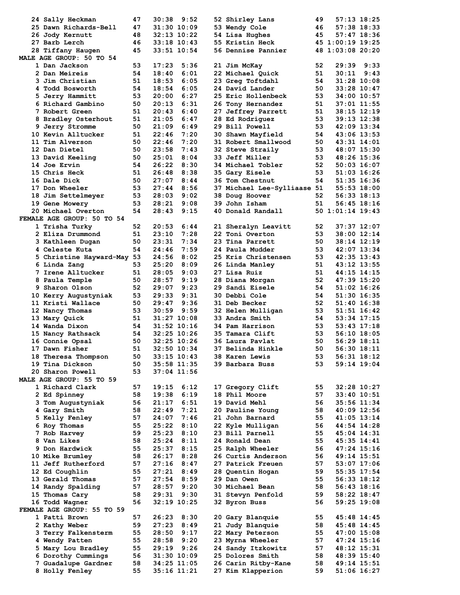| 24 Sally Heckman                      | 47       | $30:38$ $9:52$             | 52 Shirley Lans                          | 49 | 57:13 18:25                    |      |
|---------------------------------------|----------|----------------------------|------------------------------------------|----|--------------------------------|------|
| 25 Dawn Richards-Bell                 | 47       | 31:30 10:09                | 53 Wendy Cole                            | 46 | $57:38$ 18:33                  |      |
| 26 Jody Kernutt                       | 48       | $32:13$ $10:22$            | 54 Lisa Hughes                           | 45 | 57:47 18:36                    |      |
| 27 Barb Lerch                         | 46       | $33:18$ 10:43              | 55 Kristin Heck                          |    | 45 1:00:19 19:25               |      |
| 28 Tiffany Haugen                     | 45       | $33:51$ $10:54$            | 56 Dennise Pannier                       |    | 48 1:03:08 20:20               |      |
| MALE AGE GROUP: 50 TO 54              |          |                            |                                          |    |                                |      |
| 1 Dan Jackson                         | 53       | 17:23<br>5:36              | 21 Jim McKay                             | 52 | $29:39$ $9:33$                 |      |
| 2 Dan Meireis                         | 54       | 18:40<br>6:01              | 22 Michael Quick                         | 51 | 30:11                          | 9:43 |
| 3 Jim Christian                       | 51       | 18:53<br>6:05              | 23 Greg Toftdahl                         | 54 | $31:28$ $10:08$                |      |
| 4 Todd Bosworth                       | 54       | 18:54<br>6:05              | 24 David Lander                          | 50 | 33:28 10:47                    |      |
| 5 Jerry Hammitt                       | 53       | 6:27<br>20:00              | 25 Eric Hollenbeck                       | 53 | 34:00 10:57                    |      |
| 6 Richard Gambino                     | 50       | 20:13<br>6:31              | 26 Tony Hernandez                        | 51 | $37:01$ $11:55$                |      |
| 7 Robert Green                        | 51       | 20:43<br>6:40              | 27 Jeffrey Parrett                       | 51 | $38:15$ $12:19$                |      |
| 8 Bradley Osterhout                   | 51       | 21:05<br>6:47              | 28 Ed Rodriguez                          | 53 | 39:13 12:38                    |      |
| 9 Jerry Stromme                       | 50       | 21:09<br>6:49              | 29 Bill Powell                           | 53 | 42:09 13:34                    |      |
| 10 Kevin Alltucker                    | 51       | 22:46<br>7:20              | 30 Shawn Mayfield                        | 54 | 43:06 13:53                    |      |
| 11 Tim Alverson                       | 50       | 22:46<br>7:20              | 31 Robert Smallwood                      | 50 | $43:31$ $14:01$                |      |
| 12 Dan Dietel                         | 50       | 23:58<br>7:43              |                                          | 53 |                                |      |
|                                       |          |                            | 32 Steve Straily                         |    | 48:07 15:30                    |      |
| 13 David Keeling                      | 50       | 25:01<br>8:04              | <b>33 Jeff Miller</b>                    | 53 | 48:26 15:36                    |      |
| 14 Joe Ervin                          | 54       | 26:22<br>8:30              | 34 Michael Tobler                        | 52 | $50:03$ 16:07                  |      |
| 15 Chris Heck                         | 51       | 26:48<br>8:38              | 35 Gary Eisele                           | 53 | 51:03 16:26                    |      |
| 16 Dale Dick                          | 50       | 27:07<br>8:44              | 36 Tom Chestnut                          | 54 | 51:35 16:36                    |      |
| 17 Don Wheeler                        | 53       | 27:44<br>8:56              | 37 Michael Lee-Sylliaase 51              |    | 55:53 18:00                    |      |
| 18 Jim Settelmeyer                    | 53       | 28:03<br>9:02              | 38 Doug Hoover                           | 52 | $56:33$ $18:13$                |      |
| 19 Gene Mowery                        | 53       | 28:21<br>9:08              | 39 John Isham                            | 51 | 56:45 18:16                    |      |
| 20 Michael Overton                    | 54       | 28:43<br>9:15              | 40 Donald Randall                        |    | 50 1:01:14 19:43               |      |
| FEMALE AGE GROUP: 50 TO 54            |          |                            |                                          |    |                                |      |
| 1 Trisha Turky                        | 52       | 20:53<br>6:44              | 21 Sheralyn Leavitt                      | 52 | 37:37 12:07                    |      |
| 2 Eliza Drummond                      | 51       | 23:10<br>7:28              | 22 Toni Overton                          | 53 | 38:00 12:14                    |      |
| 3 Kathleen Dugan                      | 50       | 23:31<br>7:34              | 23 Tina Parrett                          | 50 | $38:14$ $12:19$                |      |
| 4 Celeste Kuta                        | 54       | 24:46<br>7:59              | 24 Paula Mudder                          | 53 | 42:07 13:34                    |      |
| 5 Christine Hayward-May 53            |          | 24:56<br>8:02              | 25 Kris Christensen                      | 53 | $42:35$ $13:43$                |      |
| 6 Linda Zang                          | 53       | 25:20<br>8:09              | 26 Linda Manley                          | 51 | 43:12 13:55                    |      |
| 7 Irene Alltucker                     | 51       | 28:05<br>9:03              | 27 Lisa Ruiz                             | 51 | $44:15$ $14:15$                |      |
| 8 Paula Temple                        | 50       | 28:57<br>9:19              | 28 Diana Morgan                          | 52 | 47:39 15:20                    |      |
| 9 Sharon Olson                        | 52       | 9:23<br>29:07              | 29 Sandi Eisele                          | 54 | 51:02 16:26                    |      |
| 10 Kerry Augustyniak                  | 53       | 29:33<br>9:31              | 30 Debbi Cole                            | 54 | 51:30 16:35                    |      |
|                                       |          |                            |                                          |    |                                |      |
|                                       |          |                            |                                          |    |                                |      |
| 11 Kristi Wallace                     | 50       | 29:47<br>9:36              | 31 Deb Becker                            | 52 | 51:40 16:38                    |      |
| 12 Nancy Thomas                       | 53       | 30:59<br>9:59              | 32 Helen Mulligan                        | 53 | 51:51 16:42                    |      |
| 13 Mary Quick                         | 51       | $31:27$ 10:08              | 33 Andra Smith                           | 54 | 53:34 17:15                    |      |
| 14 Wanda Dixon                        | 54       | $31:52$ $10:16$            | 34 Pam Harrison                          | 53 | $53:43$ $17:18$                |      |
| 15 Nancy Rathsack                     | 54       | $32:25$ 10:26              | 35 Tamara Clift                          | 53 | $56:10$ 18:05                  |      |
| 16 Connie Opsal                       | 50       | $32:25$ 10:26              | 36 Laura Pavlat                          | 50 | 56:29 18:11                    |      |
| 17 Dawn Fisher                        | 51       | 32:50 10:34                | 37 Belinda Hinkle                        | 50 | 56:30 18:11                    |      |
| 18 Theresa Thompson                   | 50       | $33:15$ $10:43$            | <b>38 Karen Lewis</b>                    | 53 | $56:31$ $18:12$                |      |
| 19 Tina Dickson                       | 50       | 35:58 11:35                | 39 Barbara Buss                          | 53 | 59:14 19:04                    |      |
| 20 Sharon Powell                      | 53       | $37:04$ 11:56              |                                          |    |                                |      |
| MALE AGE GROUP: 55 TO 59              |          |                            |                                          |    |                                |      |
| 1 Richard Clark                       | 57       | 19:15<br>6:12              | 17 Gregory Clift                         | 55 | 32:28 10:27                    |      |
| 2 Ed Spinney                          | 58       | 19:38<br>6:19              | 18 Phil Moore                            | 57 | 33:40 10:51                    |      |
| 3 Tom Augustyniak                     | 56       | 6:51<br>21:17              | 19 David Mehl                            | 56 | 35:56 11:34                    |      |
| 4 Gary Smith                          | 58       | 22:49<br>7:21              | 20 Pauline Young                         | 58 | 40:09 12:56                    |      |
| 5 Kelly Fenley                        | 57       | 24:07<br>7:46              | 21 John Barnard                          | 55 | $41:05$ $13:14$                |      |
| 6 Roy Thomas                          | 55       | 25:22<br>8:10              | 22 Kyle Mulligan                         | 56 | 44:54 14:28                    |      |
| 7 Rob Harvey                          | 59       | 25:23<br>8:10              | 23 Bill Parnell                          | 55 | 45:04 14:31                    |      |
| 8 Van Likes                           | 58       | 25:24<br>8:11              | 24 Ronald Dean                           | 55 | 45:35 14:41                    |      |
| 9 Don Hardwick                        | 55       | 25:37<br>8:15              | 25 Ralph Wheeler                         | 56 | 47:24 15:16                    |      |
| 10 Mike Brumley                       | 58       | 26:17<br>8:28              | 26 Curtis Anderson                       | 56 | 49:14 15:51                    |      |
| 11 Jeff Rutherford                    | 57       | 27:16<br>8:47              | 27 Patrick Freuen                        | 57 | 53:07 17:06                    |      |
| 12 Ed Coughlin                        | 55       | 27:21<br>8:49              | 28 Quentin Hogan                         | 59 | 55:35 17:54                    |      |
| 13 Gerald Thomas                      | 57       | 27:54<br>8:59              | 29 Dan Owen                              | 55 | 56:33 18:12                    |      |
| 14 Randy Spalding                     | 57       | 9:20<br>28:57              | 30 Michael Bean                          | 58 | 56:43 18:16                    |      |
| 15 Thomas Cary                        | 58       | 29:31<br>9:30              | 31 Stevyn Penfold                        | 59 | 58:22 18:47                    |      |
| 16 Todd Wagner                        | 56       | 32:19 10:25                | 32 Byron Buss                            | 56 | 59:25 19:08                    |      |
| FEMALE AGE GROUP: 55 TO 59            |          |                            |                                          |    |                                |      |
| 1 Patti Brown                         | 57       | 26:23<br>8:30              | 20 Gary Blanquie                         | 55 | 45:48 14:45                    |      |
| 2 Kathy Weber                         | 59       | 27:23<br>8:49              | 21 Judy Blanquie                         | 58 | $45:48$ 14:45                  |      |
|                                       | 55       | 28:50<br>9:17              |                                          | 55 | 47:00 15:08                    |      |
| 3 Terry Falkensterm<br>4 Wendy Patten | 55       | 28:58<br>9:20              | 22 Mary Peterson<br>23 Myrna Wheeler     | 57 | 47:24 15:16                    |      |
|                                       |          | 9:26                       |                                          | 57 |                                |      |
| 5 Mary Lou Bradley                    | 55<br>56 | 29:19<br>$31:30$ $10:09$   | 24 Sandy Itzkowitz<br>25 Dolores Smith   | 58 | 48:12 15:31<br>48:39 15:40     |      |
| 6 Dorothy Cummings                    |          |                            |                                          | 58 |                                |      |
| 7 Guadalupe Gardner<br>8 Holly Fenley | 58<br>55 | 34:25 11:05<br>35:16 11:21 | 26 Carin Ritby-Kane<br>27 Kim Klapperion | 59 | 49:14 15:51<br>$51:06$ $16:27$ |      |